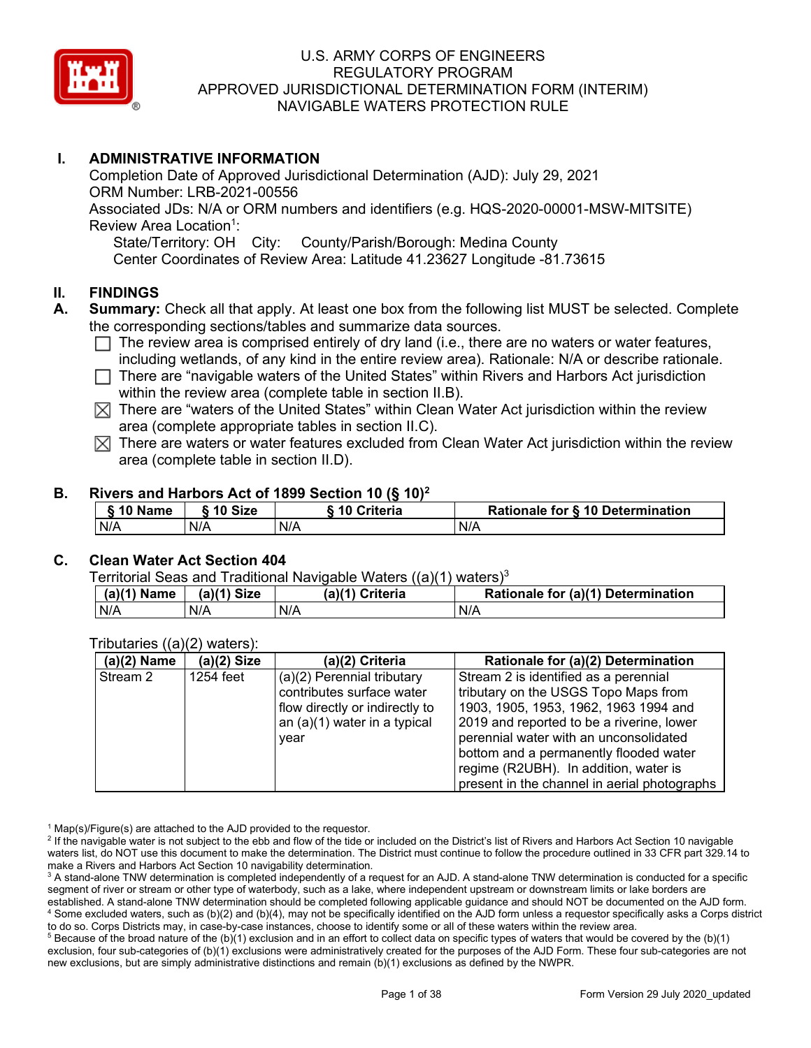

## **I. ADMINISTRATIVE INFORMATION**

Completion Date of Approved Jurisdictional Determination (AJD): July 29, 2021 ORM Number: LRB-2021-00556 Associated JDs: N/A or ORM numbers and identifiers (e.g. HQS-2020-00001-MSW-MITSITE) Review Area Location<sup>1</sup>: State/Territory: OH City: County/Parish/Borough: Medina County Center Coordinates of Review Area: Latitude 41.23627 Longitude -81.73615

#### **II. FINDINGS**

- **A. Summary:** Check all that apply. At least one box from the following list MUST be selected. Complete the corresponding sections/tables and summarize data sources.
	- $\Box$  The review area is comprised entirely of dry land (i.e., there are no waters or water features, including wetlands, of any kind in the entire review area). Rationale: N/A or describe rationale.
	- $\Box$  There are "navigable waters of the United States" within Rivers and Harbors Act jurisdiction within the review area (complete table in section II.B).
	- $\boxtimes$  There are "waters of the United States" within Clean Water Act jurisdiction within the review area (complete appropriate tables in section II.C).
	- $\boxtimes$  There are waters or water features excluded from Clean Water Act jurisdiction within the review area (complete table in section II.D).

#### **B. Rivers and Harbors Act of 1899 Section 10 (§ 10)2**

| § 10 Name | ົ 10 Size | 10 Criteria | Rationale for § 10 Determination |
|-----------|-----------|-------------|----------------------------------|
| N/A       | N/A       | N/A         | N/A                              |

# **C. Clean Water Act Section 404**

Territorial Seas and Traditional Navigable Waters ((a)(1) waters)<sup>3</sup>

| $(a)(1)$ Name | $(a)(1)$ Size | (a)(1) Criteria | Rationale for (a)(1) Determination |
|---------------|---------------|-----------------|------------------------------------|
| N/A           | N/A           | N/A             | N/A                                |

Tributaries ((a)(2) waters):

| $(a)(2)$ Name | $(a)(2)$ Size | (a)(2) Criteria                | Rationale for (a)(2) Determination           |
|---------------|---------------|--------------------------------|----------------------------------------------|
| Stream 2      | 1254 feet     | (a)(2) Perennial tributary     | Stream 2 is identified as a perennial        |
|               |               | contributes surface water      | tributary on the USGS Topo Maps from         |
|               |               | flow directly or indirectly to | 1903, 1905, 1953, 1962, 1963 1994 and        |
|               |               | an $(a)(1)$ water in a typical | 2019 and reported to be a riverine, lower    |
|               |               | year                           | perennial water with an unconsolidated       |
|               |               |                                | bottom and a permanently flooded water       |
|               |               |                                | regime (R2UBH). In addition, water is        |
|               |               |                                | present in the channel in aerial photographs |

 $1$  Map(s)/Figure(s) are attached to the AJD provided to the requestor.

<sup>&</sup>lt;sup>2</sup> If the navigable water is not subject to the ebb and flow of the tide or included on the District's list of Rivers and Harbors Act Section 10 navigable waters list, do NOT use this document to make the determination. The District must continue to follow the procedure outlined in 33 CFR part 329.14 to make a Rivers and Harbors Act Section 10 navigability determination.

<sup>&</sup>lt;sup>3</sup> A stand-alone TNW determination is completed independently of a request for an AJD. A stand-alone TNW determination is conducted for a specific segment of river or stream or other type of waterbody, such as a lake, where independent upstream or downstream limits or lake borders are established. A stand-alone TNW determination should be completed following applicable guidance and should NOT be documented on the AJD form. <sup>4</sup> Some excluded waters, such as (b)(2) and (b)(4), may not be specifically identified on the AJD form unless a requestor specifically asks a Corps district to do so. Corps Districts may, in case-by-case instances, choose to identify some or all of these waters within the review area.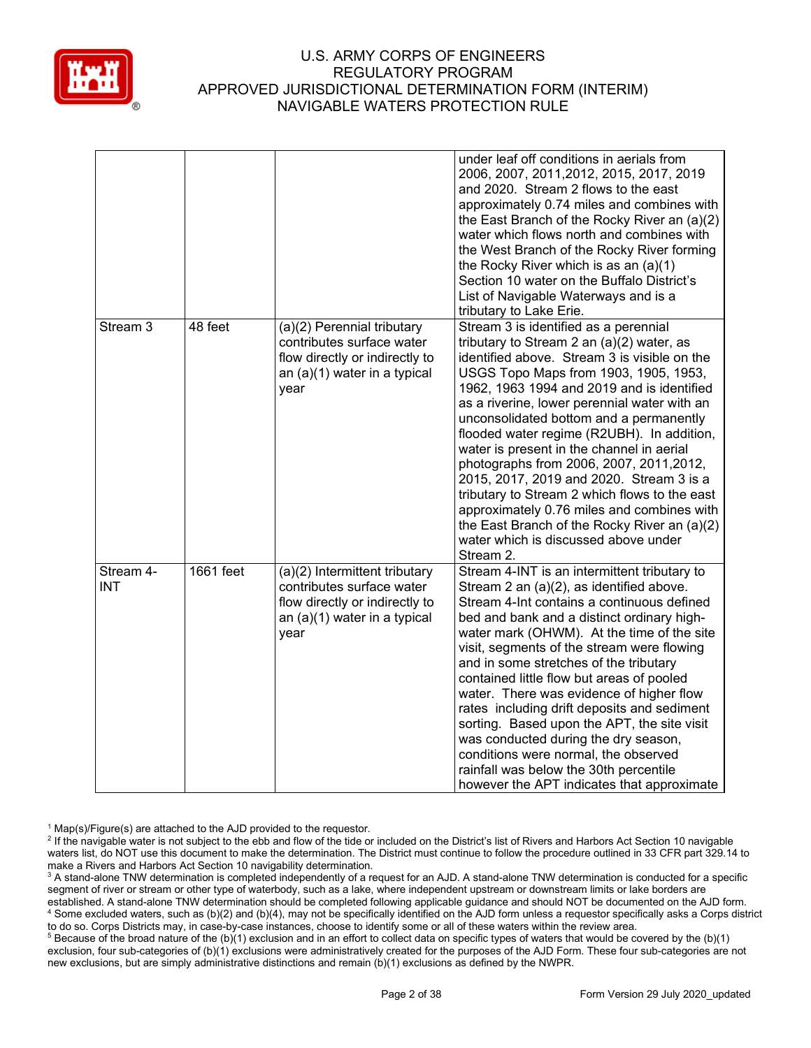

|                         |           |                                                                                                                                      | under leaf off conditions in aerials from<br>2006, 2007, 2011, 2012, 2015, 2017, 2019<br>and 2020. Stream 2 flows to the east<br>approximately 0.74 miles and combines with<br>the East Branch of the Rocky River an (a)(2)<br>water which flows north and combines with<br>the West Branch of the Rocky River forming<br>the Rocky River which is as an $(a)(1)$<br>Section 10 water on the Buffalo District's<br>List of Navigable Waterways and is a<br>tributary to Lake Erie.                                                                                                                                                                                                                            |
|-------------------------|-----------|--------------------------------------------------------------------------------------------------------------------------------------|---------------------------------------------------------------------------------------------------------------------------------------------------------------------------------------------------------------------------------------------------------------------------------------------------------------------------------------------------------------------------------------------------------------------------------------------------------------------------------------------------------------------------------------------------------------------------------------------------------------------------------------------------------------------------------------------------------------|
| Stream 3                | 48 feet   | (a)(2) Perennial tributary<br>contributes surface water<br>flow directly or indirectly to<br>an (a)(1) water in a typical<br>year    | Stream 3 is identified as a perennial<br>tributary to Stream 2 an $(a)(2)$ water, as<br>identified above. Stream 3 is visible on the<br>USGS Topo Maps from 1903, 1905, 1953,<br>1962, 1963 1994 and 2019 and is identified<br>as a riverine, lower perennial water with an<br>unconsolidated bottom and a permanently<br>flooded water regime (R2UBH). In addition,<br>water is present in the channel in aerial<br>photographs from 2006, 2007, 2011, 2012,<br>2015, 2017, 2019 and 2020. Stream 3 is a<br>tributary to Stream 2 which flows to the east<br>approximately 0.76 miles and combines with<br>the East Branch of the Rocky River an (a)(2)<br>water which is discussed above under<br>Stream 2. |
| Stream 4-<br><b>INT</b> | 1661 feet | (a)(2) Intermittent tributary<br>contributes surface water<br>flow directly or indirectly to<br>an (a)(1) water in a typical<br>year | Stream 4-INT is an intermittent tributary to<br>Stream 2 an (a)(2), as identified above.<br>Stream 4-Int contains a continuous defined<br>bed and bank and a distinct ordinary high-<br>water mark (OHWM). At the time of the site<br>visit, segments of the stream were flowing<br>and in some stretches of the tributary<br>contained little flow but areas of pooled<br>water. There was evidence of higher flow<br>rates including drift deposits and sediment<br>sorting. Based upon the APT, the site visit<br>was conducted during the dry season,<br>conditions were normal, the observed<br>rainfall was below the 30th percentile<br>however the APT indicates that approximate                     |

 $1$  Map(s)/Figure(s) are attached to the AJD provided to the requestor.

<sup>&</sup>lt;sup>2</sup> If the navigable water is not subject to the ebb and flow of the tide or included on the District's list of Rivers and Harbors Act Section 10 navigable waters list, do NOT use this document to make the determination. The District must continue to follow the procedure outlined in 33 CFR part 329.14 to make a Rivers and Harbors Act Section 10 navigability determination.

<sup>&</sup>lt;sup>3</sup> A stand-alone TNW determination is completed independently of a request for an AJD. A stand-alone TNW determination is conducted for a specific segment of river or stream or other type of waterbody, such as a lake, where independent upstream or downstream limits or lake borders are established. A stand-alone TNW determination should be completed following applicable guidance and should NOT be documented on the AJD form. <sup>4</sup> Some excluded waters, such as (b)(2) and (b)(4), may not be specifically identified on the AJD form unless a requestor specifically asks a Corps district to do so. Corps Districts may, in case-by-case instances, choose to identify some or all of these waters within the review area.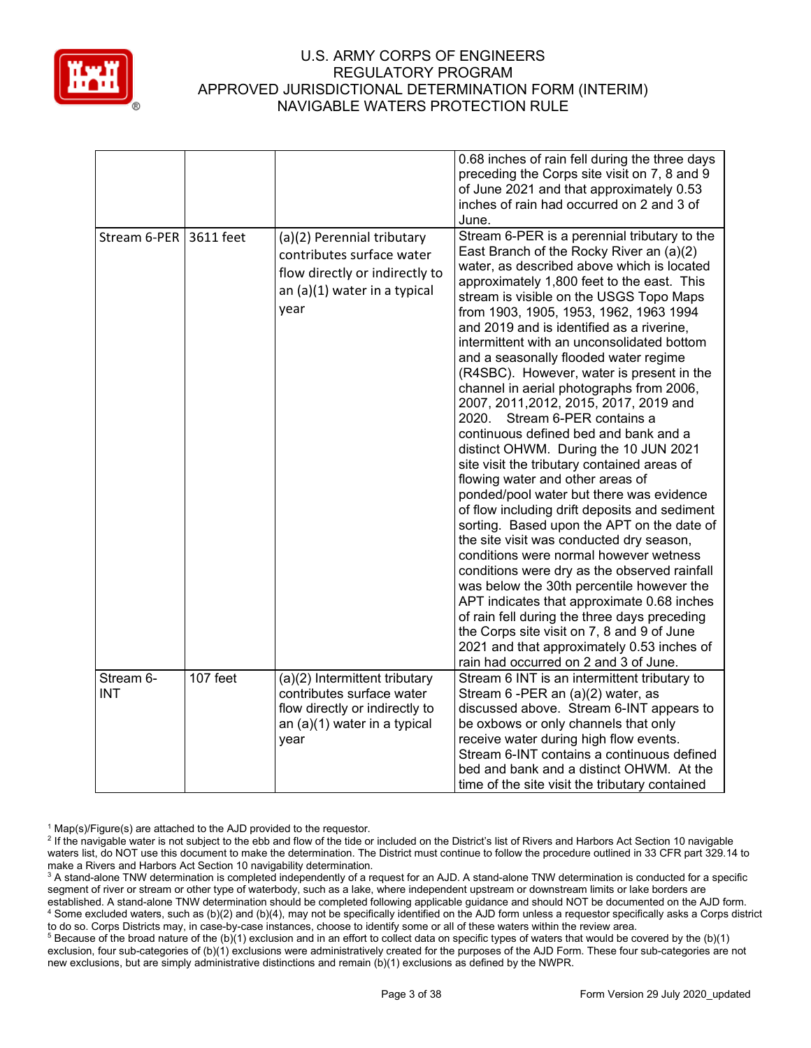

|                         |          |                                                                                                                                      | 0.68 inches of rain fell during the three days<br>preceding the Corps site visit on 7, 8 and 9<br>of June 2021 and that approximately 0.53<br>inches of rain had occurred on 2 and 3 of<br>June.                                                                                                                                                                                                                                                                                                                                                                                                                                                                                                                                                                                                                                                                                                                                                                                                                                                                                                                                                                                                                                                                                                                        |
|-------------------------|----------|--------------------------------------------------------------------------------------------------------------------------------------|-------------------------------------------------------------------------------------------------------------------------------------------------------------------------------------------------------------------------------------------------------------------------------------------------------------------------------------------------------------------------------------------------------------------------------------------------------------------------------------------------------------------------------------------------------------------------------------------------------------------------------------------------------------------------------------------------------------------------------------------------------------------------------------------------------------------------------------------------------------------------------------------------------------------------------------------------------------------------------------------------------------------------------------------------------------------------------------------------------------------------------------------------------------------------------------------------------------------------------------------------------------------------------------------------------------------------|
| Stream 6-PER 3611 feet  |          | (a)(2) Perennial tributary<br>contributes surface water<br>flow directly or indirectly to<br>an (a)(1) water in a typical<br>year    | Stream 6-PER is a perennial tributary to the<br>East Branch of the Rocky River an (a)(2)<br>water, as described above which is located<br>approximately 1,800 feet to the east. This<br>stream is visible on the USGS Topo Maps<br>from 1903, 1905, 1953, 1962, 1963 1994<br>and 2019 and is identified as a riverine,<br>intermittent with an unconsolidated bottom<br>and a seasonally flooded water regime<br>(R4SBC). However, water is present in the<br>channel in aerial photographs from 2006,<br>2007, 2011, 2012, 2015, 2017, 2019 and<br>2020. Stream 6-PER contains a<br>continuous defined bed and bank and a<br>distinct OHWM. During the 10 JUN 2021<br>site visit the tributary contained areas of<br>flowing water and other areas of<br>ponded/pool water but there was evidence<br>of flow including drift deposits and sediment<br>sorting. Based upon the APT on the date of<br>the site visit was conducted dry season,<br>conditions were normal however wetness<br>conditions were dry as the observed rainfall<br>was below the 30th percentile however the<br>APT indicates that approximate 0.68 inches<br>of rain fell during the three days preceding<br>the Corps site visit on 7, 8 and 9 of June<br>2021 and that approximately 0.53 inches of<br>rain had occurred on 2 and 3 of June. |
| Stream 6-<br><b>INT</b> | 107 feet | (a)(2) Intermittent tributary<br>contributes surface water<br>flow directly or indirectly to<br>an (a)(1) water in a typical<br>year | Stream 6 INT is an intermittent tributary to<br>Stream 6 - PER an (a)(2) water, as<br>discussed above. Stream 6-INT appears to<br>be oxbows or only channels that only<br>receive water during high flow events.<br>Stream 6-INT contains a continuous defined                                                                                                                                                                                                                                                                                                                                                                                                                                                                                                                                                                                                                                                                                                                                                                                                                                                                                                                                                                                                                                                          |
|                         |          |                                                                                                                                      | bed and bank and a distinct OHWM. At the<br>time of the site visit the tributary contained                                                                                                                                                                                                                                                                                                                                                                                                                                                                                                                                                                                                                                                                                                                                                                                                                                                                                                                                                                                                                                                                                                                                                                                                                              |

 $1$  Map(s)/Figure(s) are attached to the AJD provided to the requestor.

<sup>&</sup>lt;sup>2</sup> If the navigable water is not subject to the ebb and flow of the tide or included on the District's list of Rivers and Harbors Act Section 10 navigable waters list, do NOT use this document to make the determination. The District must continue to follow the procedure outlined in 33 CFR part 329.14 to make a Rivers and Harbors Act Section 10 navigability determination.

<sup>&</sup>lt;sup>3</sup> A stand-alone TNW determination is completed independently of a request for an AJD. A stand-alone TNW determination is conducted for a specific segment of river or stream or other type of waterbody, such as a lake, where independent upstream or downstream limits or lake borders are established. A stand-alone TNW determination should be completed following applicable guidance and should NOT be documented on the AJD form. <sup>4</sup> Some excluded waters, such as (b)(2) and (b)(4), may not be specifically identified on the AJD form unless a requestor specifically asks a Corps district to do so. Corps Districts may, in case-by-case instances, choose to identify some or all of these waters within the review area.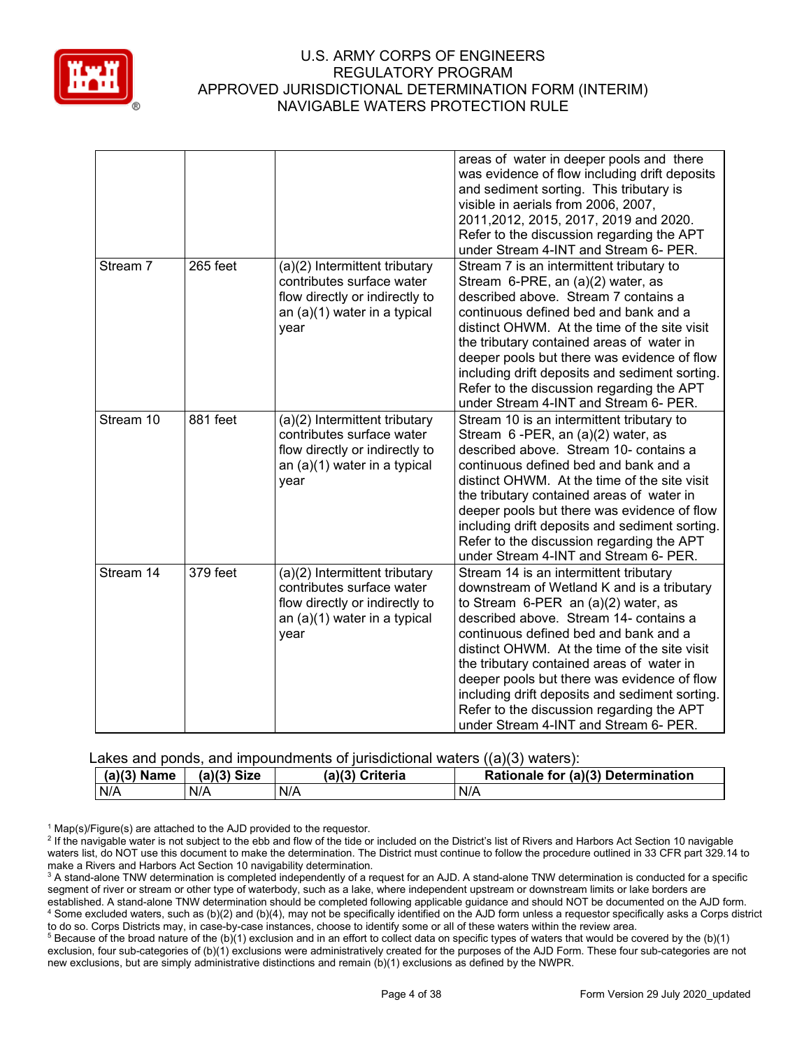

|           |          |                                                                                                                                      | areas of water in deeper pools and there<br>was evidence of flow including drift deposits<br>and sediment sorting. This tributary is<br>visible in aerials from 2006, 2007,<br>2011, 2012, 2015, 2017, 2019 and 2020.<br>Refer to the discussion regarding the APT<br>under Stream 4-INT and Stream 6- PER.                                                                                                                                                                                             |
|-----------|----------|--------------------------------------------------------------------------------------------------------------------------------------|---------------------------------------------------------------------------------------------------------------------------------------------------------------------------------------------------------------------------------------------------------------------------------------------------------------------------------------------------------------------------------------------------------------------------------------------------------------------------------------------------------|
| Stream 7  | 265 feet | (a)(2) Intermittent tributary<br>contributes surface water<br>flow directly or indirectly to<br>an (a)(1) water in a typical<br>year | Stream 7 is an intermittent tributary to<br>Stream 6-PRE, an (a)(2) water, as<br>described above. Stream 7 contains a<br>continuous defined bed and bank and a<br>distinct OHWM. At the time of the site visit<br>the tributary contained areas of water in<br>deeper pools but there was evidence of flow<br>including drift deposits and sediment sorting.<br>Refer to the discussion regarding the APT<br>under Stream 4-INT and Stream 6- PER.                                                      |
| Stream 10 | 881 feet | (a)(2) Intermittent tributary<br>contributes surface water<br>flow directly or indirectly to<br>an (a)(1) water in a typical<br>vear | Stream 10 is an intermittent tributary to<br>Stream 6-PER, an (a)(2) water, as<br>described above. Stream 10- contains a<br>continuous defined bed and bank and a<br>distinct OHWM. At the time of the site visit<br>the tributary contained areas of water in<br>deeper pools but there was evidence of flow<br>including drift deposits and sediment sorting.<br>Refer to the discussion regarding the APT<br>under Stream 4-INT and Stream 6- PER.                                                   |
| Stream 14 | 379 feet | (a)(2) Intermittent tributary<br>contributes surface water<br>flow directly or indirectly to<br>an (a)(1) water in a typical<br>vear | Stream 14 is an intermittent tributary<br>downstream of Wetland K and is a tributary<br>to Stream $6$ -PER an $(a)(2)$ water, as<br>described above. Stream 14- contains a<br>continuous defined bed and bank and a<br>distinct OHWM. At the time of the site visit<br>the tributary contained areas of water in<br>deeper pools but there was evidence of flow<br>including drift deposits and sediment sorting.<br>Refer to the discussion regarding the APT<br>under Stream 4-INT and Stream 6- PER. |

Lakes and ponds, and impoundments of jurisdictional waters ((a)(3) waters):

| (a)(3)<br><b>Name</b> | $(a)(3)$ Size |     | (a)(3) Criteria |     | Rationale for (a)(3) Determination |
|-----------------------|---------------|-----|-----------------|-----|------------------------------------|
| N/A                   | N/A           | N/A |                 | N/A |                                    |

 $1$  Map(s)/Figure(s) are attached to the AJD provided to the requestor.

<sup>2</sup> If the navigable water is not subject to the ebb and flow of the tide or included on the District's list of Rivers and Harbors Act Section 10 navigable waters list, do NOT use this document to make the determination. The District must continue to follow the procedure outlined in 33 CFR part 329.14 to make a Rivers and Harbors Act Section 10 navigability determination.

<sup>3</sup> A stand-alone TNW determination is completed independently of a request for an AJD. A stand-alone TNW determination is conducted for a specific segment of river or stream or other type of waterbody, such as a lake, where independent upstream or downstream limits or lake borders are established. A stand-alone TNW determination should be completed following applicable guidance and should NOT be documented on the AJD form. <sup>4</sup> Some excluded waters, such as (b)(2) and (b)(4), may not be specifically identified on the AJD form unless a requestor specifically asks a Corps district to do so. Corps Districts may, in case-by-case instances, choose to identify some or all of these waters within the review area.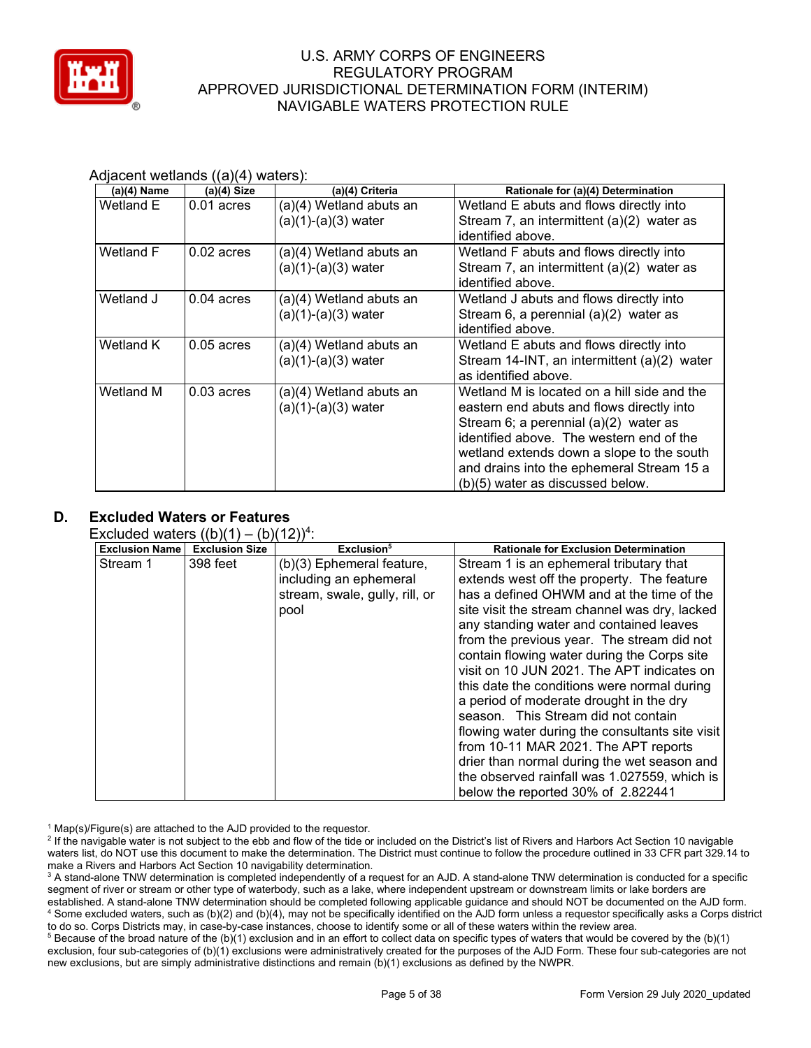

| $(a)(4)$ Name | $(a)(4)$ Size | (a)(4) Criteria         | Rationale for (a)(4) Determination          |
|---------------|---------------|-------------------------|---------------------------------------------|
| Wetland E     | $0.01$ acres  | (a)(4) Wetland abuts an | Wetland E abuts and flows directly into     |
|               |               | (a)(1)-(a)(3) water     | Stream 7, an intermittent $(a)(2)$ water as |
|               |               |                         | identified above.                           |
| Wetland F     | $0.02$ acres  | (a)(4) Wetland abuts an | Wetland F abuts and flows directly into     |
|               |               | (a)(1)-(a)(3) water     | Stream 7, an intermittent $(a)(2)$ water as |
|               |               |                         | identified above.                           |
| Wetland J     | $0.04$ acres  | (a)(4) Wetland abuts an | Wetland J abuts and flows directly into     |
|               |               | (a)(1)-(a)(3) water     | Stream 6, a perennial (a)(2) water as       |
|               |               |                         | identified above.                           |
| Wetland K     | $0.05$ acres  | (a)(4) Wetland abuts an | Wetland E abuts and flows directly into     |
|               |               | (a)(1)-(a)(3) water     | Stream 14-INT, an intermittent (a)(2) water |
|               |               |                         | as identified above.                        |
| Wetland M     | $0.03$ acres  | (a)(4) Wetland abuts an | Wetland M is located on a hill side and the |
|               |               | (a)(1)-(a)(3) water     | eastern end abuts and flows directly into   |
|               |               |                         | Stream 6; a perennial $(a)(2)$ water as     |
|               |               |                         | identified above. The western end of the    |
|               |               |                         | wetland extends down a slope to the south   |
|               |               |                         | and drains into the ephemeral Stream 15 a   |
|               |               |                         | (b)(5) water as discussed below.            |

#### Adjacent wetlands ((a)(4) waters):

# **D. Excluded Waters or Features**

Excluded waters  $((b)(1) - (b)(12))^4$ :

| <b>Exclusion Name</b> | $\overline{\phantom{a}}$<br><b>Exclusion Size</b> | Exclusion <sup>5</sup>         | <b>Rationale for Exclusion Determination</b>    |
|-----------------------|---------------------------------------------------|--------------------------------|-------------------------------------------------|
| Stream 1              | 398 feet                                          | (b)(3) Ephemeral feature,      | Stream 1 is an ephemeral tributary that         |
|                       |                                                   | including an ephemeral         | extends west off the property. The feature      |
|                       |                                                   | stream, swale, gully, rill, or | has a defined OHWM and at the time of the       |
|                       |                                                   | pool                           | site visit the stream channel was dry, lacked   |
|                       |                                                   |                                | any standing water and contained leaves         |
|                       |                                                   |                                | from the previous year. The stream did not      |
|                       |                                                   |                                | contain flowing water during the Corps site     |
|                       |                                                   |                                | visit on 10 JUN 2021. The APT indicates on      |
|                       |                                                   |                                | this date the conditions were normal during     |
|                       |                                                   |                                | a period of moderate drought in the dry         |
|                       |                                                   |                                | season. This Stream did not contain             |
|                       |                                                   |                                | flowing water during the consultants site visit |
|                       |                                                   |                                | from 10-11 MAR 2021. The APT reports            |
|                       |                                                   |                                | drier than normal during the wet season and     |
|                       |                                                   |                                | the observed rainfall was 1.027559, which is    |
|                       |                                                   |                                | below the reported 30% of 2.822441              |

 $1$  Map(s)/Figure(s) are attached to the AJD provided to the requestor.

<sup>2</sup> If the navigable water is not subject to the ebb and flow of the tide or included on the District's list of Rivers and Harbors Act Section 10 navigable waters list, do NOT use this document to make the determination. The District must continue to follow the procedure outlined in 33 CFR part 329.14 to make a Rivers and Harbors Act Section 10 navigability determination.

<sup>3</sup> A stand-alone TNW determination is completed independently of a request for an AJD. A stand-alone TNW determination is conducted for a specific segment of river or stream or other type of waterbody, such as a lake, where independent upstream or downstream limits or lake borders are established. A stand-alone TNW determination should be completed following applicable guidance and should NOT be documented on the AJD form. <sup>4</sup> Some excluded waters, such as (b)(2) and (b)(4), may not be specifically identified on the AJD form unless a requestor specifically asks a Corps district to do so. Corps Districts may, in case-by-case instances, choose to identify some or all of these waters within the review area.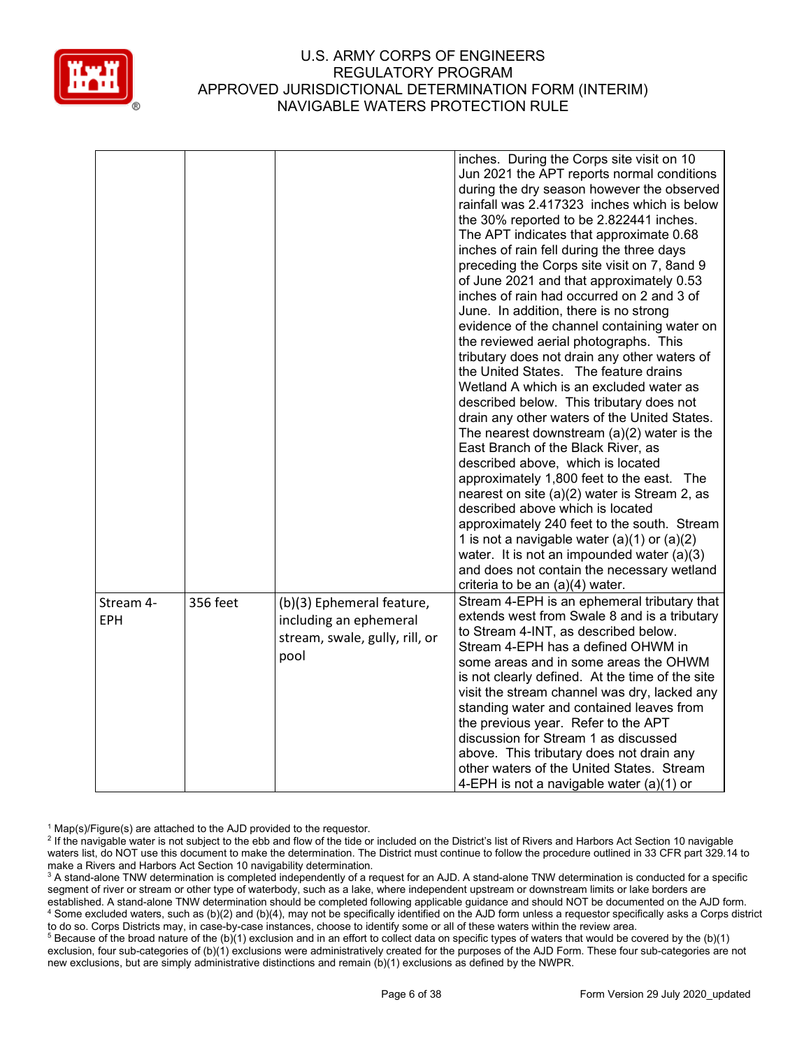

|                         |          |                                                                                               | inches. During the Corps site visit on 10<br>Jun 2021 the APT reports normal conditions<br>during the dry season however the observed<br>rainfall was 2.417323 inches which is below<br>the 30% reported to be 2.822441 inches.<br>The APT indicates that approximate 0.68<br>inches of rain fell during the three days<br>preceding the Corps site visit on 7, 8 and 9<br>of June 2021 and that approximately 0.53<br>inches of rain had occurred on 2 and 3 of<br>June. In addition, there is no strong<br>evidence of the channel containing water on<br>the reviewed aerial photographs. This<br>tributary does not drain any other waters of<br>the United States. The feature drains<br>Wetland A which is an excluded water as<br>described below. This tributary does not<br>drain any other waters of the United States.<br>The nearest downstream $(a)(2)$ water is the<br>East Branch of the Black River, as<br>described above, which is located<br>approximately 1,800 feet to the east. The<br>nearest on site (a)(2) water is Stream 2, as<br>described above which is located<br>approximately 240 feet to the south. Stream<br>1 is not a navigable water $(a)(1)$ or $(a)(2)$<br>water. It is not an impounded water $(a)(3)$<br>and does not contain the necessary wetland<br>criteria to be an (a)(4) water. |
|-------------------------|----------|-----------------------------------------------------------------------------------------------|----------------------------------------------------------------------------------------------------------------------------------------------------------------------------------------------------------------------------------------------------------------------------------------------------------------------------------------------------------------------------------------------------------------------------------------------------------------------------------------------------------------------------------------------------------------------------------------------------------------------------------------------------------------------------------------------------------------------------------------------------------------------------------------------------------------------------------------------------------------------------------------------------------------------------------------------------------------------------------------------------------------------------------------------------------------------------------------------------------------------------------------------------------------------------------------------------------------------------------------------------------------------------------------------------------------------------------|
| Stream 4-<br><b>EPH</b> | 356 feet | (b)(3) Ephemeral feature,<br>including an ephemeral<br>stream, swale, gully, rill, or<br>pool | Stream 4-EPH is an ephemeral tributary that<br>extends west from Swale 8 and is a tributary<br>to Stream 4-INT, as described below.<br>Stream 4-EPH has a defined OHWM in<br>some areas and in some areas the OHWM<br>is not clearly defined. At the time of the site<br>visit the stream channel was dry, lacked any<br>standing water and contained leaves from<br>the previous year. Refer to the APT<br>discussion for Stream 1 as discussed<br>above. This tributary does not drain any<br>other waters of the United States. Stream<br>4-EPH is not a navigable water (a)(1) or                                                                                                                                                                                                                                                                                                                                                                                                                                                                                                                                                                                                                                                                                                                                            |

 $1$  Map(s)/Figure(s) are attached to the AJD provided to the requestor.

<sup>&</sup>lt;sup>2</sup> If the navigable water is not subject to the ebb and flow of the tide or included on the District's list of Rivers and Harbors Act Section 10 navigable waters list, do NOT use this document to make the determination. The District must continue to follow the procedure outlined in 33 CFR part 329.14 to make a Rivers and Harbors Act Section 10 navigability determination.

<sup>&</sup>lt;sup>3</sup> A stand-alone TNW determination is completed independently of a request for an AJD. A stand-alone TNW determination is conducted for a specific segment of river or stream or other type of waterbody, such as a lake, where independent upstream or downstream limits or lake borders are established. A stand-alone TNW determination should be completed following applicable guidance and should NOT be documented on the AJD form. <sup>4</sup> Some excluded waters, such as (b)(2) and (b)(4), may not be specifically identified on the AJD form unless a requestor specifically asks a Corps district to do so. Corps Districts may, in case-by-case instances, choose to identify some or all of these waters within the review area.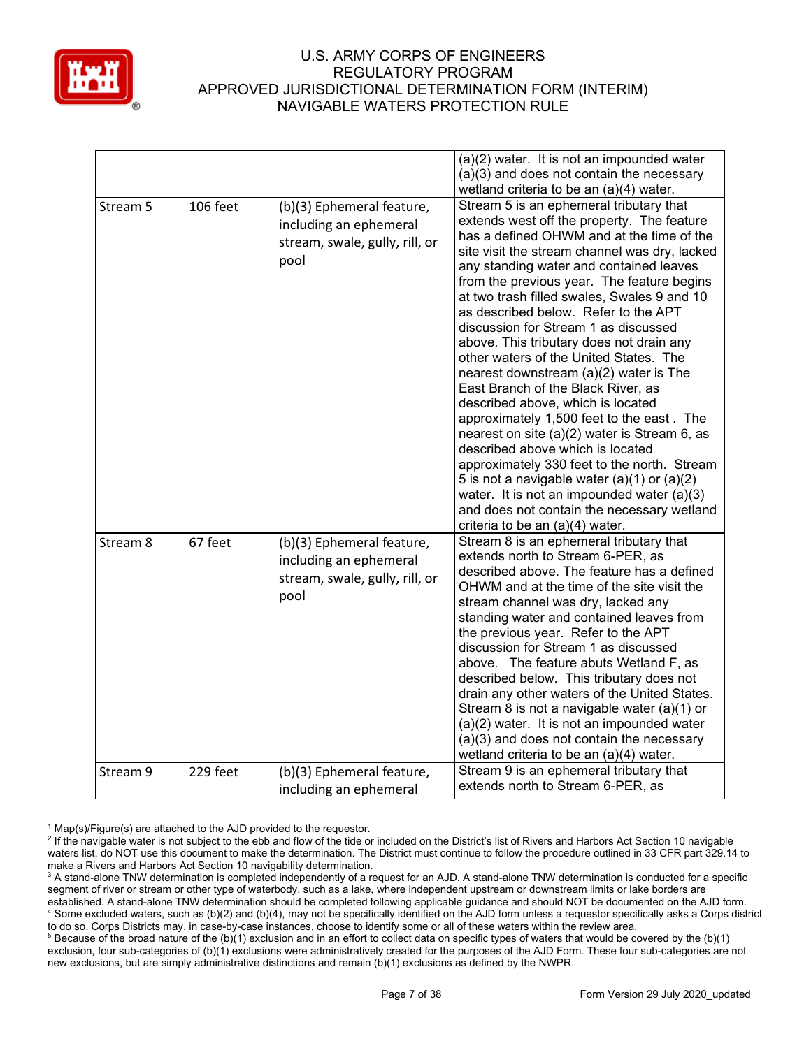

|          |                 |                                                                                               | (a)(2) water. It is not an impounded water<br>(a)(3) and does not contain the necessary<br>wetland criteria to be an $(a)(4)$ water.                                                                                                                                                                                                                                                                                                                                                                                                                                                                                                                                                                                                                                                                                                                                                                                                                                                       |
|----------|-----------------|-----------------------------------------------------------------------------------------------|--------------------------------------------------------------------------------------------------------------------------------------------------------------------------------------------------------------------------------------------------------------------------------------------------------------------------------------------------------------------------------------------------------------------------------------------------------------------------------------------------------------------------------------------------------------------------------------------------------------------------------------------------------------------------------------------------------------------------------------------------------------------------------------------------------------------------------------------------------------------------------------------------------------------------------------------------------------------------------------------|
| Stream 5 | <b>106 feet</b> | (b)(3) Ephemeral feature,<br>including an ephemeral<br>stream, swale, gully, rill, or<br>pool | Stream 5 is an ephemeral tributary that<br>extends west off the property. The feature<br>has a defined OHWM and at the time of the<br>site visit the stream channel was dry, lacked<br>any standing water and contained leaves<br>from the previous year. The feature begins<br>at two trash filled swales, Swales 9 and 10<br>as described below. Refer to the APT<br>discussion for Stream 1 as discussed<br>above. This tributary does not drain any<br>other waters of the United States. The<br>nearest downstream (a)(2) water is The<br>East Branch of the Black River, as<br>described above, which is located<br>approximately 1,500 feet to the east. The<br>nearest on site (a)(2) water is Stream 6, as<br>described above which is located<br>approximately 330 feet to the north. Stream<br>5 is not a navigable water $(a)(1)$ or $(a)(2)$<br>water. It is not an impounded water $(a)(3)$<br>and does not contain the necessary wetland<br>criteria to be an (a)(4) water. |
| Stream 8 | 67 feet         | (b)(3) Ephemeral feature,<br>including an ephemeral<br>stream, swale, gully, rill, or<br>pool | Stream 8 is an ephemeral tributary that<br>extends north to Stream 6-PER, as<br>described above. The feature has a defined<br>OHWM and at the time of the site visit the<br>stream channel was dry, lacked any<br>standing water and contained leaves from<br>the previous year. Refer to the APT<br>discussion for Stream 1 as discussed<br>above. The feature abuts Wetland F, as<br>described below. This tributary does not<br>drain any other waters of the United States.<br>Stream 8 is not a navigable water (a)(1) or<br>(a)(2) water. It is not an impounded water<br>(a)(3) and does not contain the necessary<br>wetland criteria to be an (a)(4) water.                                                                                                                                                                                                                                                                                                                       |
| Stream 9 | 229 feet        | (b)(3) Ephemeral feature,<br>including an ephemeral                                           | Stream 9 is an ephemeral tributary that<br>extends north to Stream 6-PER, as                                                                                                                                                                                                                                                                                                                                                                                                                                                                                                                                                                                                                                                                                                                                                                                                                                                                                                               |

 $1$  Map(s)/Figure(s) are attached to the AJD provided to the requestor.

<sup>&</sup>lt;sup>2</sup> If the navigable water is not subject to the ebb and flow of the tide or included on the District's list of Rivers and Harbors Act Section 10 navigable waters list, do NOT use this document to make the determination. The District must continue to follow the procedure outlined in 33 CFR part 329.14 to make a Rivers and Harbors Act Section 10 navigability determination.

<sup>&</sup>lt;sup>3</sup> A stand-alone TNW determination is completed independently of a request for an AJD. A stand-alone TNW determination is conducted for a specific segment of river or stream or other type of waterbody, such as a lake, where independent upstream or downstream limits or lake borders are established. A stand-alone TNW determination should be completed following applicable guidance and should NOT be documented on the AJD form. <sup>4</sup> Some excluded waters, such as (b)(2) and (b)(4), may not be specifically identified on the AJD form unless a requestor specifically asks a Corps district to do so. Corps Districts may, in case-by-case instances, choose to identify some or all of these waters within the review area.

<sup>&</sup>lt;sup>5</sup> Because of the broad nature of the (b)(1) exclusion and in an effort to collect data on specific types of waters that would be covered by the (b)(1) exclusion, four sub-categories of (b)(1) exclusions were administratively created for the purposes of the AJD Form. These four sub-categories are not new exclusions, but are simply administrative distinctions and remain (b)(1) exclusions as defined by the NWPR.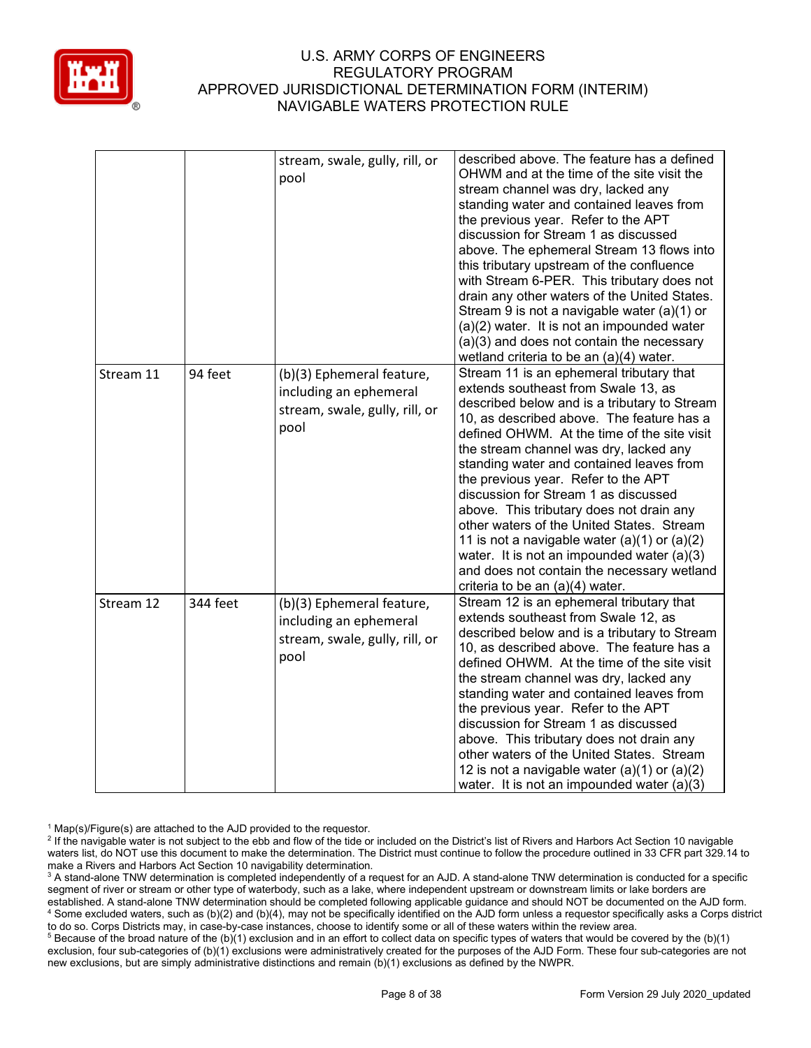

|           |          | stream, swale, gully, rill, or<br>pool                                                        | described above. The feature has a defined<br>OHWM and at the time of the site visit the<br>stream channel was dry, lacked any<br>standing water and contained leaves from<br>the previous year. Refer to the APT<br>discussion for Stream 1 as discussed<br>above. The ephemeral Stream 13 flows into<br>this tributary upstream of the confluence<br>with Stream 6-PER. This tributary does not<br>drain any other waters of the United States.<br>Stream 9 is not a navigable water (a)(1) or<br>(a)(2) water. It is not an impounded water<br>(a)(3) and does not contain the necessary<br>wetland criteria to be an (a)(4) water.                                         |
|-----------|----------|-----------------------------------------------------------------------------------------------|--------------------------------------------------------------------------------------------------------------------------------------------------------------------------------------------------------------------------------------------------------------------------------------------------------------------------------------------------------------------------------------------------------------------------------------------------------------------------------------------------------------------------------------------------------------------------------------------------------------------------------------------------------------------------------|
| Stream 11 | 94 feet  | (b)(3) Ephemeral feature,<br>including an ephemeral<br>stream, swale, gully, rill, or<br>pool | Stream 11 is an ephemeral tributary that<br>extends southeast from Swale 13, as<br>described below and is a tributary to Stream<br>10, as described above. The feature has a<br>defined OHWM. At the time of the site visit<br>the stream channel was dry, lacked any<br>standing water and contained leaves from<br>the previous year. Refer to the APT<br>discussion for Stream 1 as discussed<br>above. This tributary does not drain any<br>other waters of the United States. Stream<br>11 is not a navigable water $(a)(1)$ or $(a)(2)$<br>water. It is not an impounded water $(a)(3)$<br>and does not contain the necessary wetland<br>criteria to be an (a)(4) water. |
| Stream 12 | 344 feet | (b)(3) Ephemeral feature,<br>including an ephemeral<br>stream, swale, gully, rill, or<br>pool | Stream 12 is an ephemeral tributary that<br>extends southeast from Swale 12, as<br>described below and is a tributary to Stream<br>10, as described above. The feature has a<br>defined OHWM. At the time of the site visit<br>the stream channel was dry, lacked any<br>standing water and contained leaves from<br>the previous year. Refer to the APT<br>discussion for Stream 1 as discussed<br>above. This tributary does not drain any<br>other waters of the United States. Stream<br>12 is not a navigable water $(a)(1)$ or $(a)(2)$<br>water. It is not an impounded water $(a)(3)$                                                                                  |

 $1$  Map(s)/Figure(s) are attached to the AJD provided to the requestor.

<sup>&</sup>lt;sup>2</sup> If the navigable water is not subject to the ebb and flow of the tide or included on the District's list of Rivers and Harbors Act Section 10 navigable waters list, do NOT use this document to make the determination. The District must continue to follow the procedure outlined in 33 CFR part 329.14 to make a Rivers and Harbors Act Section 10 navigability determination.

<sup>&</sup>lt;sup>3</sup> A stand-alone TNW determination is completed independently of a request for an AJD. A stand-alone TNW determination is conducted for a specific segment of river or stream or other type of waterbody, such as a lake, where independent upstream or downstream limits or lake borders are established. A stand-alone TNW determination should be completed following applicable guidance and should NOT be documented on the AJD form. <sup>4</sup> Some excluded waters, such as (b)(2) and (b)(4), may not be specifically identified on the AJD form unless a requestor specifically asks a Corps district to do so. Corps Districts may, in case-by-case instances, choose to identify some or all of these waters within the review area.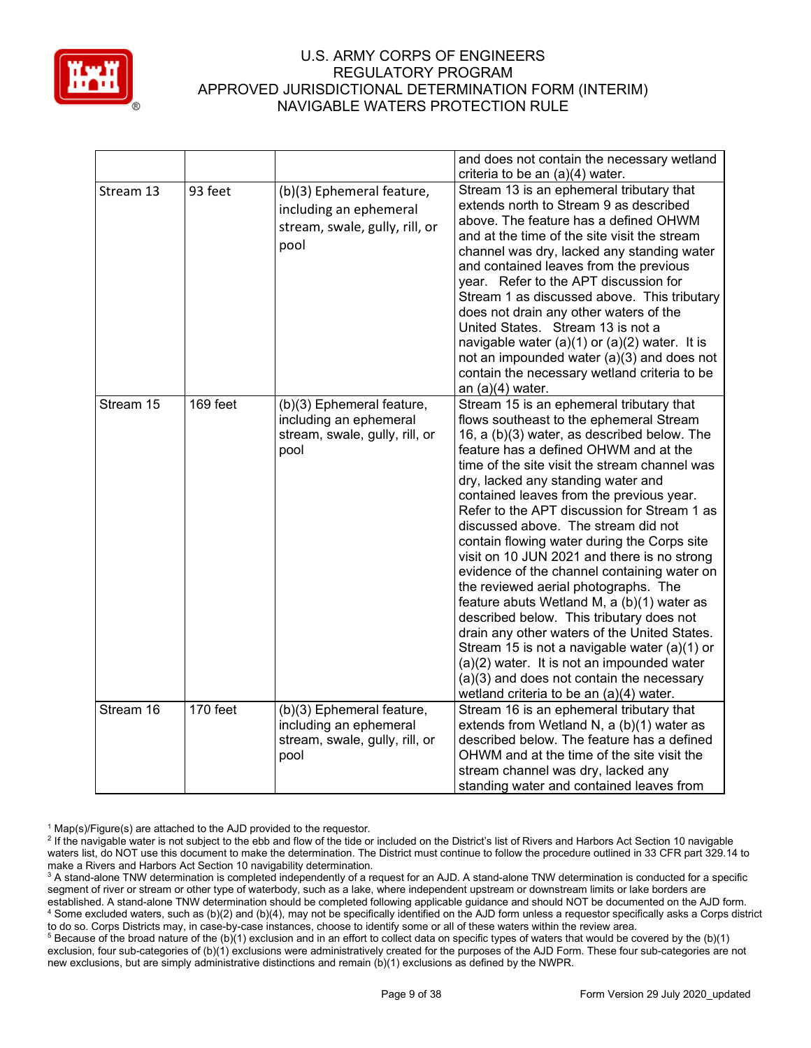

|           |          |                                                                                               | and does not contain the necessary wetland<br>criteria to be an (a)(4) water.                                                                                                                                                                                                                                                                                                                                                                                                                                                                                                                                                                                                                                                                                                                                                                                                                                             |
|-----------|----------|-----------------------------------------------------------------------------------------------|---------------------------------------------------------------------------------------------------------------------------------------------------------------------------------------------------------------------------------------------------------------------------------------------------------------------------------------------------------------------------------------------------------------------------------------------------------------------------------------------------------------------------------------------------------------------------------------------------------------------------------------------------------------------------------------------------------------------------------------------------------------------------------------------------------------------------------------------------------------------------------------------------------------------------|
| Stream 13 | 93 feet  | (b)(3) Ephemeral feature,<br>including an ephemeral<br>stream, swale, gully, rill, or<br>pool | Stream 13 is an ephemeral tributary that<br>extends north to Stream 9 as described<br>above. The feature has a defined OHWM<br>and at the time of the site visit the stream<br>channel was dry, lacked any standing water<br>and contained leaves from the previous<br>year. Refer to the APT discussion for<br>Stream 1 as discussed above. This tributary<br>does not drain any other waters of the<br>United States. Stream 13 is not a<br>navigable water (a)(1) or (a)(2) water. It is<br>not an impounded water (a)(3) and does not<br>contain the necessary wetland criteria to be<br>an $(a)(4)$ water.                                                                                                                                                                                                                                                                                                           |
| Stream 15 | 169 feet | (b)(3) Ephemeral feature,<br>including an ephemeral<br>stream, swale, gully, rill, or<br>pool | Stream 15 is an ephemeral tributary that<br>flows southeast to the ephemeral Stream<br>16, a (b)(3) water, as described below. The<br>feature has a defined OHWM and at the<br>time of the site visit the stream channel was<br>dry, lacked any standing water and<br>contained leaves from the previous year.<br>Refer to the APT discussion for Stream 1 as<br>discussed above. The stream did not<br>contain flowing water during the Corps site<br>visit on 10 JUN 2021 and there is no strong<br>evidence of the channel containing water on<br>the reviewed aerial photographs. The<br>feature abuts Wetland M, a (b)(1) water as<br>described below. This tributary does not<br>drain any other waters of the United States.<br>Stream 15 is not a navigable water (a)(1) or<br>(a)(2) water. It is not an impounded water<br>(a)(3) and does not contain the necessary<br>wetland criteria to be an (a)(4) water. |
| Stream 16 | 170 feet | (b)(3) Ephemeral feature,<br>including an ephemeral<br>stream, swale, gully, rill, or<br>pool | Stream 16 is an ephemeral tributary that<br>extends from Wetland N, a (b)(1) water as<br>described below. The feature has a defined<br>OHWM and at the time of the site visit the<br>stream channel was dry, lacked any<br>standing water and contained leaves from                                                                                                                                                                                                                                                                                                                                                                                                                                                                                                                                                                                                                                                       |

 $1$  Map(s)/Figure(s) are attached to the AJD provided to the requestor.

<sup>&</sup>lt;sup>2</sup> If the navigable water is not subject to the ebb and flow of the tide or included on the District's list of Rivers and Harbors Act Section 10 navigable waters list, do NOT use this document to make the determination. The District must continue to follow the procedure outlined in 33 CFR part 329.14 to make a Rivers and Harbors Act Section 10 navigability determination.

<sup>&</sup>lt;sup>3</sup> A stand-alone TNW determination is completed independently of a request for an AJD. A stand-alone TNW determination is conducted for a specific segment of river or stream or other type of waterbody, such as a lake, where independent upstream or downstream limits or lake borders are established. A stand-alone TNW determination should be completed following applicable guidance and should NOT be documented on the AJD form. <sup>4</sup> Some excluded waters, such as (b)(2) and (b)(4), may not be specifically identified on the AJD form unless a requestor specifically asks a Corps district to do so. Corps Districts may, in case-by-case instances, choose to identify some or all of these waters within the review area.

<sup>&</sup>lt;sup>5</sup> Because of the broad nature of the (b)(1) exclusion and in an effort to collect data on specific types of waters that would be covered by the (b)(1) exclusion, four sub-categories of (b)(1) exclusions were administratively created for the purposes of the AJD Form. These four sub-categories are not new exclusions, but are simply administrative distinctions and remain (b)(1) exclusions as defined by the NWPR.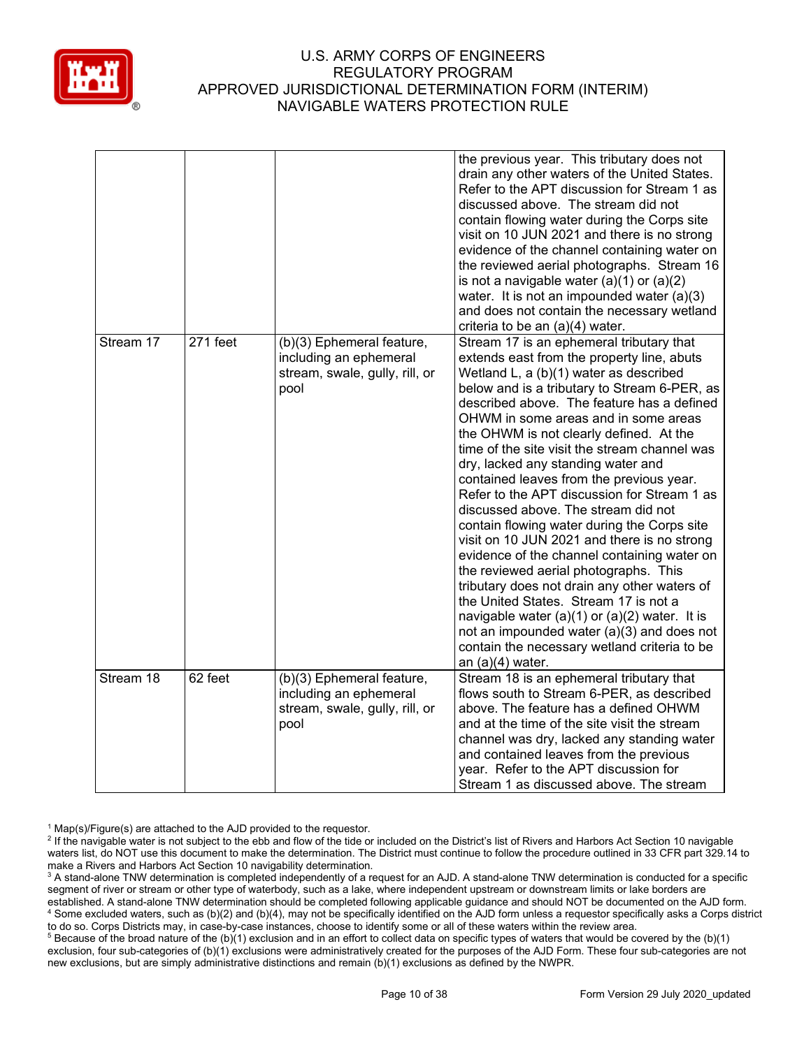

|           |          |                                                                                               | the previous year. This tributary does not<br>drain any other waters of the United States.<br>Refer to the APT discussion for Stream 1 as<br>discussed above. The stream did not<br>contain flowing water during the Corps site<br>visit on 10 JUN 2021 and there is no strong<br>evidence of the channel containing water on<br>the reviewed aerial photographs. Stream 16<br>is not a navigable water $(a)(1)$ or $(a)(2)$<br>water. It is not an impounded water (a)(3)<br>and does not contain the necessary wetland<br>criteria to be an (a)(4) water.                                                                                                                                                                                                                                                                                                                                                                                                                                          |
|-----------|----------|-----------------------------------------------------------------------------------------------|------------------------------------------------------------------------------------------------------------------------------------------------------------------------------------------------------------------------------------------------------------------------------------------------------------------------------------------------------------------------------------------------------------------------------------------------------------------------------------------------------------------------------------------------------------------------------------------------------------------------------------------------------------------------------------------------------------------------------------------------------------------------------------------------------------------------------------------------------------------------------------------------------------------------------------------------------------------------------------------------------|
| Stream 17 | 271 feet | (b)(3) Ephemeral feature,<br>including an ephemeral<br>stream, swale, gully, rill, or<br>pool | Stream 17 is an ephemeral tributary that<br>extends east from the property line, abuts<br>Wetland L, a (b)(1) water as described<br>below and is a tributary to Stream 6-PER, as<br>described above. The feature has a defined<br>OHWM in some areas and in some areas<br>the OHWM is not clearly defined. At the<br>time of the site visit the stream channel was<br>dry, lacked any standing water and<br>contained leaves from the previous year.<br>Refer to the APT discussion for Stream 1 as<br>discussed above. The stream did not<br>contain flowing water during the Corps site<br>visit on 10 JUN 2021 and there is no strong<br>evidence of the channel containing water on<br>the reviewed aerial photographs. This<br>tributary does not drain any other waters of<br>the United States. Stream 17 is not a<br>navigable water $(a)(1)$ or $(a)(2)$ water. It is<br>not an impounded water $(a)(3)$ and does not<br>contain the necessary wetland criteria to be<br>an $(a)(4)$ water. |
| Stream 18 | 62 feet  | (b)(3) Ephemeral feature,<br>including an ephemeral<br>stream, swale, gully, rill, or<br>pool | Stream 18 is an ephemeral tributary that<br>flows south to Stream 6-PER, as described<br>above. The feature has a defined OHWM<br>and at the time of the site visit the stream<br>channel was dry, lacked any standing water<br>and contained leaves from the previous<br>year. Refer to the APT discussion for<br>Stream 1 as discussed above. The stream                                                                                                                                                                                                                                                                                                                                                                                                                                                                                                                                                                                                                                           |

 $1$  Map(s)/Figure(s) are attached to the AJD provided to the requestor.

<sup>&</sup>lt;sup>2</sup> If the navigable water is not subject to the ebb and flow of the tide or included on the District's list of Rivers and Harbors Act Section 10 navigable waters list, do NOT use this document to make the determination. The District must continue to follow the procedure outlined in 33 CFR part 329.14 to make a Rivers and Harbors Act Section 10 navigability determination.

<sup>&</sup>lt;sup>3</sup> A stand-alone TNW determination is completed independently of a request for an AJD. A stand-alone TNW determination is conducted for a specific segment of river or stream or other type of waterbody, such as a lake, where independent upstream or downstream limits or lake borders are established. A stand-alone TNW determination should be completed following applicable guidance and should NOT be documented on the AJD form. <sup>4</sup> Some excluded waters, such as (b)(2) and (b)(4), may not be specifically identified on the AJD form unless a requestor specifically asks a Corps district to do so. Corps Districts may, in case-by-case instances, choose to identify some or all of these waters within the review area.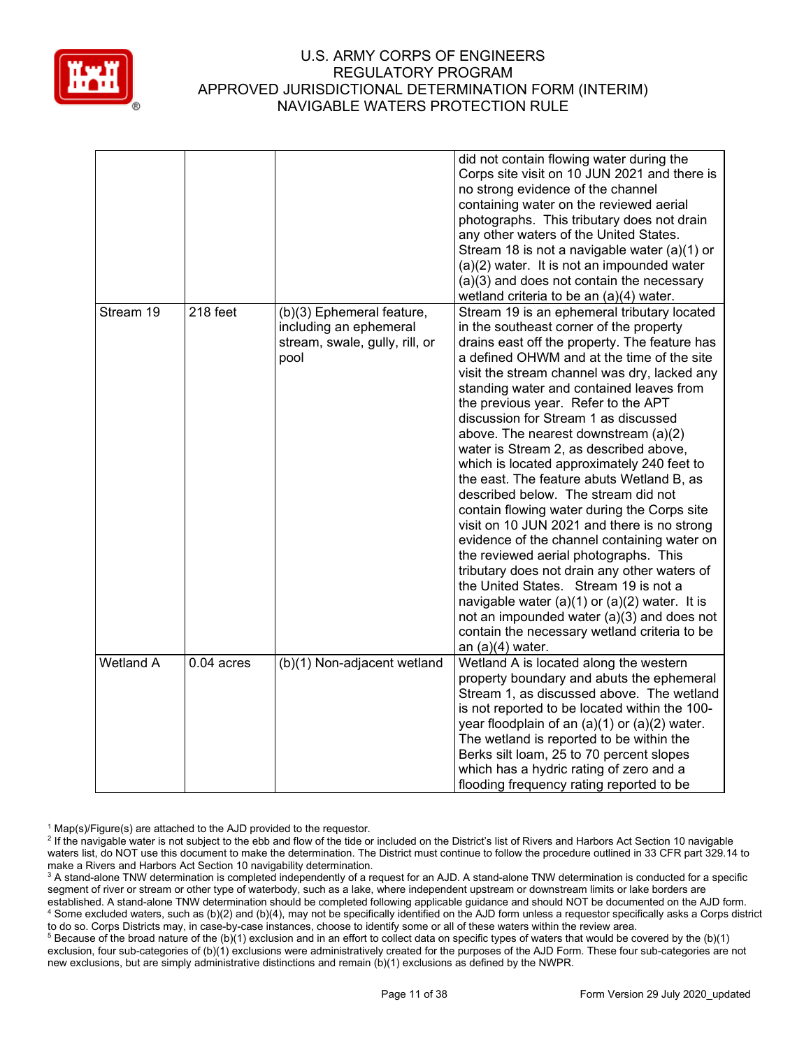

|                  |              |                                                                                               | did not contain flowing water during the<br>Corps site visit on 10 JUN 2021 and there is<br>no strong evidence of the channel<br>containing water on the reviewed aerial<br>photographs. This tributary does not drain<br>any other waters of the United States.<br>Stream 18 is not a navigable water (a)(1) or<br>(a)(2) water. It is not an impounded water<br>(a)(3) and does not contain the necessary<br>wetland criteria to be an (a)(4) water.                                                                                                                                                                                                                                                                                                                                                                                                                                                                                                                                                                                       |
|------------------|--------------|-----------------------------------------------------------------------------------------------|----------------------------------------------------------------------------------------------------------------------------------------------------------------------------------------------------------------------------------------------------------------------------------------------------------------------------------------------------------------------------------------------------------------------------------------------------------------------------------------------------------------------------------------------------------------------------------------------------------------------------------------------------------------------------------------------------------------------------------------------------------------------------------------------------------------------------------------------------------------------------------------------------------------------------------------------------------------------------------------------------------------------------------------------|
| Stream 19        | 218 feet     | (b)(3) Ephemeral feature,<br>including an ephemeral<br>stream, swale, gully, rill, or<br>pool | Stream 19 is an ephemeral tributary located<br>in the southeast corner of the property<br>drains east off the property. The feature has<br>a defined OHWM and at the time of the site<br>visit the stream channel was dry, lacked any<br>standing water and contained leaves from<br>the previous year. Refer to the APT<br>discussion for Stream 1 as discussed<br>above. The nearest downstream (a)(2)<br>water is Stream 2, as described above,<br>which is located approximately 240 feet to<br>the east. The feature abuts Wetland B, as<br>described below. The stream did not<br>contain flowing water during the Corps site<br>visit on 10 JUN 2021 and there is no strong<br>evidence of the channel containing water on<br>the reviewed aerial photographs. This<br>tributary does not drain any other waters of<br>the United States. Stream 19 is not a<br>navigable water $(a)(1)$ or $(a)(2)$ water. It is<br>not an impounded water (a)(3) and does not<br>contain the necessary wetland criteria to be<br>an $(a)(4)$ water. |
| <b>Wetland A</b> | $0.04$ acres | (b)(1) Non-adjacent wetland                                                                   | Wetland A is located along the western<br>property boundary and abuts the ephemeral<br>Stream 1, as discussed above. The wetland<br>is not reported to be located within the 100-<br>year floodplain of an $(a)(1)$ or $(a)(2)$ water.<br>The wetland is reported to be within the<br>Berks silt loam, 25 to 70 percent slopes<br>which has a hydric rating of zero and a<br>flooding frequency rating reported to be                                                                                                                                                                                                                                                                                                                                                                                                                                                                                                                                                                                                                        |

 $1$  Map(s)/Figure(s) are attached to the AJD provided to the requestor.

<sup>&</sup>lt;sup>2</sup> If the navigable water is not subject to the ebb and flow of the tide or included on the District's list of Rivers and Harbors Act Section 10 navigable waters list, do NOT use this document to make the determination. The District must continue to follow the procedure outlined in 33 CFR part 329.14 to make a Rivers and Harbors Act Section 10 navigability determination.

<sup>&</sup>lt;sup>3</sup> A stand-alone TNW determination is completed independently of a request for an AJD. A stand-alone TNW determination is conducted for a specific segment of river or stream or other type of waterbody, such as a lake, where independent upstream or downstream limits or lake borders are established. A stand-alone TNW determination should be completed following applicable guidance and should NOT be documented on the AJD form. <sup>4</sup> Some excluded waters, such as (b)(2) and (b)(4), may not be specifically identified on the AJD form unless a requestor specifically asks a Corps district to do so. Corps Districts may, in case-by-case instances, choose to identify some or all of these waters within the review area.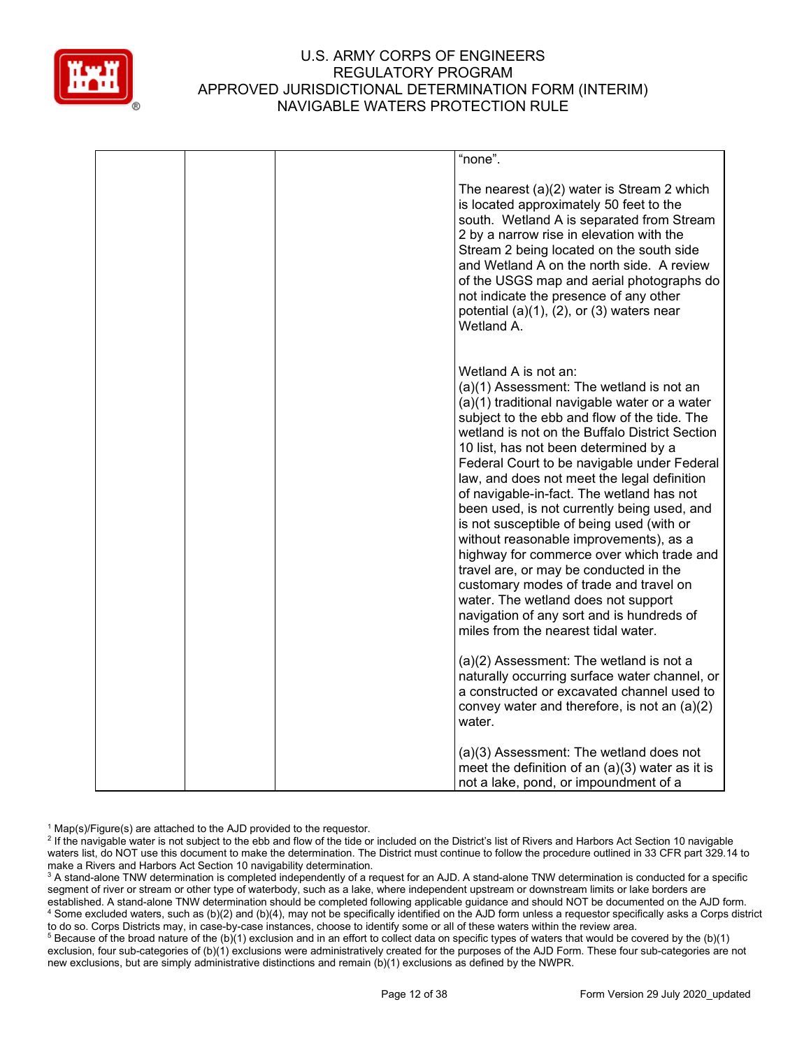

|  | "none".                                                                                                                                                                                                                                                                                                                                                                                                                                                                                                                                                                                                                                                                                                                                                                                                                                                                                               |
|--|-------------------------------------------------------------------------------------------------------------------------------------------------------------------------------------------------------------------------------------------------------------------------------------------------------------------------------------------------------------------------------------------------------------------------------------------------------------------------------------------------------------------------------------------------------------------------------------------------------------------------------------------------------------------------------------------------------------------------------------------------------------------------------------------------------------------------------------------------------------------------------------------------------|
|  | The nearest $(a)(2)$ water is Stream 2 which<br>is located approximately 50 feet to the<br>south. Wetland A is separated from Stream<br>2 by a narrow rise in elevation with the<br>Stream 2 being located on the south side<br>and Wetland A on the north side. A review<br>of the USGS map and aerial photographs do<br>not indicate the presence of any other<br>potential $(a)(1)$ , $(2)$ , or $(3)$ waters near<br>Wetland A.                                                                                                                                                                                                                                                                                                                                                                                                                                                                   |
|  | Wetland A is not an:<br>(a)(1) Assessment: The wetland is not an<br>(a)(1) traditional navigable water or a water<br>subject to the ebb and flow of the tide. The<br>wetland is not on the Buffalo District Section<br>10 list, has not been determined by a<br>Federal Court to be navigable under Federal<br>law, and does not meet the legal definition<br>of navigable-in-fact. The wetland has not<br>been used, is not currently being used, and<br>is not susceptible of being used (with or<br>without reasonable improvements), as a<br>highway for commerce over which trade and<br>travel are, or may be conducted in the<br>customary modes of trade and travel on<br>water. The wetland does not support<br>navigation of any sort and is hundreds of<br>miles from the nearest tidal water.<br>(a)(2) Assessment: The wetland is not a<br>naturally occurring surface water channel, or |
|  | a constructed or excavated channel used to<br>convey water and therefore, is not an $(a)(2)$<br>water.<br>(a)(3) Assessment: The wetland does not<br>meet the definition of an $(a)(3)$ water as it is                                                                                                                                                                                                                                                                                                                                                                                                                                                                                                                                                                                                                                                                                                |
|  | not a lake, pond, or impoundment of a                                                                                                                                                                                                                                                                                                                                                                                                                                                                                                                                                                                                                                                                                                                                                                                                                                                                 |

 $1$  Map(s)/Figure(s) are attached to the AJD provided to the requestor.

<sup>2</sup> If the navigable water is not subject to the ebb and flow of the tide or included on the District's list of Rivers and Harbors Act Section 10 navigable waters list, do NOT use this document to make the determination. The District must continue to follow the procedure outlined in 33 CFR part 329.14 to make a Rivers and Harbors Act Section 10 navigability determination.

<sup>3</sup> A stand-alone TNW determination is completed independently of a request for an AJD. A stand-alone TNW determination is conducted for a specific segment of river or stream or other type of waterbody, such as a lake, where independent upstream or downstream limits or lake borders are established. A stand-alone TNW determination should be completed following applicable guidance and should NOT be documented on the AJD form. <sup>4</sup> Some excluded waters, such as (b)(2) and (b)(4), may not be specifically identified on the AJD form unless a requestor specifically asks a Corps district to do so. Corps Districts may, in case-by-case instances, choose to identify some or all of these waters within the review area.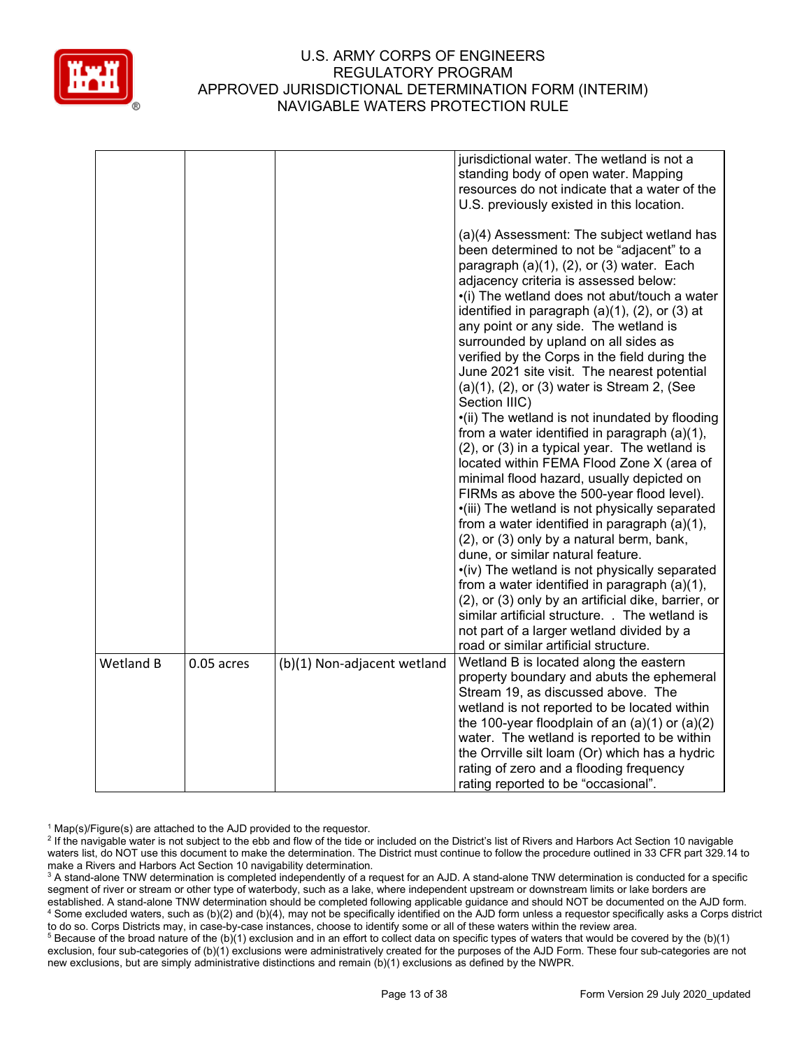

|           |              |                             | jurisdictional water. The wetland is not a<br>standing body of open water. Mapping<br>resources do not indicate that a water of the<br>U.S. previously existed in this location.<br>(a)(4) Assessment: The subject wetland has<br>been determined to not be "adjacent" to a<br>paragraph (a)(1), (2), or (3) water. Each<br>adjacency criteria is assessed below:<br>•(i) The wetland does not abut/touch a water<br>identified in paragraph $(a)(1)$ , $(2)$ , or $(3)$ at<br>any point or any side. The wetland is<br>surrounded by upland on all sides as<br>verified by the Corps in the field during the<br>June 2021 site visit. The nearest potential<br>$(a)(1)$ , $(2)$ , or $(3)$ water is Stream 2, (See<br>Section IIIC)<br>•(ii) The wetland is not inundated by flooding<br>from a water identified in paragraph (a)(1),<br>(2), or (3) in a typical year. The wetland is<br>located within FEMA Flood Zone X (area of<br>minimal flood hazard, usually depicted on<br>FIRMs as above the 500-year flood level).<br>·(iii) The wetland is not physically separated<br>from a water identified in paragraph (a)(1),<br>(2), or (3) only by a natural berm, bank,<br>dune, or similar natural feature.<br>•(iv) The wetland is not physically separated<br>from a water identified in paragraph (a)(1),<br>(2), or (3) only by an artificial dike, barrier, or<br>similar artificial structure. . The wetland is<br>not part of a larger wetland divided by a |
|-----------|--------------|-----------------------------|---------------------------------------------------------------------------------------------------------------------------------------------------------------------------------------------------------------------------------------------------------------------------------------------------------------------------------------------------------------------------------------------------------------------------------------------------------------------------------------------------------------------------------------------------------------------------------------------------------------------------------------------------------------------------------------------------------------------------------------------------------------------------------------------------------------------------------------------------------------------------------------------------------------------------------------------------------------------------------------------------------------------------------------------------------------------------------------------------------------------------------------------------------------------------------------------------------------------------------------------------------------------------------------------------------------------------------------------------------------------------------------------------------------------------------------------------------------------------|
|           |              |                             | road or similar artificial structure.                                                                                                                                                                                                                                                                                                                                                                                                                                                                                                                                                                                                                                                                                                                                                                                                                                                                                                                                                                                                                                                                                                                                                                                                                                                                                                                                                                                                                                     |
| Wetland B | $0.05$ acres | (b)(1) Non-adjacent wetland | Wetland B is located along the eastern<br>property boundary and abuts the ephemeral<br>Stream 19, as discussed above. The<br>wetland is not reported to be located within<br>the 100-year floodplain of an $(a)(1)$ or $(a)(2)$<br>water. The wetland is reported to be within<br>the Orrville silt loam (Or) which has a hydric<br>rating of zero and a flooding frequency<br>rating reported to be "occasional".                                                                                                                                                                                                                                                                                                                                                                                                                                                                                                                                                                                                                                                                                                                                                                                                                                                                                                                                                                                                                                                        |

 $1$  Map(s)/Figure(s) are attached to the AJD provided to the requestor.

<sup>2</sup> If the navigable water is not subject to the ebb and flow of the tide or included on the District's list of Rivers and Harbors Act Section 10 navigable waters list, do NOT use this document to make the determination. The District must continue to follow the procedure outlined in 33 CFR part 329.14 to make a Rivers and Harbors Act Section 10 navigability determination.

<sup>3</sup> A stand-alone TNW determination is completed independently of a request for an AJD. A stand-alone TNW determination is conducted for a specific segment of river or stream or other type of waterbody, such as a lake, where independent upstream or downstream limits or lake borders are established. A stand-alone TNW determination should be completed following applicable guidance and should NOT be documented on the AJD form. <sup>4</sup> Some excluded waters, such as (b)(2) and (b)(4), may not be specifically identified on the AJD form unless a requestor specifically asks a Corps district to do so. Corps Districts may, in case-by-case instances, choose to identify some or all of these waters within the review area.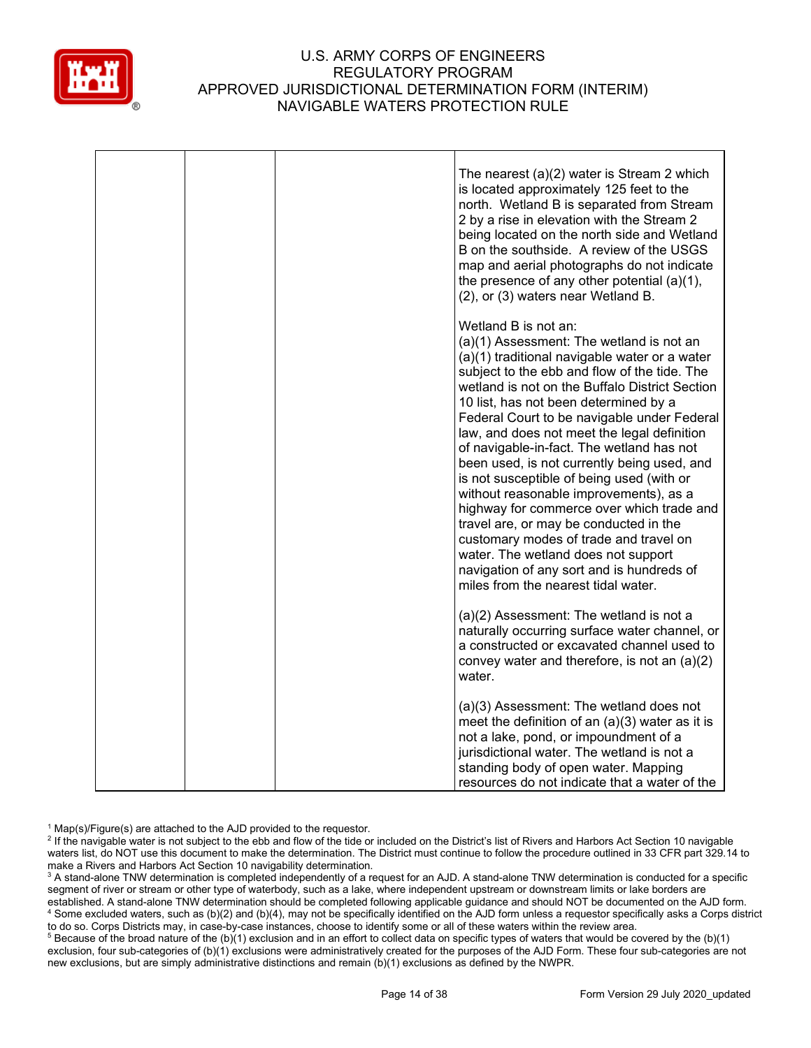

|  | The nearest (a)(2) water is Stream 2 which<br>is located approximately 125 feet to the<br>north. Wetland B is separated from Stream<br>2 by a rise in elevation with the Stream 2<br>being located on the north side and Wetland<br>B on the southside. A review of the USGS<br>map and aerial photographs do not indicate<br>the presence of any other potential $(a)(1)$ ,<br>(2), or (3) waters near Wetland B.                                                                                                                                                                                                                                                                                                                                                                                        |
|--|-----------------------------------------------------------------------------------------------------------------------------------------------------------------------------------------------------------------------------------------------------------------------------------------------------------------------------------------------------------------------------------------------------------------------------------------------------------------------------------------------------------------------------------------------------------------------------------------------------------------------------------------------------------------------------------------------------------------------------------------------------------------------------------------------------------|
|  | Wetland B is not an:<br>(a)(1) Assessment: The wetland is not an<br>(a)(1) traditional navigable water or a water<br>subject to the ebb and flow of the tide. The<br>wetland is not on the Buffalo District Section<br>10 list, has not been determined by a<br>Federal Court to be navigable under Federal<br>law, and does not meet the legal definition<br>of navigable-in-fact. The wetland has not<br>been used, is not currently being used, and<br>is not susceptible of being used (with or<br>without reasonable improvements), as a<br>highway for commerce over which trade and<br>travel are, or may be conducted in the<br>customary modes of trade and travel on<br>water. The wetland does not support<br>navigation of any sort and is hundreds of<br>miles from the nearest tidal water. |
|  | (a)(2) Assessment: The wetland is not a<br>naturally occurring surface water channel, or<br>a constructed or excavated channel used to<br>convey water and therefore, is not an (a)(2)<br>water.                                                                                                                                                                                                                                                                                                                                                                                                                                                                                                                                                                                                          |
|  | (a)(3) Assessment: The wetland does not<br>meet the definition of an $(a)(3)$ water as it is<br>not a lake, pond, or impoundment of a<br>jurisdictional water. The wetland is not a<br>standing body of open water. Mapping<br>resources do not indicate that a water of the                                                                                                                                                                                                                                                                                                                                                                                                                                                                                                                              |

 $1$  Map(s)/Figure(s) are attached to the AJD provided to the requestor.

<sup>2</sup> If the navigable water is not subject to the ebb and flow of the tide or included on the District's list of Rivers and Harbors Act Section 10 navigable waters list, do NOT use this document to make the determination. The District must continue to follow the procedure outlined in 33 CFR part 329.14 to make a Rivers and Harbors Act Section 10 navigability determination.

<sup>3</sup> A stand-alone TNW determination is completed independently of a request for an AJD. A stand-alone TNW determination is conducted for a specific segment of river or stream or other type of waterbody, such as a lake, where independent upstream or downstream limits or lake borders are established. A stand-alone TNW determination should be completed following applicable guidance and should NOT be documented on the AJD form. <sup>4</sup> Some excluded waters, such as (b)(2) and (b)(4), may not be specifically identified on the AJD form unless a requestor specifically asks a Corps district to do so. Corps Districts may, in case-by-case instances, choose to identify some or all of these waters within the review area.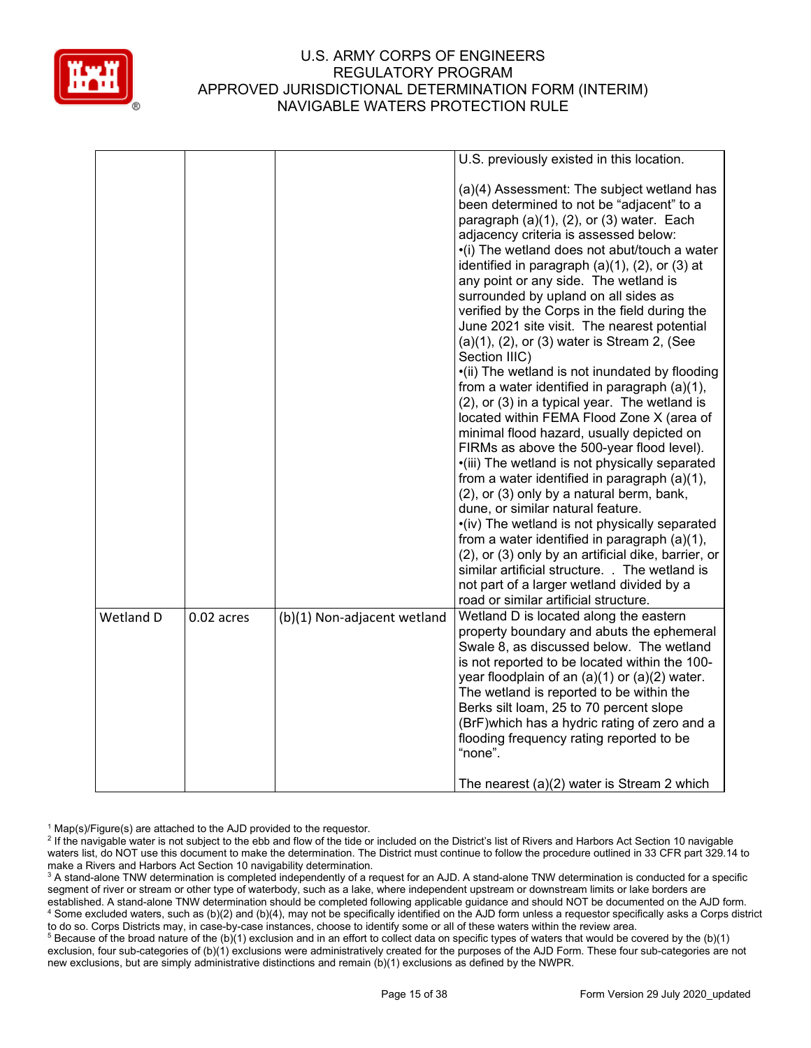

|           |            |                             | U.S. previously existed in this location.                                                                                                                                                                                                                                                                                                                                                                                                                                                                                                                                                                                                                                                                                                                                     |
|-----------|------------|-----------------------------|-------------------------------------------------------------------------------------------------------------------------------------------------------------------------------------------------------------------------------------------------------------------------------------------------------------------------------------------------------------------------------------------------------------------------------------------------------------------------------------------------------------------------------------------------------------------------------------------------------------------------------------------------------------------------------------------------------------------------------------------------------------------------------|
|           |            |                             | (a)(4) Assessment: The subject wetland has<br>been determined to not be "adjacent" to a<br>paragraph $(a)(1)$ , $(2)$ , or $(3)$ water. Each<br>adjacency criteria is assessed below:<br>•(i) The wetland does not abut/touch a water<br>identified in paragraph $(a)(1)$ , $(2)$ , or $(3)$ at<br>any point or any side. The wetland is<br>surrounded by upland on all sides as<br>verified by the Corps in the field during the<br>June 2021 site visit. The nearest potential<br>$(a)(1)$ , $(2)$ , or $(3)$ water is Stream 2, (See<br>Section IIIC)                                                                                                                                                                                                                      |
|           |            |                             | •(ii) The wetland is not inundated by flooding<br>from a water identified in paragraph (a)(1),<br>(2), or (3) in a typical year. The wetland is<br>located within FEMA Flood Zone X (area of<br>minimal flood hazard, usually depicted on<br>FIRMs as above the 500-year flood level).<br>·(iii) The wetland is not physically separated<br>from a water identified in paragraph (a)(1),<br>(2), or (3) only by a natural berm, bank,<br>dune, or similar natural feature.<br>•(iv) The wetland is not physically separated<br>from a water identified in paragraph $(a)(1)$ ,<br>(2), or (3) only by an artificial dike, barrier, or<br>similar artificial structure. . The wetland is<br>not part of a larger wetland divided by a<br>road or similar artificial structure. |
| Wetland D | 0.02 acres | (b)(1) Non-adjacent wetland | Wetland D is located along the eastern<br>property boundary and abuts the ephemeral<br>Swale 8, as discussed below. The wetland<br>is not reported to be located within the 100-<br>year floodplain of an $(a)(1)$ or $(a)(2)$ water.<br>The wetland is reported to be within the<br>Berks silt loam, 25 to 70 percent slope<br>(BrF) which has a hydric rating of zero and a<br>flooding frequency rating reported to be<br>"none".<br>The nearest $(a)(2)$ water is Stream 2 which                                                                                                                                                                                                                                                                                          |
|           |            |                             |                                                                                                                                                                                                                                                                                                                                                                                                                                                                                                                                                                                                                                                                                                                                                                               |

 $1$  Map(s)/Figure(s) are attached to the AJD provided to the requestor.

<sup>2</sup> If the navigable water is not subject to the ebb and flow of the tide or included on the District's list of Rivers and Harbors Act Section 10 navigable waters list, do NOT use this document to make the determination. The District must continue to follow the procedure outlined in 33 CFR part 329.14 to make a Rivers and Harbors Act Section 10 navigability determination.

<sup>3</sup> A stand-alone TNW determination is completed independently of a request for an AJD. A stand-alone TNW determination is conducted for a specific segment of river or stream or other type of waterbody, such as a lake, where independent upstream or downstream limits or lake borders are established. A stand-alone TNW determination should be completed following applicable guidance and should NOT be documented on the AJD form. <sup>4</sup> Some excluded waters, such as (b)(2) and (b)(4), may not be specifically identified on the AJD form unless a requestor specifically asks a Corps district to do so. Corps Districts may, in case-by-case instances, choose to identify some or all of these waters within the review area.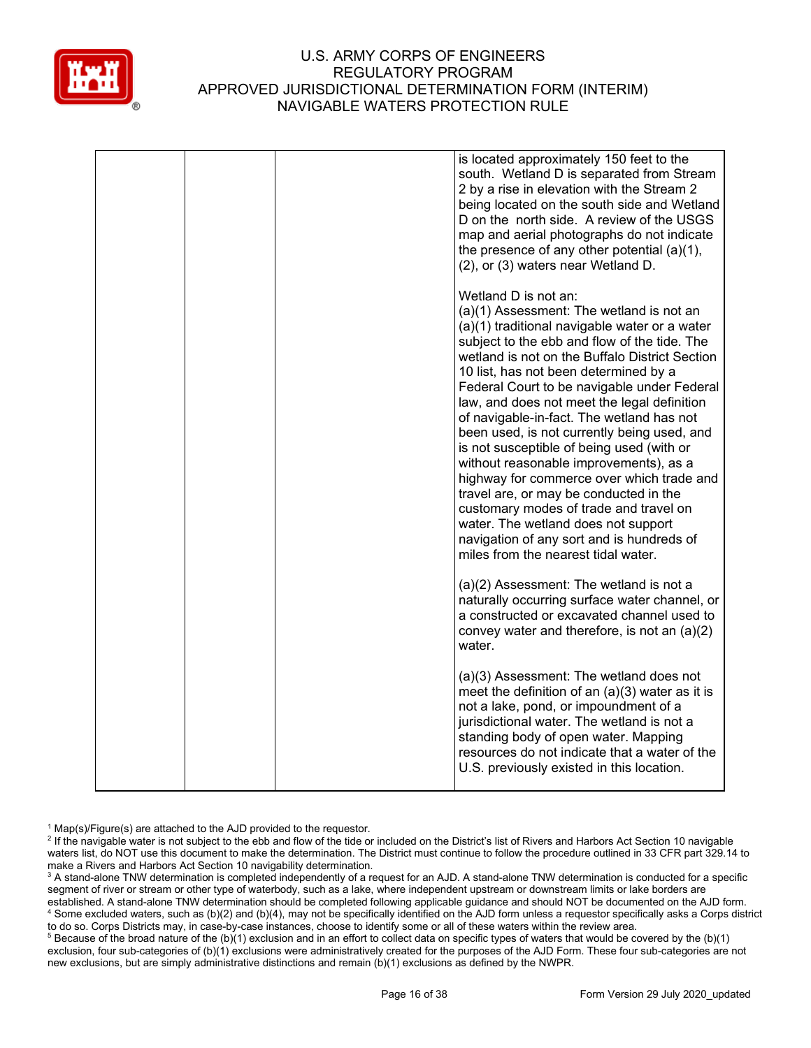

|  | is located approximately 150 feet to the<br>south. Wetland D is separated from Stream<br>2 by a rise in elevation with the Stream 2<br>being located on the south side and Wetland<br>D on the north side. A review of the USGS<br>map and aerial photographs do not indicate<br>the presence of any other potential (a)(1),<br>(2), or (3) waters near Wetland D.                                                                                                                                                                                                                                                                                                                                                                                                                                        |
|--|-----------------------------------------------------------------------------------------------------------------------------------------------------------------------------------------------------------------------------------------------------------------------------------------------------------------------------------------------------------------------------------------------------------------------------------------------------------------------------------------------------------------------------------------------------------------------------------------------------------------------------------------------------------------------------------------------------------------------------------------------------------------------------------------------------------|
|  | Wetland D is not an:<br>(a)(1) Assessment: The wetland is not an<br>(a)(1) traditional navigable water or a water<br>subject to the ebb and flow of the tide. The<br>wetland is not on the Buffalo District Section<br>10 list, has not been determined by a<br>Federal Court to be navigable under Federal<br>law, and does not meet the legal definition<br>of navigable-in-fact. The wetland has not<br>been used, is not currently being used, and<br>is not susceptible of being used (with or<br>without reasonable improvements), as a<br>highway for commerce over which trade and<br>travel are, or may be conducted in the<br>customary modes of trade and travel on<br>water. The wetland does not support<br>navigation of any sort and is hundreds of<br>miles from the nearest tidal water. |
|  | (a)(2) Assessment: The wetland is not a<br>naturally occurring surface water channel, or<br>a constructed or excavated channel used to<br>convey water and therefore, is not an $(a)(2)$<br>water.                                                                                                                                                                                                                                                                                                                                                                                                                                                                                                                                                                                                        |
|  | (a)(3) Assessment: The wetland does not<br>meet the definition of an $(a)(3)$ water as it is<br>not a lake, pond, or impoundment of a<br>jurisdictional water. The wetland is not a<br>standing body of open water. Mapping<br>resources do not indicate that a water of the<br>U.S. previously existed in this location.                                                                                                                                                                                                                                                                                                                                                                                                                                                                                 |

 $1$  Map(s)/Figure(s) are attached to the AJD provided to the requestor.

<sup>&</sup>lt;sup>2</sup> If the navigable water is not subject to the ebb and flow of the tide or included on the District's list of Rivers and Harbors Act Section 10 navigable waters list, do NOT use this document to make the determination. The District must continue to follow the procedure outlined in 33 CFR part 329.14 to make a Rivers and Harbors Act Section 10 navigability determination.

<sup>&</sup>lt;sup>3</sup> A stand-alone TNW determination is completed independently of a request for an AJD. A stand-alone TNW determination is conducted for a specific segment of river or stream or other type of waterbody, such as a lake, where independent upstream or downstream limits or lake borders are established. A stand-alone TNW determination should be completed following applicable guidance and should NOT be documented on the AJD form. <sup>4</sup> Some excluded waters, such as (b)(2) and (b)(4), may not be specifically identified on the AJD form unless a requestor specifically asks a Corps district to do so. Corps Districts may, in case-by-case instances, choose to identify some or all of these waters within the review area.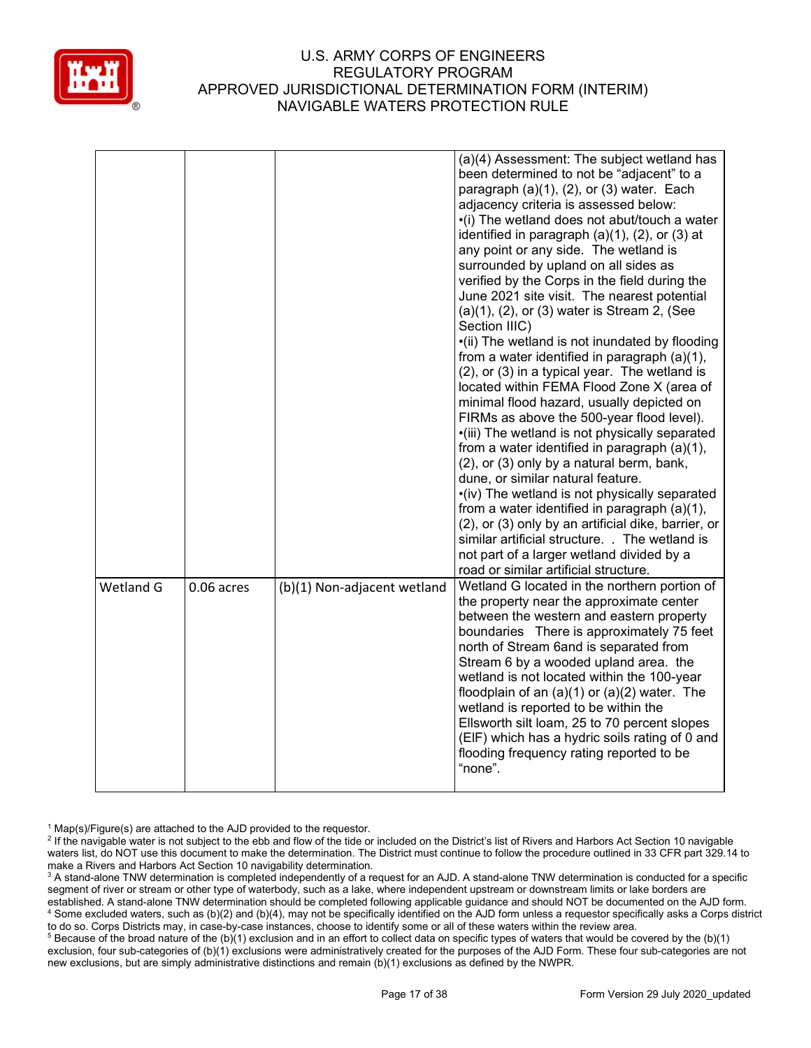

|           |            |                             | (a)(4) Assessment: The subject wetland has<br>been determined to not be "adjacent" to a<br>paragraph $(a)(1)$ , $(2)$ , or $(3)$ water. Each<br>adjacency criteria is assessed below:<br>•(i) The wetland does not abut/touch a water<br>identified in paragraph (a)(1), (2), or (3) at<br>any point or any side. The wetland is<br>surrounded by upland on all sides as<br>verified by the Corps in the field during the<br>June 2021 site visit. The nearest potential<br>$(a)(1)$ , $(2)$ , or $(3)$ water is Stream 2, (See<br>Section IIIC)<br>•(ii) The wetland is not inundated by flooding<br>from a water identified in paragraph (a)(1),<br>(2), or (3) in a typical year. The wetland is<br>located within FEMA Flood Zone X (area of<br>minimal flood hazard, usually depicted on<br>FIRMs as above the 500-year flood level).<br>·(iii) The wetland is not physically separated<br>from a water identified in paragraph (a)(1),<br>(2), or (3) only by a natural berm, bank,<br>dune, or similar natural feature.<br>•(iv) The wetland is not physically separated<br>from a water identified in paragraph (a)(1),<br>(2), or (3) only by an artificial dike, barrier, or<br>similar artificial structure. . The wetland is<br>not part of a larger wetland divided by a<br>road or similar artificial structure. |
|-----------|------------|-----------------------------|--------------------------------------------------------------------------------------------------------------------------------------------------------------------------------------------------------------------------------------------------------------------------------------------------------------------------------------------------------------------------------------------------------------------------------------------------------------------------------------------------------------------------------------------------------------------------------------------------------------------------------------------------------------------------------------------------------------------------------------------------------------------------------------------------------------------------------------------------------------------------------------------------------------------------------------------------------------------------------------------------------------------------------------------------------------------------------------------------------------------------------------------------------------------------------------------------------------------------------------------------------------------------------------------------------------------------------|
| Wetland G | 0.06 acres | (b)(1) Non-adjacent wetland | Wetland G located in the northern portion of<br>the property near the approximate center<br>between the western and eastern property<br>boundaries There is approximately 75 feet<br>north of Stream 6and is separated from<br>Stream 6 by a wooded upland area. the<br>wetland is not located within the 100-year<br>floodplain of an $(a)(1)$ or $(a)(2)$ water. The<br>wetland is reported to be within the<br>Ellsworth silt loam, 25 to 70 percent slopes<br>(EIF) which has a hydric soils rating of 0 and<br>flooding frequency rating reported to be<br>"none".                                                                                                                                                                                                                                                                                                                                                                                                                                                                                                                                                                                                                                                                                                                                                        |

 $1$  Map(s)/Figure(s) are attached to the AJD provided to the requestor.

<sup>2</sup> If the navigable water is not subject to the ebb and flow of the tide or included on the District's list of Rivers and Harbors Act Section 10 navigable waters list, do NOT use this document to make the determination. The District must continue to follow the procedure outlined in 33 CFR part 329.14 to make a Rivers and Harbors Act Section 10 navigability determination.

<sup>3</sup> A stand-alone TNW determination is completed independently of a request for an AJD. A stand-alone TNW determination is conducted for a specific segment of river or stream or other type of waterbody, such as a lake, where independent upstream or downstream limits or lake borders are established. A stand-alone TNW determination should be completed following applicable guidance and should NOT be documented on the AJD form. <sup>4</sup> Some excluded waters, such as (b)(2) and (b)(4), may not be specifically identified on the AJD form unless a requestor specifically asks a Corps district to do so. Corps Districts may, in case-by-case instances, choose to identify some or all of these waters within the review area.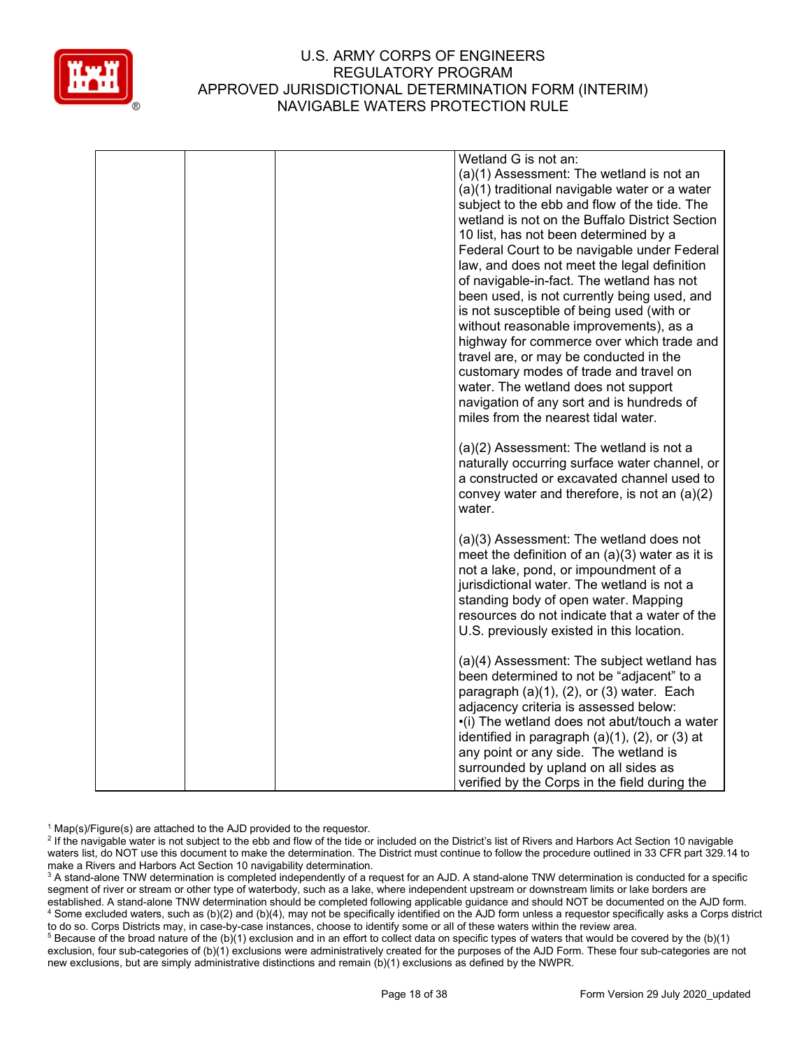

|  | Wetland G is not an:                                                                                                                                                                     |
|--|------------------------------------------------------------------------------------------------------------------------------------------------------------------------------------------|
|  | (a)(1) Assessment: The wetland is not an                                                                                                                                                 |
|  | (a)(1) traditional navigable water or a water                                                                                                                                            |
|  | subject to the ebb and flow of the tide. The                                                                                                                                             |
|  | wetland is not on the Buffalo District Section                                                                                                                                           |
|  | 10 list, has not been determined by a                                                                                                                                                    |
|  | Federal Court to be navigable under Federal                                                                                                                                              |
|  | law, and does not meet the legal definition                                                                                                                                              |
|  | of navigable-in-fact. The wetland has not                                                                                                                                                |
|  | been used, is not currently being used, and                                                                                                                                              |
|  | is not susceptible of being used (with or                                                                                                                                                |
|  |                                                                                                                                                                                          |
|  | without reasonable improvements), as a                                                                                                                                                   |
|  | highway for commerce over which trade and                                                                                                                                                |
|  | travel are, or may be conducted in the                                                                                                                                                   |
|  | customary modes of trade and travel on                                                                                                                                                   |
|  | water. The wetland does not support                                                                                                                                                      |
|  | navigation of any sort and is hundreds of                                                                                                                                                |
|  | miles from the nearest tidal water.                                                                                                                                                      |
|  |                                                                                                                                                                                          |
|  | $(a)(2)$ Assessment: The wetland is not a                                                                                                                                                |
|  | naturally occurring surface water channel, or<br>a constructed or excavated channel used to                                                                                              |
|  |                                                                                                                                                                                          |
|  | convey water and therefore, is not an (a)(2)<br>water.                                                                                                                                   |
|  |                                                                                                                                                                                          |
|  | (a)(3) Assessment: The wetland does not                                                                                                                                                  |
|  | meet the definition of an $(a)(3)$ water as it is                                                                                                                                        |
|  | not a lake, pond, or impoundment of a                                                                                                                                                    |
|  | jurisdictional water. The wetland is not a                                                                                                                                               |
|  | standing body of open water. Mapping                                                                                                                                                     |
|  | resources do not indicate that a water of the                                                                                                                                            |
|  | U.S. previously existed in this location.                                                                                                                                                |
|  |                                                                                                                                                                                          |
|  | (a)(4) Assessment: The subject wetland has                                                                                                                                               |
|  | been determined to not be "adjacent" to a                                                                                                                                                |
|  | paragraph $(a)(1)$ , $(2)$ , or $(3)$ water. Each                                                                                                                                        |
|  | adjacency criteria is assessed below:                                                                                                                                                    |
|  | •(i) The wetland does not abut/touch a water                                                                                                                                             |
|  |                                                                                                                                                                                          |
|  |                                                                                                                                                                                          |
|  |                                                                                                                                                                                          |
|  |                                                                                                                                                                                          |
|  | identified in paragraph $(a)(1)$ , $(2)$ , or $(3)$ at<br>any point or any side. The wetland is<br>surrounded by upland on all sides as<br>verified by the Corps in the field during the |

 $1$  Map(s)/Figure(s) are attached to the AJD provided to the requestor.

<sup>2</sup> If the navigable water is not subject to the ebb and flow of the tide or included on the District's list of Rivers and Harbors Act Section 10 navigable waters list, do NOT use this document to make the determination. The District must continue to follow the procedure outlined in 33 CFR part 329.14 to make a Rivers and Harbors Act Section 10 navigability determination.

<sup>3</sup> A stand-alone TNW determination is completed independently of a request for an AJD. A stand-alone TNW determination is conducted for a specific segment of river or stream or other type of waterbody, such as a lake, where independent upstream or downstream limits or lake borders are established. A stand-alone TNW determination should be completed following applicable guidance and should NOT be documented on the AJD form. <sup>4</sup> Some excluded waters, such as (b)(2) and (b)(4), may not be specifically identified on the AJD form unless a requestor specifically asks a Corps district to do so. Corps Districts may, in case-by-case instances, choose to identify some or all of these waters within the review area.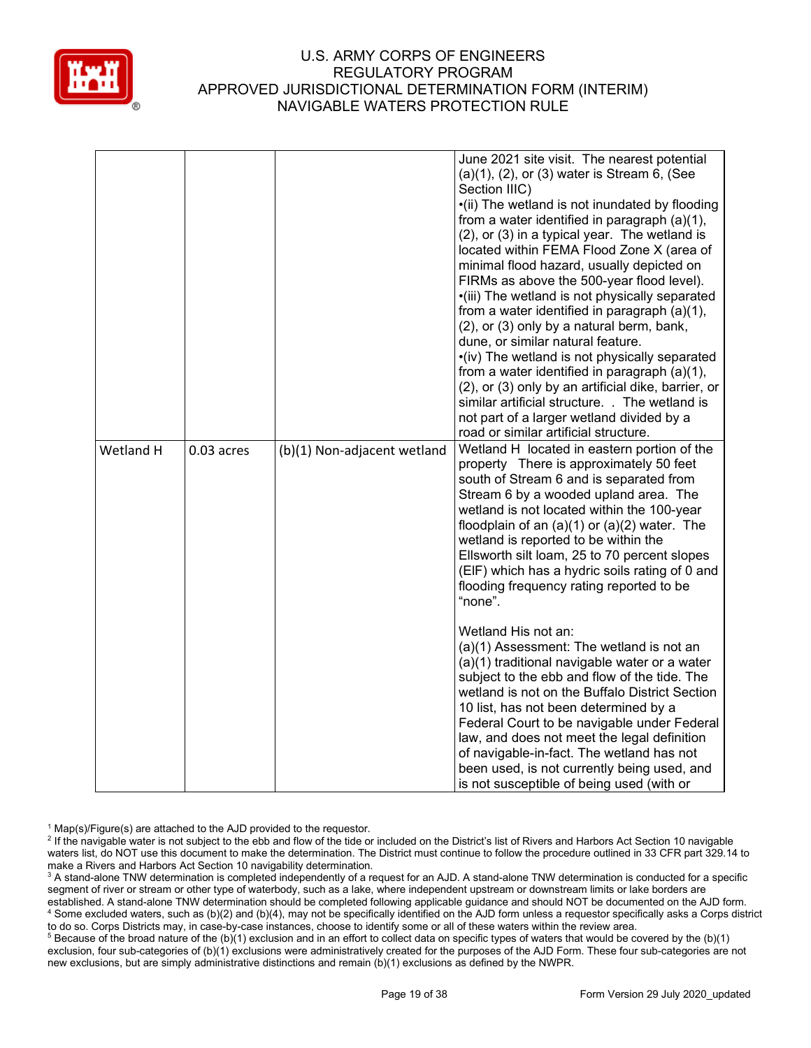

|           |              |                             | June 2021 site visit. The nearest potential<br>$(a)(1)$ , $(2)$ , or $(3)$ water is Stream 6, (See<br>Section IIIC)<br>•(ii) The wetland is not inundated by flooding<br>from a water identified in paragraph (a)(1),<br>(2), or (3) in a typical year. The wetland is<br>located within FEMA Flood Zone X (area of<br>minimal flood hazard, usually depicted on<br>FIRMs as above the 500-year flood level).<br>•(iii) The wetland is not physically separated<br>from a water identified in paragraph $(a)(1)$ ,<br>(2), or (3) only by a natural berm, bank,<br>dune, or similar natural feature.<br>•(iv) The wetland is not physically separated<br>from a water identified in paragraph (a)(1),<br>(2), or (3) only by an artificial dike, barrier, or<br>similar artificial structure. . The wetland is<br>not part of a larger wetland divided by a<br>road or similar artificial structure.                                                                                |
|-----------|--------------|-----------------------------|-------------------------------------------------------------------------------------------------------------------------------------------------------------------------------------------------------------------------------------------------------------------------------------------------------------------------------------------------------------------------------------------------------------------------------------------------------------------------------------------------------------------------------------------------------------------------------------------------------------------------------------------------------------------------------------------------------------------------------------------------------------------------------------------------------------------------------------------------------------------------------------------------------------------------------------------------------------------------------------|
| Wetland H | $0.03$ acres | (b)(1) Non-adjacent wetland | Wetland H located in eastern portion of the<br>property There is approximately 50 feet<br>south of Stream 6 and is separated from<br>Stream 6 by a wooded upland area. The<br>wetland is not located within the 100-year<br>floodplain of an $(a)(1)$ or $(a)(2)$ water. The<br>wetland is reported to be within the<br>Ellsworth silt loam, 25 to 70 percent slopes<br>(EIF) which has a hydric soils rating of 0 and<br>flooding frequency rating reported to be<br>"none".<br>Wetland His not an:<br>(a)(1) Assessment: The wetland is not an<br>(a)(1) traditional navigable water or a water<br>subject to the ebb and flow of the tide. The<br>wetland is not on the Buffalo District Section<br>10 list, has not been determined by a<br>Federal Court to be navigable under Federal<br>law, and does not meet the legal definition<br>of navigable-in-fact. The wetland has not<br>been used, is not currently being used, and<br>is not susceptible of being used (with or |

 $1$  Map(s)/Figure(s) are attached to the AJD provided to the requestor.

<sup>&</sup>lt;sup>2</sup> If the navigable water is not subject to the ebb and flow of the tide or included on the District's list of Rivers and Harbors Act Section 10 navigable waters list, do NOT use this document to make the determination. The District must continue to follow the procedure outlined in 33 CFR part 329.14 to make a Rivers and Harbors Act Section 10 navigability determination.

<sup>&</sup>lt;sup>3</sup> A stand-alone TNW determination is completed independently of a request for an AJD. A stand-alone TNW determination is conducted for a specific segment of river or stream or other type of waterbody, such as a lake, where independent upstream or downstream limits or lake borders are established. A stand-alone TNW determination should be completed following applicable guidance and should NOT be documented on the AJD form. <sup>4</sup> Some excluded waters, such as (b)(2) and (b)(4), may not be specifically identified on the AJD form unless a requestor specifically asks a Corps district to do so. Corps Districts may, in case-by-case instances, choose to identify some or all of these waters within the review area.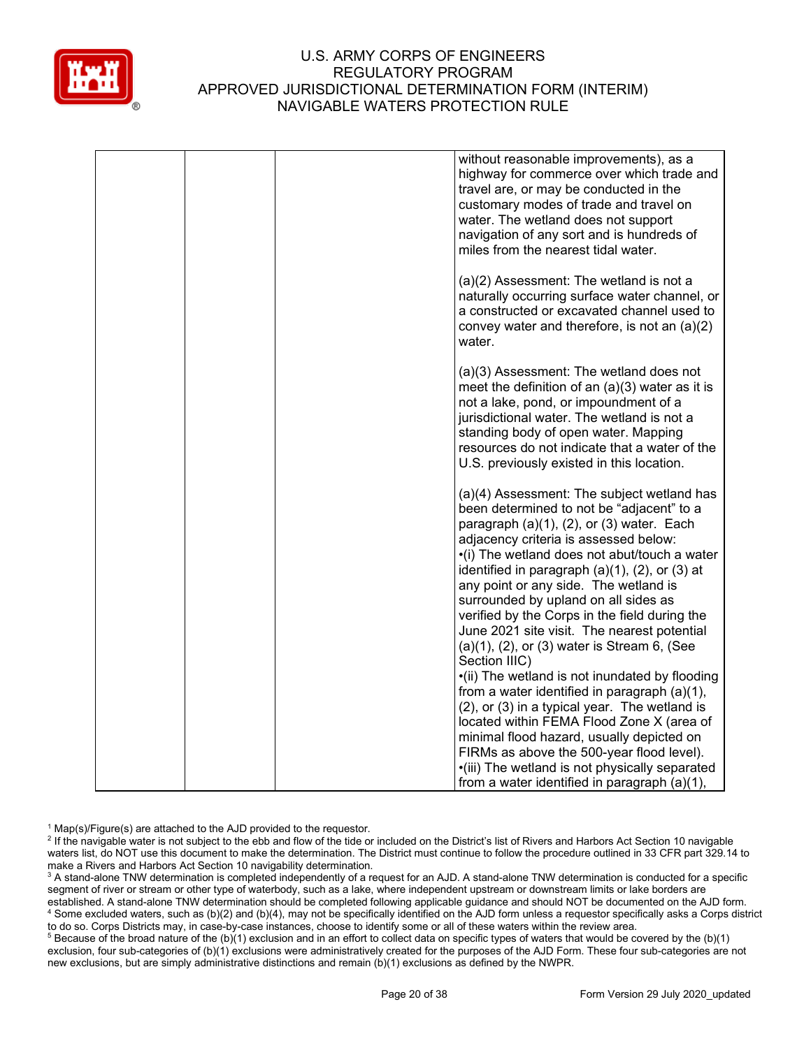

|  | without reasonable improvements), as a<br>highway for commerce over which trade and<br>travel are, or may be conducted in the<br>customary modes of trade and travel on<br>water. The wetland does not support<br>navigation of any sort and is hundreds of<br>miles from the nearest tidal water.                                                                                                                                                                                                                                                       |
|--|----------------------------------------------------------------------------------------------------------------------------------------------------------------------------------------------------------------------------------------------------------------------------------------------------------------------------------------------------------------------------------------------------------------------------------------------------------------------------------------------------------------------------------------------------------|
|  | (a)(2) Assessment: The wetland is not a<br>naturally occurring surface water channel, or<br>a constructed or excavated channel used to<br>convey water and therefore, is not an $(a)(2)$<br>water.                                                                                                                                                                                                                                                                                                                                                       |
|  | (a)(3) Assessment: The wetland does not<br>meet the definition of an $(a)(3)$ water as it is<br>not a lake, pond, or impoundment of a<br>jurisdictional water. The wetland is not a<br>standing body of open water. Mapping<br>resources do not indicate that a water of the<br>U.S. previously existed in this location.                                                                                                                                                                                                                                |
|  | (a)(4) Assessment: The subject wetland has<br>been determined to not be "adjacent" to a<br>paragraph $(a)(1)$ , $(2)$ , or $(3)$ water. Each<br>adjacency criteria is assessed below:<br>•(i) The wetland does not abut/touch a water<br>identified in paragraph $(a)(1)$ , $(2)$ , or $(3)$ at<br>any point or any side. The wetland is<br>surrounded by upland on all sides as<br>verified by the Corps in the field during the<br>June 2021 site visit. The nearest potential<br>$(a)(1)$ , $(2)$ , or $(3)$ water is Stream 6, (See<br>Section IIIC) |
|  | •(ii) The wetland is not inundated by flooding<br>from a water identified in paragraph (a)(1),<br>(2), or (3) in a typical year. The wetland is<br>located within FEMA Flood Zone X (area of<br>minimal flood hazard, usually depicted on<br>FIRMs as above the 500-year flood level).<br>•(iii) The wetland is not physically separated<br>from a water identified in paragraph (a)(1),                                                                                                                                                                 |

 $1$  Map(s)/Figure(s) are attached to the AJD provided to the requestor.

<sup>2</sup> If the navigable water is not subject to the ebb and flow of the tide or included on the District's list of Rivers and Harbors Act Section 10 navigable waters list, do NOT use this document to make the determination. The District must continue to follow the procedure outlined in 33 CFR part 329.14 to make a Rivers and Harbors Act Section 10 navigability determination.

<sup>3</sup> A stand-alone TNW determination is completed independently of a request for an AJD. A stand-alone TNW determination is conducted for a specific segment of river or stream or other type of waterbody, such as a lake, where independent upstream or downstream limits or lake borders are established. A stand-alone TNW determination should be completed following applicable guidance and should NOT be documented on the AJD form. <sup>4</sup> Some excluded waters, such as (b)(2) and (b)(4), may not be specifically identified on the AJD form unless a requestor specifically asks a Corps district to do so. Corps Districts may, in case-by-case instances, choose to identify some or all of these waters within the review area.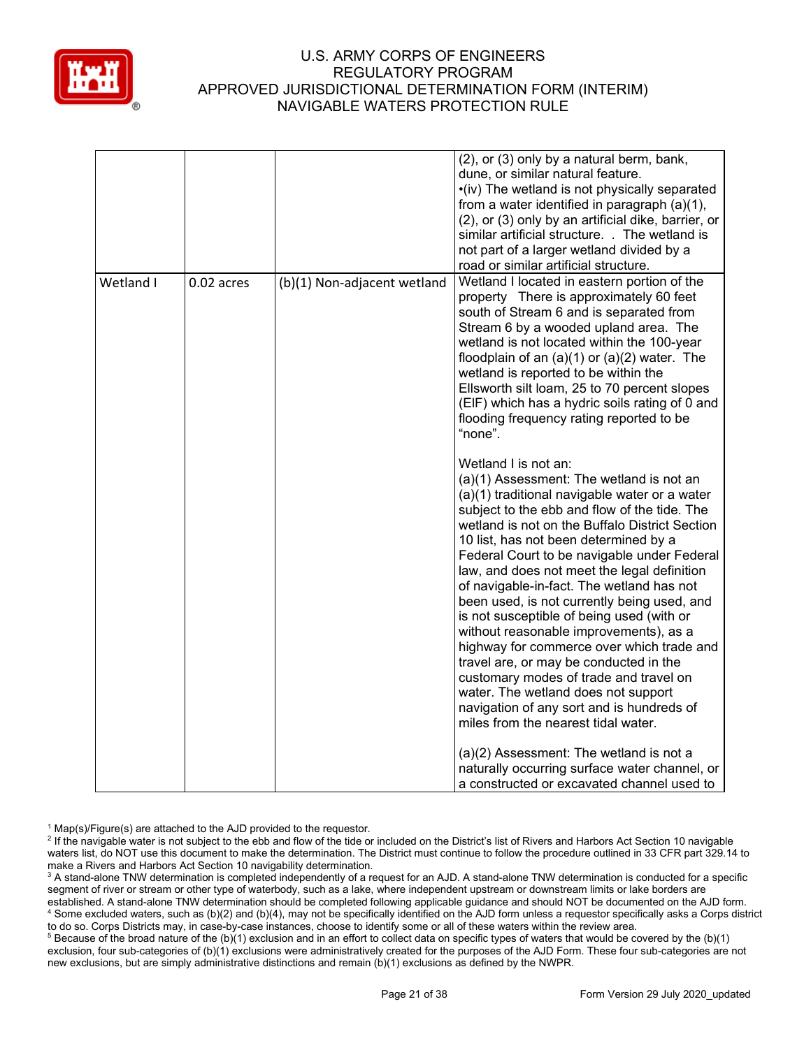

|           |            |                             | (2), or (3) only by a natural berm, bank,<br>dune, or similar natural feature.<br>•(iv) The wetland is not physically separated<br>from a water identified in paragraph (a)(1),<br>(2), or (3) only by an artificial dike, barrier, or<br>similar artificial structure. . The wetland is<br>not part of a larger wetland divided by a<br>road or similar artificial structure.                                                                                                                                                                                                                                                                                                                                                                                                                                                                                                                                                                                                                                                                                                                                                                                                                                                                                                                                                                                                                                                       |
|-----------|------------|-----------------------------|--------------------------------------------------------------------------------------------------------------------------------------------------------------------------------------------------------------------------------------------------------------------------------------------------------------------------------------------------------------------------------------------------------------------------------------------------------------------------------------------------------------------------------------------------------------------------------------------------------------------------------------------------------------------------------------------------------------------------------------------------------------------------------------------------------------------------------------------------------------------------------------------------------------------------------------------------------------------------------------------------------------------------------------------------------------------------------------------------------------------------------------------------------------------------------------------------------------------------------------------------------------------------------------------------------------------------------------------------------------------------------------------------------------------------------------|
| Wetland I | 0.02 acres | (b)(1) Non-adjacent wetland | Wetland I located in eastern portion of the<br>property There is approximately 60 feet<br>south of Stream 6 and is separated from<br>Stream 6 by a wooded upland area. The<br>wetland is not located within the 100-year<br>floodplain of an $(a)(1)$ or $(a)(2)$ water. The<br>wetland is reported to be within the<br>Ellsworth silt loam, 25 to 70 percent slopes<br>(EIF) which has a hydric soils rating of 0 and<br>flooding frequency rating reported to be<br>"none".<br>Wetland I is not an:<br>(a)(1) Assessment: The wetland is not an<br>(a)(1) traditional navigable water or a water<br>subject to the ebb and flow of the tide. The<br>wetland is not on the Buffalo District Section<br>10 list, has not been determined by a<br>Federal Court to be navigable under Federal<br>law, and does not meet the legal definition<br>of navigable-in-fact. The wetland has not<br>been used, is not currently being used, and<br>is not susceptible of being used (with or<br>without reasonable improvements), as a<br>highway for commerce over which trade and<br>travel are, or may be conducted in the<br>customary modes of trade and travel on<br>water. The wetland does not support<br>navigation of any sort and is hundreds of<br>miles from the nearest tidal water.<br>(a)(2) Assessment: The wetland is not a<br>naturally occurring surface water channel, or<br>a constructed or excavated channel used to |

 $1$  Map(s)/Figure(s) are attached to the AJD provided to the requestor.

<sup>2</sup> If the navigable water is not subject to the ebb and flow of the tide or included on the District's list of Rivers and Harbors Act Section 10 navigable waters list, do NOT use this document to make the determination. The District must continue to follow the procedure outlined in 33 CFR part 329.14 to make a Rivers and Harbors Act Section 10 navigability determination.

<sup>3</sup> A stand-alone TNW determination is completed independently of a request for an AJD. A stand-alone TNW determination is conducted for a specific segment of river or stream or other type of waterbody, such as a lake, where independent upstream or downstream limits or lake borders are established. A stand-alone TNW determination should be completed following applicable guidance and should NOT be documented on the AJD form. <sup>4</sup> Some excluded waters, such as (b)(2) and (b)(4), may not be specifically identified on the AJD form unless a requestor specifically asks a Corps district to do so. Corps Districts may, in case-by-case instances, choose to identify some or all of these waters within the review area.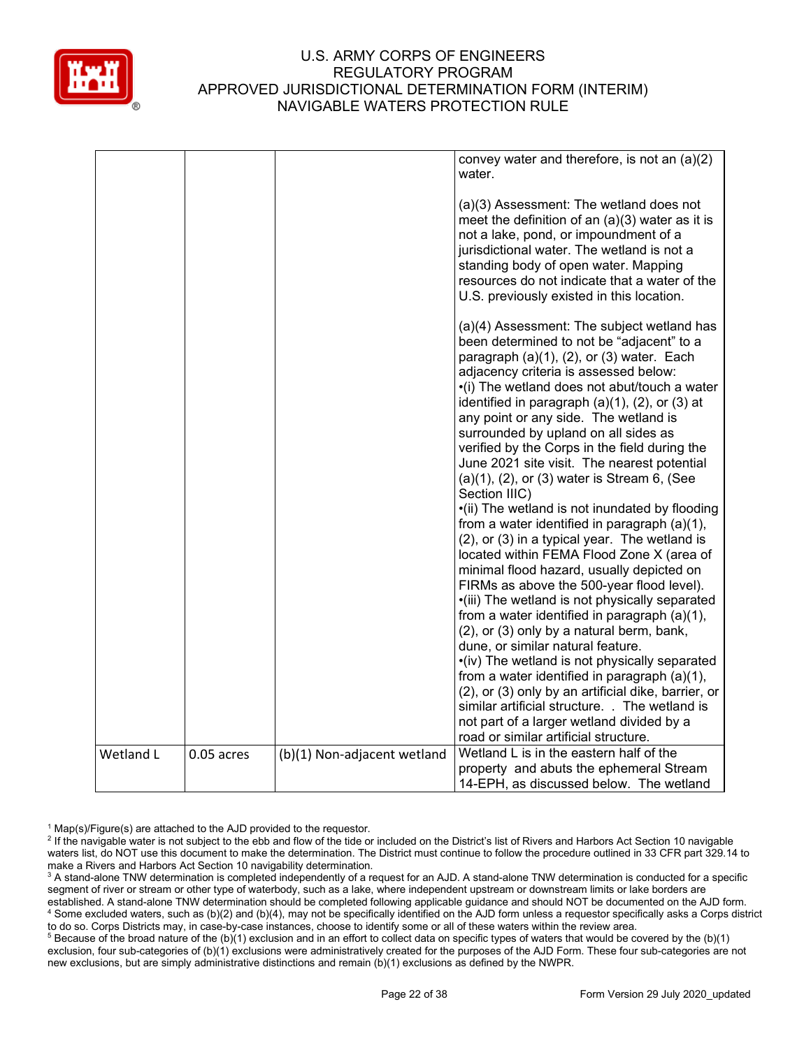

|           |            |                             | convey water and therefore, is not an $(a)(2)$<br>water.                                                                                                                                                                                                                                                                                                                                                                                                                                                                                                                                                                                                                                                                                                                                                                                                                                                                                                                                                                                                                                                                                                                                                                                                                                                                       |
|-----------|------------|-----------------------------|--------------------------------------------------------------------------------------------------------------------------------------------------------------------------------------------------------------------------------------------------------------------------------------------------------------------------------------------------------------------------------------------------------------------------------------------------------------------------------------------------------------------------------------------------------------------------------------------------------------------------------------------------------------------------------------------------------------------------------------------------------------------------------------------------------------------------------------------------------------------------------------------------------------------------------------------------------------------------------------------------------------------------------------------------------------------------------------------------------------------------------------------------------------------------------------------------------------------------------------------------------------------------------------------------------------------------------|
|           |            |                             | (a)(3) Assessment: The wetland does not<br>meet the definition of an $(a)(3)$ water as it is<br>not a lake, pond, or impoundment of a<br>jurisdictional water. The wetland is not a<br>standing body of open water. Mapping<br>resources do not indicate that a water of the<br>U.S. previously existed in this location.                                                                                                                                                                                                                                                                                                                                                                                                                                                                                                                                                                                                                                                                                                                                                                                                                                                                                                                                                                                                      |
|           |            |                             | (a)(4) Assessment: The subject wetland has<br>been determined to not be "adjacent" to a<br>paragraph $(a)(1)$ , $(2)$ , or $(3)$ water. Each<br>adjacency criteria is assessed below:<br>•(i) The wetland does not abut/touch a water<br>identified in paragraph (a)(1), (2), or (3) at<br>any point or any side. The wetland is<br>surrounded by upland on all sides as<br>verified by the Corps in the field during the<br>June 2021 site visit. The nearest potential<br>$(a)(1)$ , $(2)$ , or $(3)$ water is Stream 6, (See<br>Section IIIC)<br>•(ii) The wetland is not inundated by flooding<br>from a water identified in paragraph (a)(1),<br>(2), or (3) in a typical year. The wetland is<br>located within FEMA Flood Zone X (area of<br>minimal flood hazard, usually depicted on<br>FIRMs as above the 500-year flood level).<br>•(iii) The wetland is not physically separated<br>from a water identified in paragraph (a)(1),<br>(2), or (3) only by a natural berm, bank,<br>dune, or similar natural feature.<br>•(iv) The wetland is not physically separated<br>from a water identified in paragraph (a)(1),<br>(2), or (3) only by an artificial dike, barrier, or<br>similar artificial structure. . The wetland is<br>not part of a larger wetland divided by a<br>road or similar artificial structure. |
| Wetland L | 0.05 acres | (b)(1) Non-adjacent wetland | Wetland L is in the eastern half of the                                                                                                                                                                                                                                                                                                                                                                                                                                                                                                                                                                                                                                                                                                                                                                                                                                                                                                                                                                                                                                                                                                                                                                                                                                                                                        |
|           |            |                             | property and abuts the ephemeral Stream<br>14-EPH, as discussed below. The wetland                                                                                                                                                                                                                                                                                                                                                                                                                                                                                                                                                                                                                                                                                                                                                                                                                                                                                                                                                                                                                                                                                                                                                                                                                                             |

 $1$  Map(s)/Figure(s) are attached to the AJD provided to the requestor.

<sup>&</sup>lt;sup>2</sup> If the navigable water is not subject to the ebb and flow of the tide or included on the District's list of Rivers and Harbors Act Section 10 navigable waters list, do NOT use this document to make the determination. The District must continue to follow the procedure outlined in 33 CFR part 329.14 to make a Rivers and Harbors Act Section 10 navigability determination.

<sup>&</sup>lt;sup>3</sup> A stand-alone TNW determination is completed independently of a request for an AJD. A stand-alone TNW determination is conducted for a specific segment of river or stream or other type of waterbody, such as a lake, where independent upstream or downstream limits or lake borders are established. A stand-alone TNW determination should be completed following applicable guidance and should NOT be documented on the AJD form. <sup>4</sup> Some excluded waters, such as (b)(2) and (b)(4), may not be specifically identified on the AJD form unless a requestor specifically asks a Corps district to do so. Corps Districts may, in case-by-case instances, choose to identify some or all of these waters within the review area.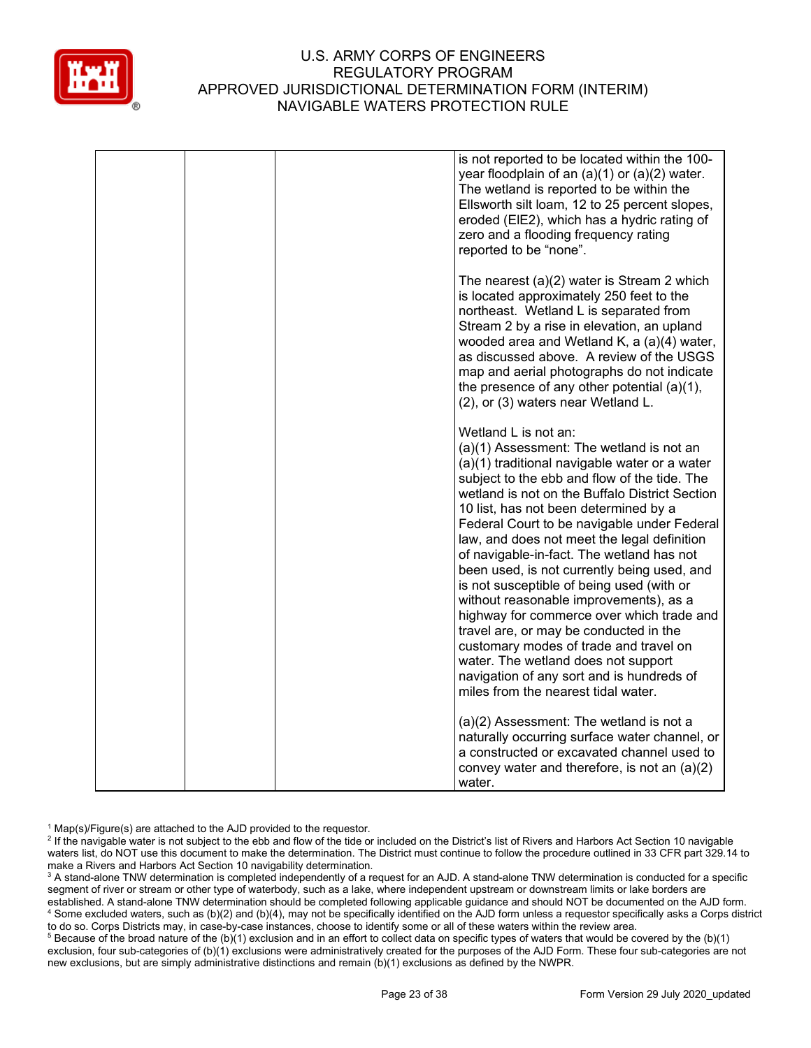

|  | is not reported to be located within the 100-<br>year floodplain of an $(a)(1)$ or $(a)(2)$ water.<br>The wetland is reported to be within the<br>Ellsworth silt loam, 12 to 25 percent slopes,<br>eroded (EIE2), which has a hydric rating of<br>zero and a flooding frequency rating<br>reported to be "none".                                                                                                                                                                                                                                                                                                                                                                                                                                                                                          |
|--|-----------------------------------------------------------------------------------------------------------------------------------------------------------------------------------------------------------------------------------------------------------------------------------------------------------------------------------------------------------------------------------------------------------------------------------------------------------------------------------------------------------------------------------------------------------------------------------------------------------------------------------------------------------------------------------------------------------------------------------------------------------------------------------------------------------|
|  | The nearest (a)(2) water is Stream 2 which<br>is located approximately 250 feet to the<br>northeast. Wetland L is separated from<br>Stream 2 by a rise in elevation, an upland<br>wooded area and Wetland K, a (a)(4) water,<br>as discussed above. A review of the USGS<br>map and aerial photographs do not indicate<br>the presence of any other potential $(a)(1)$ ,<br>(2), or (3) waters near Wetland L.                                                                                                                                                                                                                                                                                                                                                                                            |
|  | Wetland L is not an:<br>(a)(1) Assessment: The wetland is not an<br>(a)(1) traditional navigable water or a water<br>subject to the ebb and flow of the tide. The<br>wetland is not on the Buffalo District Section<br>10 list, has not been determined by a<br>Federal Court to be navigable under Federal<br>law, and does not meet the legal definition<br>of navigable-in-fact. The wetland has not<br>been used, is not currently being used, and<br>is not susceptible of being used (with or<br>without reasonable improvements), as a<br>highway for commerce over which trade and<br>travel are, or may be conducted in the<br>customary modes of trade and travel on<br>water. The wetland does not support<br>navigation of any sort and is hundreds of<br>miles from the nearest tidal water. |
|  | (a)(2) Assessment: The wetland is not a<br>naturally occurring surface water channel, or<br>a constructed or excavated channel used to<br>convey water and therefore, is not an $(a)(2)$<br>water.                                                                                                                                                                                                                                                                                                                                                                                                                                                                                                                                                                                                        |

 $1$  Map(s)/Figure(s) are attached to the AJD provided to the requestor.

<sup>&</sup>lt;sup>2</sup> If the navigable water is not subject to the ebb and flow of the tide or included on the District's list of Rivers and Harbors Act Section 10 navigable waters list, do NOT use this document to make the determination. The District must continue to follow the procedure outlined in 33 CFR part 329.14 to make a Rivers and Harbors Act Section 10 navigability determination.

<sup>&</sup>lt;sup>3</sup> A stand-alone TNW determination is completed independently of a request for an AJD. A stand-alone TNW determination is conducted for a specific segment of river or stream or other type of waterbody, such as a lake, where independent upstream or downstream limits or lake borders are established. A stand-alone TNW determination should be completed following applicable guidance and should NOT be documented on the AJD form. <sup>4</sup> Some excluded waters, such as (b)(2) and (b)(4), may not be specifically identified on the AJD form unless a requestor specifically asks a Corps district to do so. Corps Districts may, in case-by-case instances, choose to identify some or all of these waters within the review area.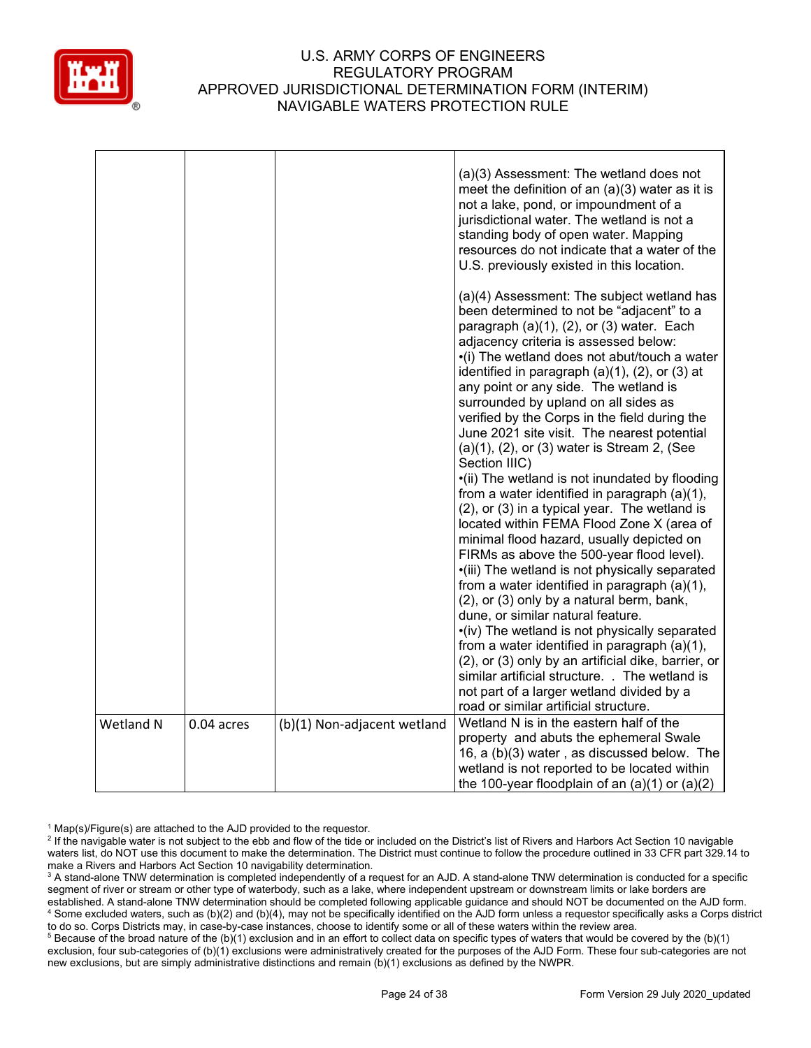

|                                                        | (a)(4) Assessment: The subject wetland has<br>been determined to not be "adjacent" to a<br>paragraph $(a)(1)$ , $(2)$ , or $(3)$ water. Each<br>adjacency criteria is assessed below:                                                                                                                                                                                                                                                                                                                                                                                                                                                                                                                                                                                                                                                                                                                                                                                                                                                                                               |
|--------------------------------------------------------|-------------------------------------------------------------------------------------------------------------------------------------------------------------------------------------------------------------------------------------------------------------------------------------------------------------------------------------------------------------------------------------------------------------------------------------------------------------------------------------------------------------------------------------------------------------------------------------------------------------------------------------------------------------------------------------------------------------------------------------------------------------------------------------------------------------------------------------------------------------------------------------------------------------------------------------------------------------------------------------------------------------------------------------------------------------------------------------|
| Section IIIC)                                          | •(i) The wetland does not abut/touch a water<br>identified in paragraph $(a)(1)$ , $(2)$ , or $(3)$ at<br>any point or any side. The wetland is<br>surrounded by upland on all sides as<br>verified by the Corps in the field during the<br>June 2021 site visit. The nearest potential<br>$(a)(1)$ , $(2)$ , or $(3)$ water is Stream 2, (See<br>•(ii) The wetland is not inundated by flooding<br>from a water identified in paragraph (a)(1),<br>(2), or (3) in a typical year. The wetland is<br>located within FEMA Flood Zone X (area of<br>minimal flood hazard, usually depicted on<br>FIRMs as above the 500-year flood level).<br>•(iii) The wetland is not physically separated<br>from a water identified in paragraph (a)(1),<br>(2), or (3) only by a natural berm, bank,<br>dune, or similar natural feature.<br>•(iv) The wetland is not physically separated<br>from a water identified in paragraph (a)(1),<br>(2), or (3) only by an artificial dike, barrier, or<br>similar artificial structure. . The wetland is<br>not part of a larger wetland divided by a |
| Wetland N<br>(b)(1) Non-adjacent wetland<br>0.04 acres | road or similar artificial structure.<br>Wetland N is in the eastern half of the<br>property and abuts the ephemeral Swale<br>16, a (b)(3) water, as discussed below. The<br>wetland is not reported to be located within<br>the 100-year floodplain of an $(a)(1)$ or $(a)(2)$                                                                                                                                                                                                                                                                                                                                                                                                                                                                                                                                                                                                                                                                                                                                                                                                     |

 $1$  Map(s)/Figure(s) are attached to the AJD provided to the requestor.

<sup>&</sup>lt;sup>2</sup> If the navigable water is not subject to the ebb and flow of the tide or included on the District's list of Rivers and Harbors Act Section 10 navigable waters list, do NOT use this document to make the determination. The District must continue to follow the procedure outlined in 33 CFR part 329.14 to make a Rivers and Harbors Act Section 10 navigability determination.

<sup>&</sup>lt;sup>3</sup> A stand-alone TNW determination is completed independently of a request for an AJD. A stand-alone TNW determination is conducted for a specific segment of river or stream or other type of waterbody, such as a lake, where independent upstream or downstream limits or lake borders are established. A stand-alone TNW determination should be completed following applicable guidance and should NOT be documented on the AJD form. <sup>4</sup> Some excluded waters, such as (b)(2) and (b)(4), may not be specifically identified on the AJD form unless a requestor specifically asks a Corps district to do so. Corps Districts may, in case-by-case instances, choose to identify some or all of these waters within the review area.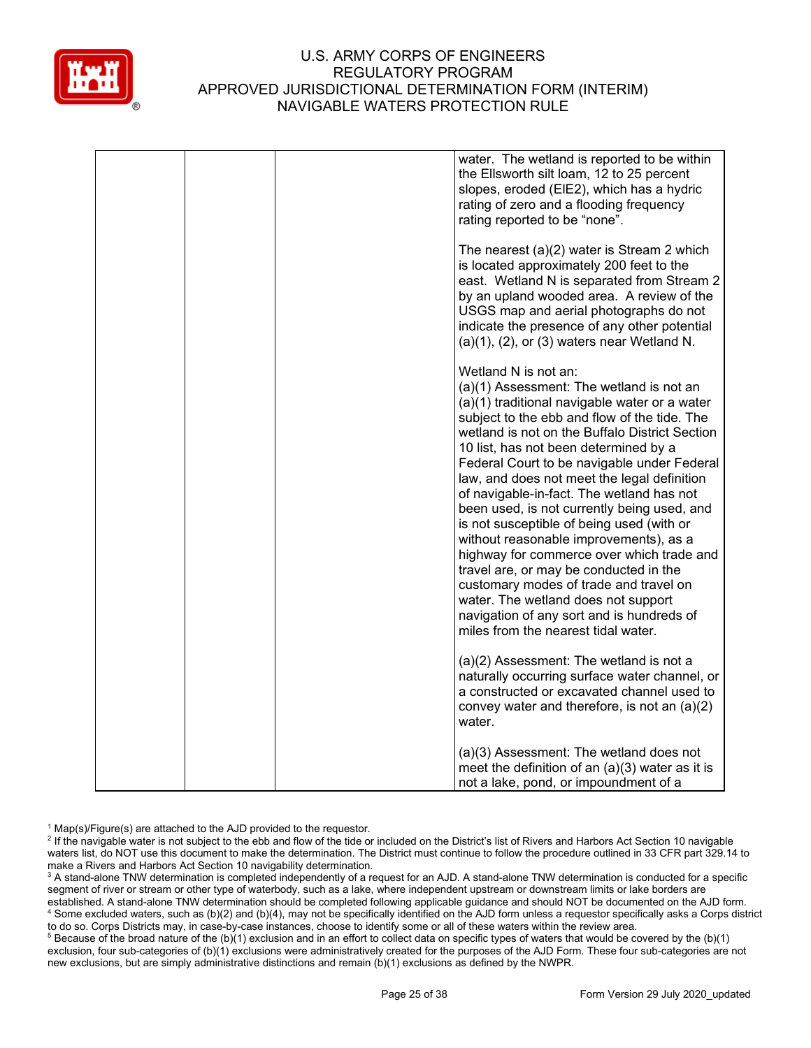

|  | water. The wetland is reported to be within<br>the Ellsworth silt loam, 12 to 25 percent<br>slopes, eroded (EIE2), which has a hydric<br>rating of zero and a flooding frequency<br>rating reported to be "none".                                                                                                                                                                                                                                                                                                                                                                                                                                                                                                                                                                                         |
|--|-----------------------------------------------------------------------------------------------------------------------------------------------------------------------------------------------------------------------------------------------------------------------------------------------------------------------------------------------------------------------------------------------------------------------------------------------------------------------------------------------------------------------------------------------------------------------------------------------------------------------------------------------------------------------------------------------------------------------------------------------------------------------------------------------------------|
|  | The nearest $(a)(2)$ water is Stream 2 which<br>is located approximately 200 feet to the<br>east. Wetland N is separated from Stream 2<br>by an upland wooded area. A review of the<br>USGS map and aerial photographs do not<br>indicate the presence of any other potential<br>$(a)(1)$ , $(2)$ , or $(3)$ waters near Wetland N.                                                                                                                                                                                                                                                                                                                                                                                                                                                                       |
|  | Wetland N is not an:<br>(a)(1) Assessment: The wetland is not an<br>(a)(1) traditional navigable water or a water<br>subject to the ebb and flow of the tide. The<br>wetland is not on the Buffalo District Section<br>10 list, has not been determined by a<br>Federal Court to be navigable under Federal<br>law, and does not meet the legal definition<br>of navigable-in-fact. The wetland has not<br>been used, is not currently being used, and<br>is not susceptible of being used (with or<br>without reasonable improvements), as a<br>highway for commerce over which trade and<br>travel are, or may be conducted in the<br>customary modes of trade and travel on<br>water. The wetland does not support<br>navigation of any sort and is hundreds of<br>miles from the nearest tidal water. |
|  | (a)(2) Assessment: The wetland is not a<br>naturally occurring surface water channel, or<br>a constructed or excavated channel used to<br>convey water and therefore, is not an $(a)(2)$<br>water.                                                                                                                                                                                                                                                                                                                                                                                                                                                                                                                                                                                                        |
|  | (a)(3) Assessment: The wetland does not<br>meet the definition of an $(a)(3)$ water as it is<br>not a lake, pond, or impoundment of a                                                                                                                                                                                                                                                                                                                                                                                                                                                                                                                                                                                                                                                                     |

 $1$  Map(s)/Figure(s) are attached to the AJD provided to the requestor.

<sup>2</sup> If the navigable water is not subject to the ebb and flow of the tide or included on the District's list of Rivers and Harbors Act Section 10 navigable waters list, do NOT use this document to make the determination. The District must continue to follow the procedure outlined in 33 CFR part 329.14 to make a Rivers and Harbors Act Section 10 navigability determination.

<sup>3</sup> A stand-alone TNW determination is completed independently of a request for an AJD. A stand-alone TNW determination is conducted for a specific segment of river or stream or other type of waterbody, such as a lake, where independent upstream or downstream limits or lake borders are established. A stand-alone TNW determination should be completed following applicable guidance and should NOT be documented on the AJD form. <sup>4</sup> Some excluded waters, such as (b)(2) and (b)(4), may not be specifically identified on the AJD form unless a requestor specifically asks a Corps district to do so. Corps Districts may, in case-by-case instances, choose to identify some or all of these waters within the review area.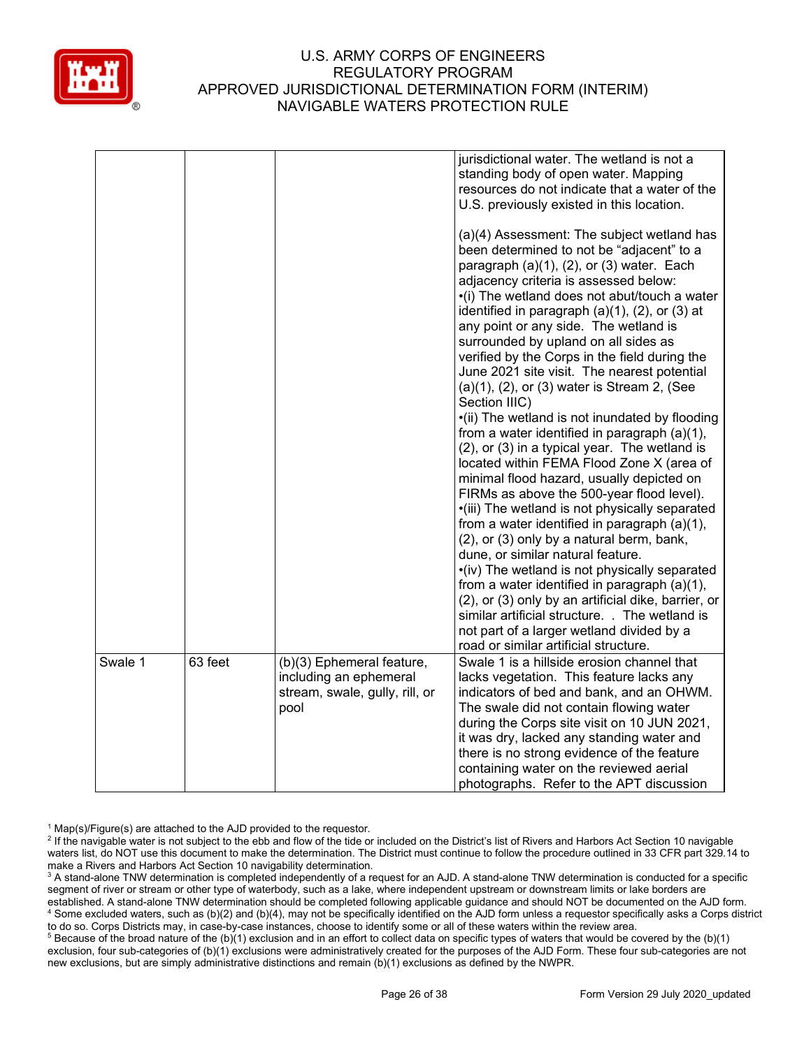

|         |         |                                        | jurisdictional water. The wetland is not a<br>standing body of open water. Mapping<br>resources do not indicate that a water of the<br>U.S. previously existed in this location.<br>(a)(4) Assessment: The subject wetland has<br>been determined to not be "adjacent" to a<br>paragraph $(a)(1)$ , $(2)$ , or $(3)$ water. Each<br>adjacency criteria is assessed below:<br>•(i) The wetland does not abut/touch a water<br>identified in paragraph $(a)(1)$ , $(2)$ , or $(3)$ at<br>any point or any side. The wetland is<br>surrounded by upland on all sides as<br>verified by the Corps in the field during the<br>June 2021 site visit. The nearest potential<br>$(a)(1)$ , $(2)$ , or $(3)$ water is Stream 2, (See<br>Section IIIC)<br>•(ii) The wetland is not inundated by flooding<br>from a water identified in paragraph (a)(1),<br>(2), or (3) in a typical year. The wetland is<br>located within FEMA Flood Zone X (area of<br>minimal flood hazard, usually depicted on<br>FIRMs as above the 500-year flood level).<br>·(iii) The wetland is not physically separated<br>from a water identified in paragraph $(a)(1)$ ,<br>(2), or (3) only by a natural berm, bank,<br>dune, or similar natural feature.<br>•(iv) The wetland is not physically separated<br>from a water identified in paragraph (a)(1),<br>(2), or (3) only by an artificial dike, barrier, or<br>similar artificial structure. . The wetland is<br>not part of a larger wetland divided by a |
|---------|---------|----------------------------------------|--------------------------------------------------------------------------------------------------------------------------------------------------------------------------------------------------------------------------------------------------------------------------------------------------------------------------------------------------------------------------------------------------------------------------------------------------------------------------------------------------------------------------------------------------------------------------------------------------------------------------------------------------------------------------------------------------------------------------------------------------------------------------------------------------------------------------------------------------------------------------------------------------------------------------------------------------------------------------------------------------------------------------------------------------------------------------------------------------------------------------------------------------------------------------------------------------------------------------------------------------------------------------------------------------------------------------------------------------------------------------------------------------------------------------------------------------------------------------------------|
| Swale 1 | 63 feet | (b)(3) Ephemeral feature,              | road or similar artificial structure.<br>Swale 1 is a hillside erosion channel that                                                                                                                                                                                                                                                                                                                                                                                                                                                                                                                                                                                                                                                                                                                                                                                                                                                                                                                                                                                                                                                                                                                                                                                                                                                                                                                                                                                                  |
|         |         | including an ephemeral                 | lacks vegetation. This feature lacks any                                                                                                                                                                                                                                                                                                                                                                                                                                                                                                                                                                                                                                                                                                                                                                                                                                                                                                                                                                                                                                                                                                                                                                                                                                                                                                                                                                                                                                             |
|         |         | stream, swale, gully, rill, or<br>pool | indicators of bed and bank, and an OHWM.<br>The swale did not contain flowing water                                                                                                                                                                                                                                                                                                                                                                                                                                                                                                                                                                                                                                                                                                                                                                                                                                                                                                                                                                                                                                                                                                                                                                                                                                                                                                                                                                                                  |
|         |         |                                        | during the Corps site visit on 10 JUN 2021,                                                                                                                                                                                                                                                                                                                                                                                                                                                                                                                                                                                                                                                                                                                                                                                                                                                                                                                                                                                                                                                                                                                                                                                                                                                                                                                                                                                                                                          |
|         |         |                                        | it was dry, lacked any standing water and                                                                                                                                                                                                                                                                                                                                                                                                                                                                                                                                                                                                                                                                                                                                                                                                                                                                                                                                                                                                                                                                                                                                                                                                                                                                                                                                                                                                                                            |
|         |         |                                        | there is no strong evidence of the feature                                                                                                                                                                                                                                                                                                                                                                                                                                                                                                                                                                                                                                                                                                                                                                                                                                                                                                                                                                                                                                                                                                                                                                                                                                                                                                                                                                                                                                           |
|         |         |                                        | containing water on the reviewed aerial                                                                                                                                                                                                                                                                                                                                                                                                                                                                                                                                                                                                                                                                                                                                                                                                                                                                                                                                                                                                                                                                                                                                                                                                                                                                                                                                                                                                                                              |
|         |         |                                        | photographs. Refer to the APT discussion                                                                                                                                                                                                                                                                                                                                                                                                                                                                                                                                                                                                                                                                                                                                                                                                                                                                                                                                                                                                                                                                                                                                                                                                                                                                                                                                                                                                                                             |

 $1$  Map(s)/Figure(s) are attached to the AJD provided to the requestor.

<sup>&</sup>lt;sup>2</sup> If the navigable water is not subject to the ebb and flow of the tide or included on the District's list of Rivers and Harbors Act Section 10 navigable waters list, do NOT use this document to make the determination. The District must continue to follow the procedure outlined in 33 CFR part 329.14 to make a Rivers and Harbors Act Section 10 navigability determination.

<sup>&</sup>lt;sup>3</sup> A stand-alone TNW determination is completed independently of a request for an AJD. A stand-alone TNW determination is conducted for a specific segment of river or stream or other type of waterbody, such as a lake, where independent upstream or downstream limits or lake borders are established. A stand-alone TNW determination should be completed following applicable guidance and should NOT be documented on the AJD form. <sup>4</sup> Some excluded waters, such as (b)(2) and (b)(4), may not be specifically identified on the AJD form unless a requestor specifically asks a Corps district to do so. Corps Districts may, in case-by-case instances, choose to identify some or all of these waters within the review area.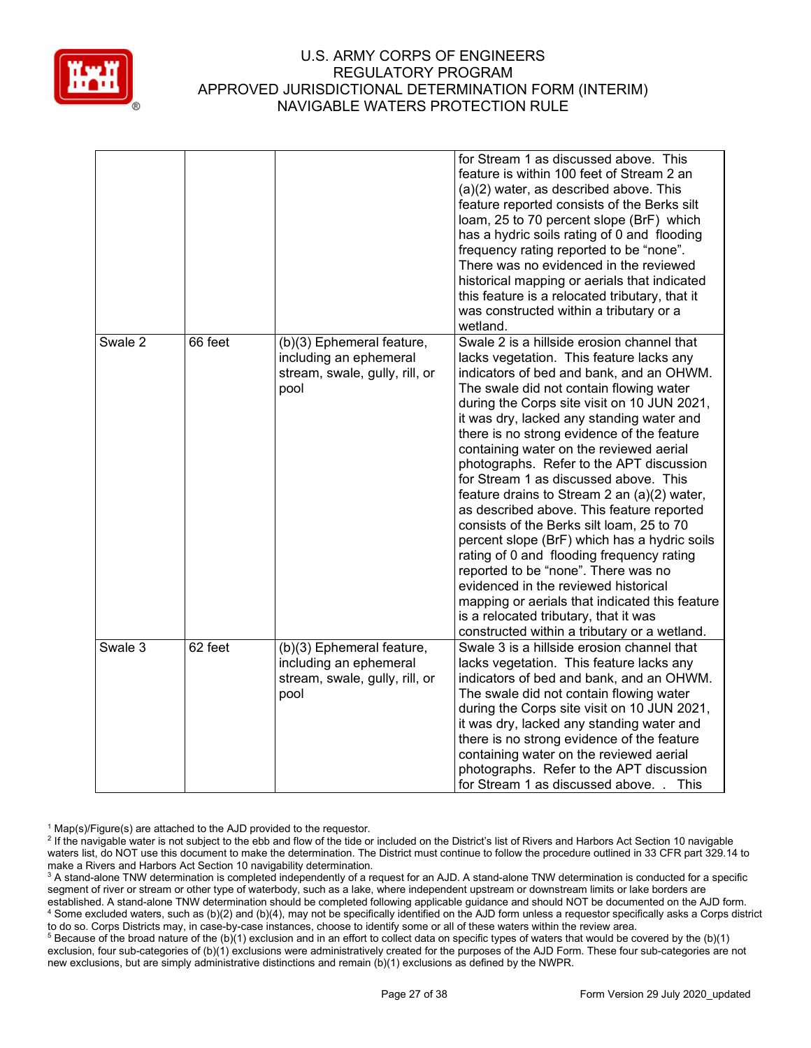

|         |         |                                                                                               | for Stream 1 as discussed above. This<br>feature is within 100 feet of Stream 2 an<br>(a)(2) water, as described above. This<br>feature reported consists of the Berks silt<br>loam, 25 to 70 percent slope (BrF) which<br>has a hydric soils rating of 0 and flooding<br>frequency rating reported to be "none".<br>There was no evidenced in the reviewed<br>historical mapping or aerials that indicated<br>this feature is a relocated tributary, that it<br>was constructed within a tributary or a<br>wetland.                                                                                                                                                                                                                                                                                                                                                                                                    |
|---------|---------|-----------------------------------------------------------------------------------------------|-------------------------------------------------------------------------------------------------------------------------------------------------------------------------------------------------------------------------------------------------------------------------------------------------------------------------------------------------------------------------------------------------------------------------------------------------------------------------------------------------------------------------------------------------------------------------------------------------------------------------------------------------------------------------------------------------------------------------------------------------------------------------------------------------------------------------------------------------------------------------------------------------------------------------|
| Swale 2 | 66 feet | (b)(3) Ephemeral feature,<br>including an ephemeral<br>stream, swale, gully, rill, or<br>pool | Swale 2 is a hillside erosion channel that<br>lacks vegetation. This feature lacks any<br>indicators of bed and bank, and an OHWM.<br>The swale did not contain flowing water<br>during the Corps site visit on 10 JUN 2021,<br>it was dry, lacked any standing water and<br>there is no strong evidence of the feature<br>containing water on the reviewed aerial<br>photographs. Refer to the APT discussion<br>for Stream 1 as discussed above. This<br>feature drains to Stream 2 an (a)(2) water,<br>as described above. This feature reported<br>consists of the Berks silt loam, 25 to 70<br>percent slope (BrF) which has a hydric soils<br>rating of 0 and flooding frequency rating<br>reported to be "none". There was no<br>evidenced in the reviewed historical<br>mapping or aerials that indicated this feature<br>is a relocated tributary, that it was<br>constructed within a tributary or a wetland. |
| Swale 3 | 62 feet | (b)(3) Ephemeral feature,<br>including an ephemeral<br>stream, swale, gully, rill, or<br>pool | Swale 3 is a hillside erosion channel that<br>lacks vegetation. This feature lacks any<br>indicators of bed and bank, and an OHWM.<br>The swale did not contain flowing water<br>during the Corps site visit on 10 JUN 2021,<br>it was dry, lacked any standing water and<br>there is no strong evidence of the feature<br>containing water on the reviewed aerial<br>photographs. Refer to the APT discussion<br>for Stream 1 as discussed above. . This                                                                                                                                                                                                                                                                                                                                                                                                                                                               |

 $1$  Map(s)/Figure(s) are attached to the AJD provided to the requestor.

<sup>&</sup>lt;sup>2</sup> If the navigable water is not subject to the ebb and flow of the tide or included on the District's list of Rivers and Harbors Act Section 10 navigable waters list, do NOT use this document to make the determination. The District must continue to follow the procedure outlined in 33 CFR part 329.14 to make a Rivers and Harbors Act Section 10 navigability determination.

<sup>&</sup>lt;sup>3</sup> A stand-alone TNW determination is completed independently of a request for an AJD. A stand-alone TNW determination is conducted for a specific segment of river or stream or other type of waterbody, such as a lake, where independent upstream or downstream limits or lake borders are established. A stand-alone TNW determination should be completed following applicable guidance and should NOT be documented on the AJD form. <sup>4</sup> Some excluded waters, such as (b)(2) and (b)(4), may not be specifically identified on the AJD form unless a requestor specifically asks a Corps district to do so. Corps Districts may, in case-by-case instances, choose to identify some or all of these waters within the review area.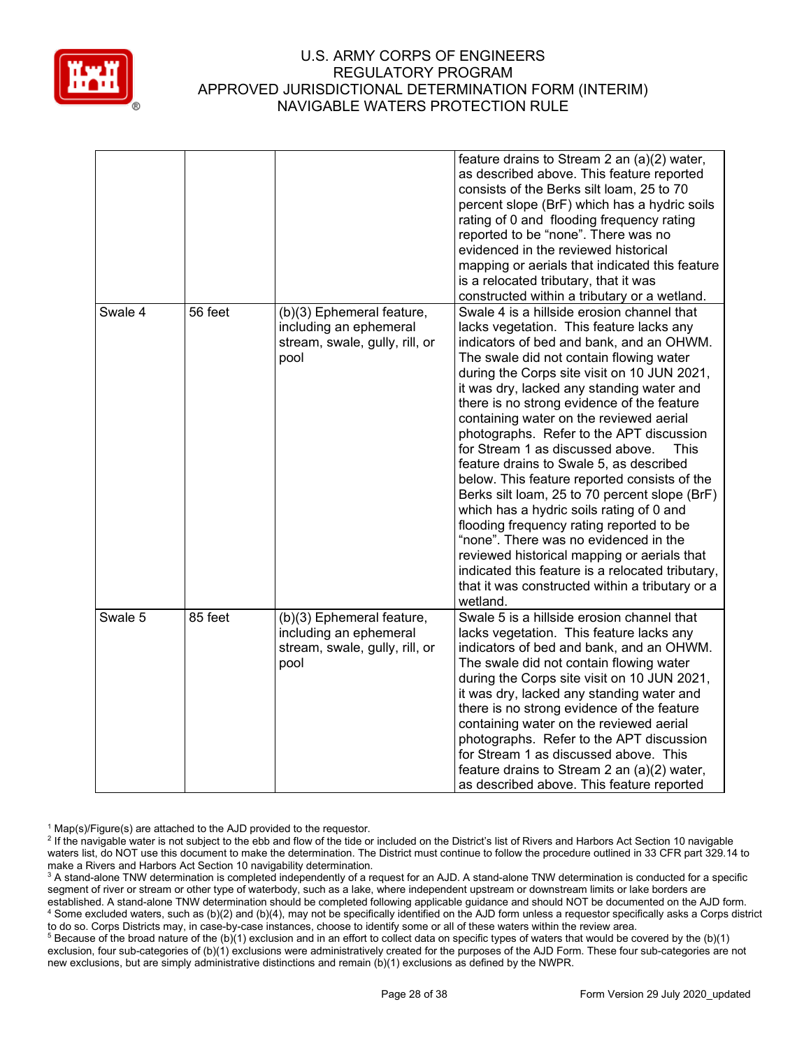

|         |         |                                                                                               | feature drains to Stream 2 an (a)(2) water,<br>as described above. This feature reported<br>consists of the Berks silt loam, 25 to 70<br>percent slope (BrF) which has a hydric soils<br>rating of 0 and flooding frequency rating<br>reported to be "none". There was no<br>evidenced in the reviewed historical<br>mapping or aerials that indicated this feature<br>is a relocated tributary, that it was<br>constructed within a tributary or a wetland.                                                                                                                                                                                                                                                                                                                                                                                                                                              |
|---------|---------|-----------------------------------------------------------------------------------------------|-----------------------------------------------------------------------------------------------------------------------------------------------------------------------------------------------------------------------------------------------------------------------------------------------------------------------------------------------------------------------------------------------------------------------------------------------------------------------------------------------------------------------------------------------------------------------------------------------------------------------------------------------------------------------------------------------------------------------------------------------------------------------------------------------------------------------------------------------------------------------------------------------------------|
| Swale 4 | 56 feet | (b)(3) Ephemeral feature,<br>including an ephemeral<br>stream, swale, gully, rill, or<br>pool | Swale 4 is a hillside erosion channel that<br>lacks vegetation. This feature lacks any<br>indicators of bed and bank, and an OHWM.<br>The swale did not contain flowing water<br>during the Corps site visit on 10 JUN 2021,<br>it was dry, lacked any standing water and<br>there is no strong evidence of the feature<br>containing water on the reviewed aerial<br>photographs. Refer to the APT discussion<br>for Stream 1 as discussed above.<br>This<br>feature drains to Swale 5, as described<br>below. This feature reported consists of the<br>Berks silt loam, 25 to 70 percent slope (BrF)<br>which has a hydric soils rating of 0 and<br>flooding frequency rating reported to be<br>"none". There was no evidenced in the<br>reviewed historical mapping or aerials that<br>indicated this feature is a relocated tributary,<br>that it was constructed within a tributary or a<br>wetland. |
| Swale 5 | 85 feet | (b)(3) Ephemeral feature,<br>including an ephemeral<br>stream, swale, gully, rill, or<br>pool | Swale 5 is a hillside erosion channel that<br>lacks vegetation. This feature lacks any<br>indicators of bed and bank, and an OHWM.<br>The swale did not contain flowing water<br>during the Corps site visit on 10 JUN 2021,<br>it was dry, lacked any standing water and<br>there is no strong evidence of the feature<br>containing water on the reviewed aerial<br>photographs. Refer to the APT discussion<br>for Stream 1 as discussed above. This<br>feature drains to Stream 2 an (a)(2) water,<br>as described above. This feature reported                                                                                                                                                                                                                                                                                                                                                       |

 $1$  Map(s)/Figure(s) are attached to the AJD provided to the requestor.

<sup>&</sup>lt;sup>2</sup> If the navigable water is not subject to the ebb and flow of the tide or included on the District's list of Rivers and Harbors Act Section 10 navigable waters list, do NOT use this document to make the determination. The District must continue to follow the procedure outlined in 33 CFR part 329.14 to make a Rivers and Harbors Act Section 10 navigability determination.

<sup>&</sup>lt;sup>3</sup> A stand-alone TNW determination is completed independently of a request for an AJD. A stand-alone TNW determination is conducted for a specific segment of river or stream or other type of waterbody, such as a lake, where independent upstream or downstream limits or lake borders are established. A stand-alone TNW determination should be completed following applicable guidance and should NOT be documented on the AJD form. <sup>4</sup> Some excluded waters, such as (b)(2) and (b)(4), may not be specifically identified on the AJD form unless a requestor specifically asks a Corps district to do so. Corps Districts may, in case-by-case instances, choose to identify some or all of these waters within the review area.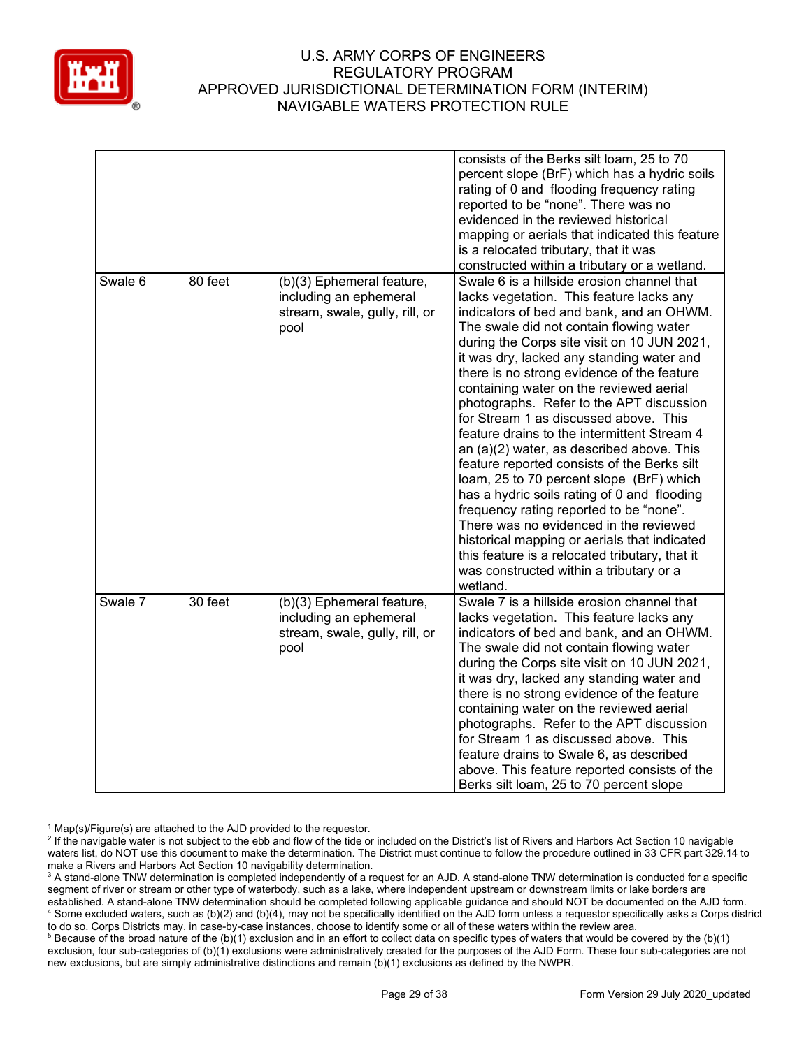

|         |         |                                                                                               | consists of the Berks silt loam, 25 to 70<br>percent slope (BrF) which has a hydric soils<br>rating of 0 and flooding frequency rating<br>reported to be "none". There was no<br>evidenced in the reviewed historical<br>mapping or aerials that indicated this feature<br>is a relocated tributary, that it was<br>constructed within a tributary or a wetland.                                                                                                                                                                                                                                                                                                                                                                                                                                                                                                                                                                            |
|---------|---------|-----------------------------------------------------------------------------------------------|---------------------------------------------------------------------------------------------------------------------------------------------------------------------------------------------------------------------------------------------------------------------------------------------------------------------------------------------------------------------------------------------------------------------------------------------------------------------------------------------------------------------------------------------------------------------------------------------------------------------------------------------------------------------------------------------------------------------------------------------------------------------------------------------------------------------------------------------------------------------------------------------------------------------------------------------|
| Swale 6 | 80 feet | (b)(3) Ephemeral feature,<br>including an ephemeral<br>stream, swale, gully, rill, or<br>pool | Swale 6 is a hillside erosion channel that<br>lacks vegetation. This feature lacks any<br>indicators of bed and bank, and an OHWM.<br>The swale did not contain flowing water<br>during the Corps site visit on 10 JUN 2021,<br>it was dry, lacked any standing water and<br>there is no strong evidence of the feature<br>containing water on the reviewed aerial<br>photographs. Refer to the APT discussion<br>for Stream 1 as discussed above. This<br>feature drains to the intermittent Stream 4<br>an (a)(2) water, as described above. This<br>feature reported consists of the Berks silt<br>loam, 25 to 70 percent slope (BrF) which<br>has a hydric soils rating of 0 and flooding<br>frequency rating reported to be "none".<br>There was no evidenced in the reviewed<br>historical mapping or aerials that indicated<br>this feature is a relocated tributary, that it<br>was constructed within a tributary or a<br>wetland. |
| Swale 7 | 30 feet | (b)(3) Ephemeral feature,<br>including an ephemeral<br>stream, swale, gully, rill, or<br>pool | Swale 7 is a hillside erosion channel that<br>lacks vegetation. This feature lacks any<br>indicators of bed and bank, and an OHWM.<br>The swale did not contain flowing water<br>during the Corps site visit on 10 JUN 2021,<br>it was dry, lacked any standing water and<br>there is no strong evidence of the feature<br>containing water on the reviewed aerial<br>photographs. Refer to the APT discussion<br>for Stream 1 as discussed above. This<br>feature drains to Swale 6, as described<br>above. This feature reported consists of the<br>Berks silt loam, 25 to 70 percent slope                                                                                                                                                                                                                                                                                                                                               |

 $1$  Map(s)/Figure(s) are attached to the AJD provided to the requestor.

<sup>&</sup>lt;sup>2</sup> If the navigable water is not subject to the ebb and flow of the tide or included on the District's list of Rivers and Harbors Act Section 10 navigable waters list, do NOT use this document to make the determination. The District must continue to follow the procedure outlined in 33 CFR part 329.14 to make a Rivers and Harbors Act Section 10 navigability determination.

<sup>&</sup>lt;sup>3</sup> A stand-alone TNW determination is completed independently of a request for an AJD. A stand-alone TNW determination is conducted for a specific segment of river or stream or other type of waterbody, such as a lake, where independent upstream or downstream limits or lake borders are established. A stand-alone TNW determination should be completed following applicable guidance and should NOT be documented on the AJD form. <sup>4</sup> Some excluded waters, such as (b)(2) and (b)(4), may not be specifically identified on the AJD form unless a requestor specifically asks a Corps district to do so. Corps Districts may, in case-by-case instances, choose to identify some or all of these waters within the review area.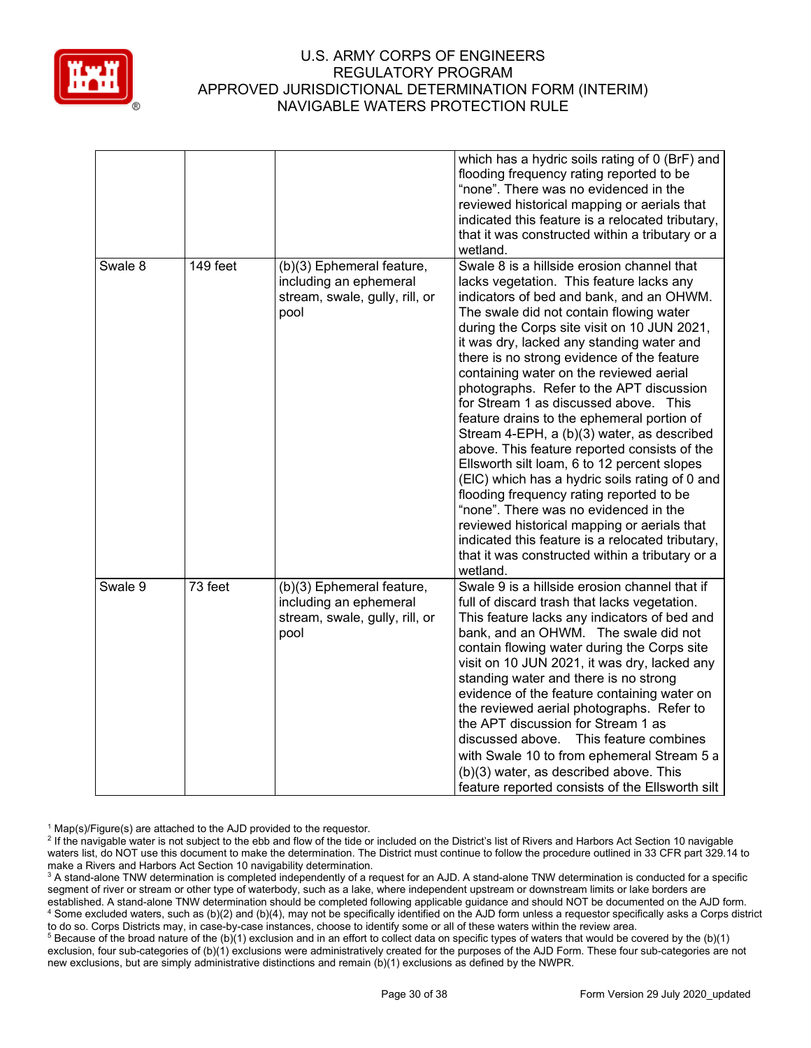

|         |          |                                                                                               | which has a hydric soils rating of 0 (BrF) and<br>flooding frequency rating reported to be<br>"none". There was no evidenced in the<br>reviewed historical mapping or aerials that<br>indicated this feature is a relocated tributary,<br>that it was constructed within a tributary or a<br>wetland.                                                                                                                                                                                                                                                                                                                                                                                                                                                                                                                                                                                                                                                       |
|---------|----------|-----------------------------------------------------------------------------------------------|-------------------------------------------------------------------------------------------------------------------------------------------------------------------------------------------------------------------------------------------------------------------------------------------------------------------------------------------------------------------------------------------------------------------------------------------------------------------------------------------------------------------------------------------------------------------------------------------------------------------------------------------------------------------------------------------------------------------------------------------------------------------------------------------------------------------------------------------------------------------------------------------------------------------------------------------------------------|
| Swale 8 | 149 feet | (b)(3) Ephemeral feature,<br>including an ephemeral<br>stream, swale, gully, rill, or<br>pool | Swale 8 is a hillside erosion channel that<br>lacks vegetation. This feature lacks any<br>indicators of bed and bank, and an OHWM.<br>The swale did not contain flowing water<br>during the Corps site visit on 10 JUN 2021,<br>it was dry, lacked any standing water and<br>there is no strong evidence of the feature<br>containing water on the reviewed aerial<br>photographs. Refer to the APT discussion<br>for Stream 1 as discussed above. This<br>feature drains to the ephemeral portion of<br>Stream 4-EPH, a (b)(3) water, as described<br>above. This feature reported consists of the<br>Ellsworth silt loam, 6 to 12 percent slopes<br>(EIC) which has a hydric soils rating of 0 and<br>flooding frequency rating reported to be<br>"none". There was no evidenced in the<br>reviewed historical mapping or aerials that<br>indicated this feature is a relocated tributary,<br>that it was constructed within a tributary or a<br>wetland. |
| Swale 9 | 73 feet  | (b)(3) Ephemeral feature,<br>including an ephemeral<br>stream, swale, gully, rill, or<br>pool | Swale 9 is a hillside erosion channel that if<br>full of discard trash that lacks vegetation.<br>This feature lacks any indicators of bed and<br>bank, and an OHWM. The swale did not<br>contain flowing water during the Corps site<br>visit on 10 JUN 2021, it was dry, lacked any<br>standing water and there is no strong<br>evidence of the feature containing water on<br>the reviewed aerial photographs. Refer to<br>the APT discussion for Stream 1 as<br>This feature combines<br>discussed above.<br>with Swale 10 to from ephemeral Stream 5 a<br>(b)(3) water, as described above. This<br>feature reported consists of the Ellsworth silt                                                                                                                                                                                                                                                                                                     |

 $1$  Map(s)/Figure(s) are attached to the AJD provided to the requestor.

<sup>&</sup>lt;sup>2</sup> If the navigable water is not subject to the ebb and flow of the tide or included on the District's list of Rivers and Harbors Act Section 10 navigable waters list, do NOT use this document to make the determination. The District must continue to follow the procedure outlined in 33 CFR part 329.14 to make a Rivers and Harbors Act Section 10 navigability determination.

<sup>&</sup>lt;sup>3</sup> A stand-alone TNW determination is completed independently of a request for an AJD. A stand-alone TNW determination is conducted for a specific segment of river or stream or other type of waterbody, such as a lake, where independent upstream or downstream limits or lake borders are established. A stand-alone TNW determination should be completed following applicable guidance and should NOT be documented on the AJD form. <sup>4</sup> Some excluded waters, such as (b)(2) and (b)(4), may not be specifically identified on the AJD form unless a requestor specifically asks a Corps district to do so. Corps Districts may, in case-by-case instances, choose to identify some or all of these waters within the review area.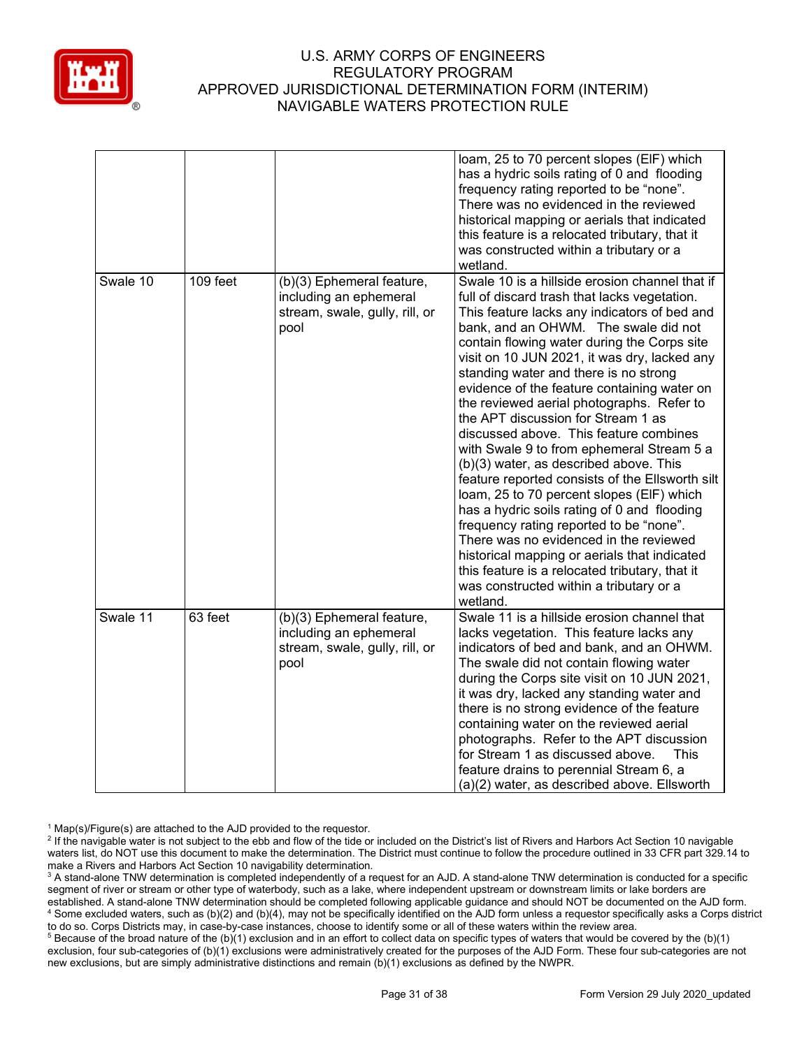

|          |           |                                                                                               | loam, 25 to 70 percent slopes (EIF) which<br>has a hydric soils rating of 0 and flooding<br>frequency rating reported to be "none".<br>There was no evidenced in the reviewed<br>historical mapping or aerials that indicated<br>this feature is a relocated tributary, that it<br>was constructed within a tributary or a<br>wetland.                                                                                                                                                                                                                                                                                                                                                                                                                                                                                                                                                                                                                                                         |
|----------|-----------|-----------------------------------------------------------------------------------------------|------------------------------------------------------------------------------------------------------------------------------------------------------------------------------------------------------------------------------------------------------------------------------------------------------------------------------------------------------------------------------------------------------------------------------------------------------------------------------------------------------------------------------------------------------------------------------------------------------------------------------------------------------------------------------------------------------------------------------------------------------------------------------------------------------------------------------------------------------------------------------------------------------------------------------------------------------------------------------------------------|
| Swale 10 | 109 feet  | (b)(3) Ephemeral feature,<br>including an ephemeral<br>stream, swale, gully, rill, or<br>pool | Swale 10 is a hillside erosion channel that if<br>full of discard trash that lacks vegetation.<br>This feature lacks any indicators of bed and<br>bank, and an OHWM. The swale did not<br>contain flowing water during the Corps site<br>visit on 10 JUN 2021, it was dry, lacked any<br>standing water and there is no strong<br>evidence of the feature containing water on<br>the reviewed aerial photographs. Refer to<br>the APT discussion for Stream 1 as<br>discussed above. This feature combines<br>with Swale 9 to from ephemeral Stream 5 a<br>(b)(3) water, as described above. This<br>feature reported consists of the Ellsworth silt<br>loam, 25 to 70 percent slopes (EIF) which<br>has a hydric soils rating of 0 and flooding<br>frequency rating reported to be "none".<br>There was no evidenced in the reviewed<br>historical mapping or aerials that indicated<br>this feature is a relocated tributary, that it<br>was constructed within a tributary or a<br>wetland. |
| Swale 11 | $63$ feet | (b)(3) Ephemeral feature,<br>including an ephemeral<br>stream, swale, gully, rill, or<br>pool | Swale 11 is a hillside erosion channel that<br>lacks vegetation. This feature lacks any<br>indicators of bed and bank, and an OHWM.<br>The swale did not contain flowing water<br>during the Corps site visit on 10 JUN 2021,<br>it was dry, lacked any standing water and<br>there is no strong evidence of the feature<br>containing water on the reviewed aerial<br>photographs. Refer to the APT discussion<br>for Stream 1 as discussed above.<br><b>This</b><br>feature drains to perennial Stream 6, a<br>(a)(2) water, as described above. Ellsworth                                                                                                                                                                                                                                                                                                                                                                                                                                   |

 $1$  Map(s)/Figure(s) are attached to the AJD provided to the requestor.

<sup>&</sup>lt;sup>2</sup> If the navigable water is not subject to the ebb and flow of the tide or included on the District's list of Rivers and Harbors Act Section 10 navigable waters list, do NOT use this document to make the determination. The District must continue to follow the procedure outlined in 33 CFR part 329.14 to make a Rivers and Harbors Act Section 10 navigability determination.

<sup>&</sup>lt;sup>3</sup> A stand-alone TNW determination is completed independently of a request for an AJD. A stand-alone TNW determination is conducted for a specific segment of river or stream or other type of waterbody, such as a lake, where independent upstream or downstream limits or lake borders are established. A stand-alone TNW determination should be completed following applicable guidance and should NOT be documented on the AJD form. <sup>4</sup> Some excluded waters, such as (b)(2) and (b)(4), may not be specifically identified on the AJD form unless a requestor specifically asks a Corps district to do so. Corps Districts may, in case-by-case instances, choose to identify some or all of these waters within the review area.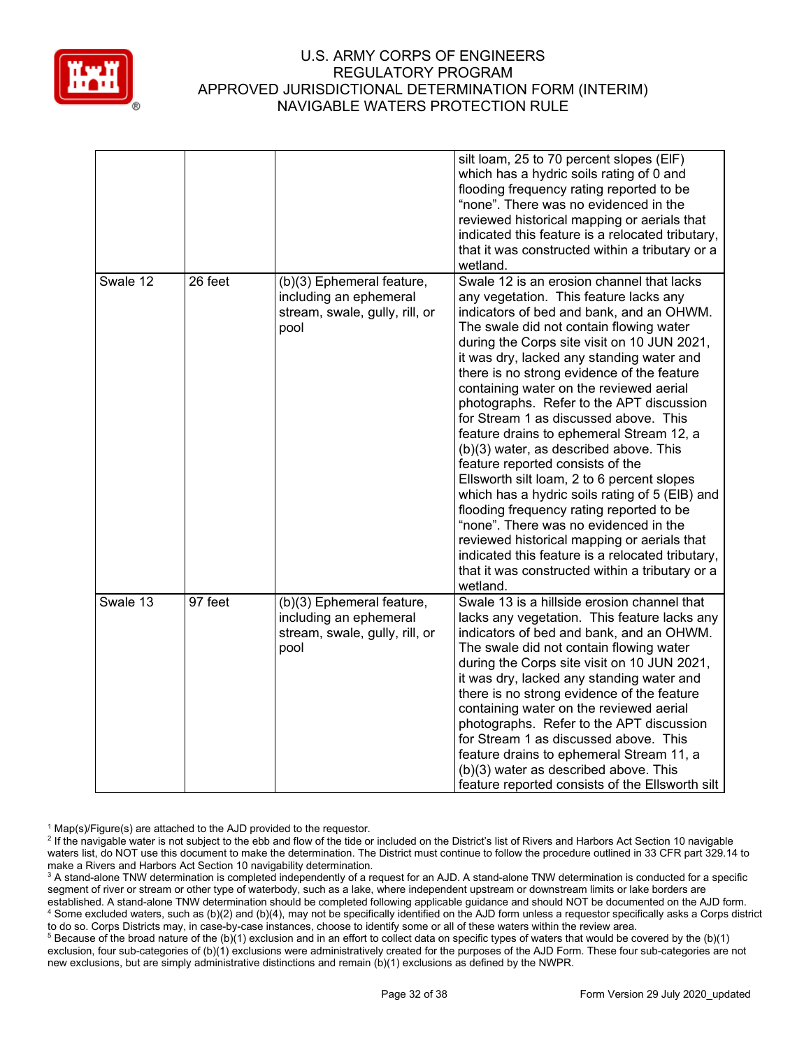

|                     |                                                                                               | silt loam, 25 to 70 percent slopes (EIF)<br>which has a hydric soils rating of 0 and<br>flooding frequency rating reported to be<br>"none". There was no evidenced in the<br>reviewed historical mapping or aerials that<br>indicated this feature is a relocated tributary,<br>that it was constructed within a tributary or a<br>wetland.                                                                                                                                                                                                                                                                                                                                                                                                                                                                                                                                                                                           |
|---------------------|-----------------------------------------------------------------------------------------------|---------------------------------------------------------------------------------------------------------------------------------------------------------------------------------------------------------------------------------------------------------------------------------------------------------------------------------------------------------------------------------------------------------------------------------------------------------------------------------------------------------------------------------------------------------------------------------------------------------------------------------------------------------------------------------------------------------------------------------------------------------------------------------------------------------------------------------------------------------------------------------------------------------------------------------------|
| Swale 12<br>26 feet | (b)(3) Ephemeral feature,<br>including an ephemeral<br>stream, swale, gully, rill, or<br>pool | Swale 12 is an erosion channel that lacks<br>any vegetation. This feature lacks any<br>indicators of bed and bank, and an OHWM.<br>The swale did not contain flowing water<br>during the Corps site visit on 10 JUN 2021,<br>it was dry, lacked any standing water and<br>there is no strong evidence of the feature<br>containing water on the reviewed aerial<br>photographs. Refer to the APT discussion<br>for Stream 1 as discussed above. This<br>feature drains to ephemeral Stream 12, a<br>(b)(3) water, as described above. This<br>feature reported consists of the<br>Ellsworth silt loam, 2 to 6 percent slopes<br>which has a hydric soils rating of 5 (EIB) and<br>flooding frequency rating reported to be<br>"none". There was no evidenced in the<br>reviewed historical mapping or aerials that<br>indicated this feature is a relocated tributary,<br>that it was constructed within a tributary or a<br>wetland. |
| Swale 13<br>97 feet | (b)(3) Ephemeral feature,<br>including an ephemeral<br>stream, swale, gully, rill, or<br>pool | Swale 13 is a hillside erosion channel that<br>lacks any vegetation. This feature lacks any<br>indicators of bed and bank, and an OHWM.<br>The swale did not contain flowing water<br>during the Corps site visit on 10 JUN 2021,<br>it was dry, lacked any standing water and<br>there is no strong evidence of the feature<br>containing water on the reviewed aerial<br>photographs. Refer to the APT discussion<br>for Stream 1 as discussed above. This<br>feature drains to ephemeral Stream 11, a<br>(b)(3) water as described above. This<br>feature reported consists of the Ellsworth silt                                                                                                                                                                                                                                                                                                                                  |

 $1$  Map(s)/Figure(s) are attached to the AJD provided to the requestor.

<sup>&</sup>lt;sup>2</sup> If the navigable water is not subject to the ebb and flow of the tide or included on the District's list of Rivers and Harbors Act Section 10 navigable waters list, do NOT use this document to make the determination. The District must continue to follow the procedure outlined in 33 CFR part 329.14 to make a Rivers and Harbors Act Section 10 navigability determination.

<sup>&</sup>lt;sup>3</sup> A stand-alone TNW determination is completed independently of a request for an AJD. A stand-alone TNW determination is conducted for a specific segment of river or stream or other type of waterbody, such as a lake, where independent upstream or downstream limits or lake borders are established. A stand-alone TNW determination should be completed following applicable guidance and should NOT be documented on the AJD form. <sup>4</sup> Some excluded waters, such as (b)(2) and (b)(4), may not be specifically identified on the AJD form unless a requestor specifically asks a Corps district to do so. Corps Districts may, in case-by-case instances, choose to identify some or all of these waters within the review area.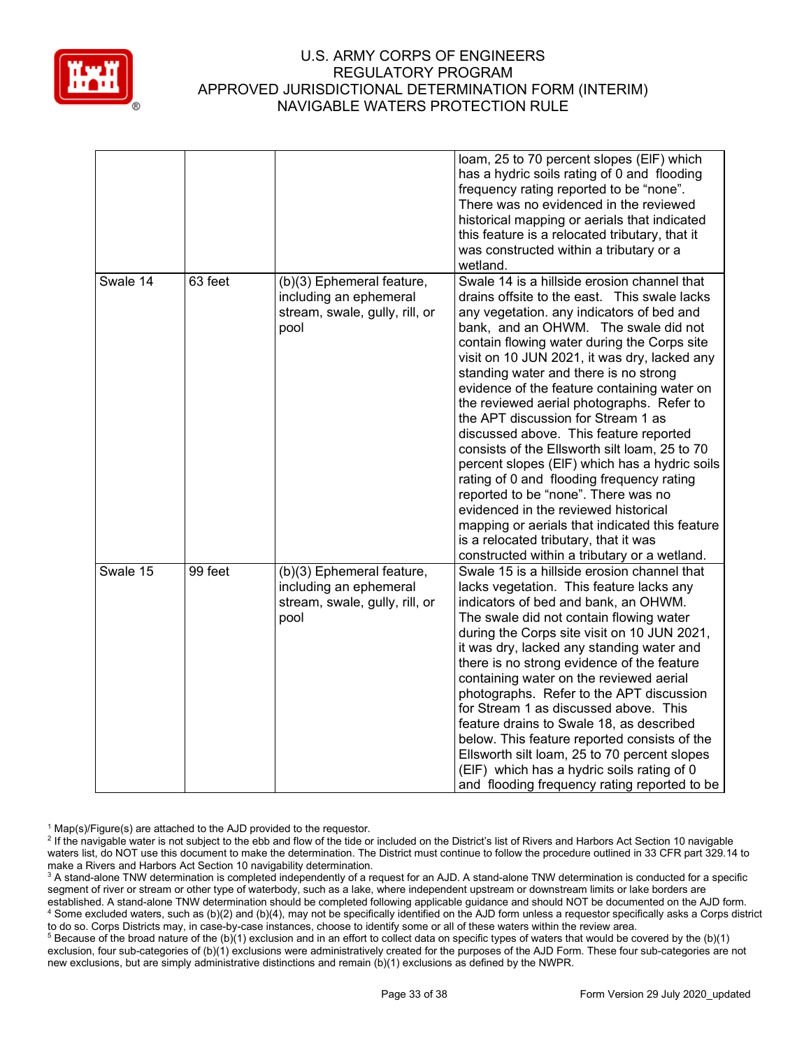

|          |         |                                                                                               | loam, 25 to 70 percent slopes (EIF) which<br>has a hydric soils rating of 0 and flooding<br>frequency rating reported to be "none".<br>There was no evidenced in the reviewed<br>historical mapping or aerials that indicated<br>this feature is a relocated tributary, that it<br>was constructed within a tributary or a<br>wetland.                                                                                                                                                                                                                                                                                                                                                                                                                                                                                                                                        |
|----------|---------|-----------------------------------------------------------------------------------------------|-------------------------------------------------------------------------------------------------------------------------------------------------------------------------------------------------------------------------------------------------------------------------------------------------------------------------------------------------------------------------------------------------------------------------------------------------------------------------------------------------------------------------------------------------------------------------------------------------------------------------------------------------------------------------------------------------------------------------------------------------------------------------------------------------------------------------------------------------------------------------------|
| Swale 14 | 63 feet | (b)(3) Ephemeral feature,<br>including an ephemeral<br>stream, swale, gully, rill, or<br>pool | Swale 14 is a hillside erosion channel that<br>drains offsite to the east. This swale lacks<br>any vegetation. any indicators of bed and<br>bank, and an OHWM. The swale did not<br>contain flowing water during the Corps site<br>visit on 10 JUN 2021, it was dry, lacked any<br>standing water and there is no strong<br>evidence of the feature containing water on<br>the reviewed aerial photographs. Refer to<br>the APT discussion for Stream 1 as<br>discussed above. This feature reported<br>consists of the Ellsworth silt loam, 25 to 70<br>percent slopes (EIF) which has a hydric soils<br>rating of 0 and flooding frequency rating<br>reported to be "none". There was no<br>evidenced in the reviewed historical<br>mapping or aerials that indicated this feature<br>is a relocated tributary, that it was<br>constructed within a tributary or a wetland. |
| Swale 15 | 99 feet | (b)(3) Ephemeral feature,<br>including an ephemeral<br>stream, swale, gully, rill, or<br>pool | Swale 15 is a hillside erosion channel that<br>lacks vegetation. This feature lacks any<br>indicators of bed and bank, an OHWM.<br>The swale did not contain flowing water<br>during the Corps site visit on 10 JUN 2021,<br>it was dry, lacked any standing water and<br>there is no strong evidence of the feature<br>containing water on the reviewed aerial<br>photographs. Refer to the APT discussion<br>for Stream 1 as discussed above. This<br>feature drains to Swale 18, as described<br>below. This feature reported consists of the<br>Ellsworth silt loam, 25 to 70 percent slopes<br>(EIF) which has a hydric soils rating of 0<br>and flooding frequency rating reported to be                                                                                                                                                                                |

 $1$  Map(s)/Figure(s) are attached to the AJD provided to the requestor.

<sup>&</sup>lt;sup>2</sup> If the navigable water is not subject to the ebb and flow of the tide or included on the District's list of Rivers and Harbors Act Section 10 navigable waters list, do NOT use this document to make the determination. The District must continue to follow the procedure outlined in 33 CFR part 329.14 to make a Rivers and Harbors Act Section 10 navigability determination.

<sup>&</sup>lt;sup>3</sup> A stand-alone TNW determination is completed independently of a request for an AJD. A stand-alone TNW determination is conducted for a specific segment of river or stream or other type of waterbody, such as a lake, where independent upstream or downstream limits or lake borders are established. A stand-alone TNW determination should be completed following applicable guidance and should NOT be documented on the AJD form. <sup>4</sup> Some excluded waters, such as (b)(2) and (b)(4), may not be specifically identified on the AJD form unless a requestor specifically asks a Corps district to do so. Corps Districts may, in case-by-case instances, choose to identify some or all of these waters within the review area.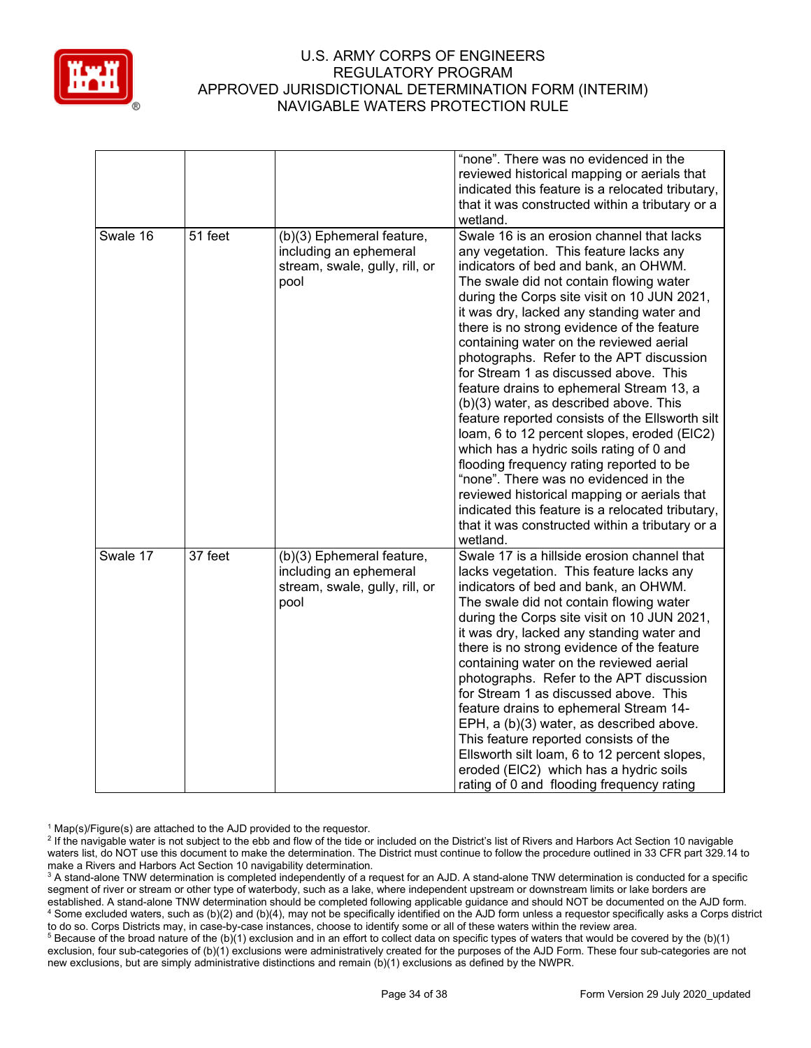

|          |         |                                                                                               | "none". There was no evidenced in the<br>reviewed historical mapping or aerials that<br>indicated this feature is a relocated tributary,<br>that it was constructed within a tributary or a<br>wetland.                                                                                                                                                                                                                                                                                                                                                                                                                                                                                                                                                                                                                                                                                                                                     |
|----------|---------|-----------------------------------------------------------------------------------------------|---------------------------------------------------------------------------------------------------------------------------------------------------------------------------------------------------------------------------------------------------------------------------------------------------------------------------------------------------------------------------------------------------------------------------------------------------------------------------------------------------------------------------------------------------------------------------------------------------------------------------------------------------------------------------------------------------------------------------------------------------------------------------------------------------------------------------------------------------------------------------------------------------------------------------------------------|
| Swale 16 | 51 feet | (b)(3) Ephemeral feature,<br>including an ephemeral<br>stream, swale, gully, rill, or<br>pool | Swale 16 is an erosion channel that lacks<br>any vegetation. This feature lacks any<br>indicators of bed and bank, an OHWM.<br>The swale did not contain flowing water<br>during the Corps site visit on 10 JUN 2021,<br>it was dry, lacked any standing water and<br>there is no strong evidence of the feature<br>containing water on the reviewed aerial<br>photographs. Refer to the APT discussion<br>for Stream 1 as discussed above. This<br>feature drains to ephemeral Stream 13, a<br>(b)(3) water, as described above. This<br>feature reported consists of the Ellsworth silt<br>loam, 6 to 12 percent slopes, eroded (EIC2)<br>which has a hydric soils rating of 0 and<br>flooding frequency rating reported to be<br>"none". There was no evidenced in the<br>reviewed historical mapping or aerials that<br>indicated this feature is a relocated tributary,<br>that it was constructed within a tributary or a<br>wetland. |
| Swale 17 | 37 feet | (b)(3) Ephemeral feature,<br>including an ephemeral<br>stream, swale, gully, rill, or<br>pool | Swale 17 is a hillside erosion channel that<br>lacks vegetation. This feature lacks any<br>indicators of bed and bank, an OHWM.<br>The swale did not contain flowing water<br>during the Corps site visit on 10 JUN 2021,<br>it was dry, lacked any standing water and<br>there is no strong evidence of the feature<br>containing water on the reviewed aerial<br>photographs. Refer to the APT discussion<br>for Stream 1 as discussed above. This<br>feature drains to ephemeral Stream 14-<br>EPH, a (b)(3) water, as described above.<br>This feature reported consists of the<br>Ellsworth silt loam, 6 to 12 percent slopes,<br>eroded (EIC2) which has a hydric soils<br>rating of 0 and flooding frequency rating                                                                                                                                                                                                                  |

 $1$  Map(s)/Figure(s) are attached to the AJD provided to the requestor.

<sup>&</sup>lt;sup>2</sup> If the navigable water is not subject to the ebb and flow of the tide or included on the District's list of Rivers and Harbors Act Section 10 navigable waters list, do NOT use this document to make the determination. The District must continue to follow the procedure outlined in 33 CFR part 329.14 to make a Rivers and Harbors Act Section 10 navigability determination.

<sup>&</sup>lt;sup>3</sup> A stand-alone TNW determination is completed independently of a request for an AJD. A stand-alone TNW determination is conducted for a specific segment of river or stream or other type of waterbody, such as a lake, where independent upstream or downstream limits or lake borders are established. A stand-alone TNW determination should be completed following applicable guidance and should NOT be documented on the AJD form. <sup>4</sup> Some excluded waters, such as (b)(2) and (b)(4), may not be specifically identified on the AJD form unless a requestor specifically asks a Corps district to do so. Corps Districts may, in case-by-case instances, choose to identify some or all of these waters within the review area.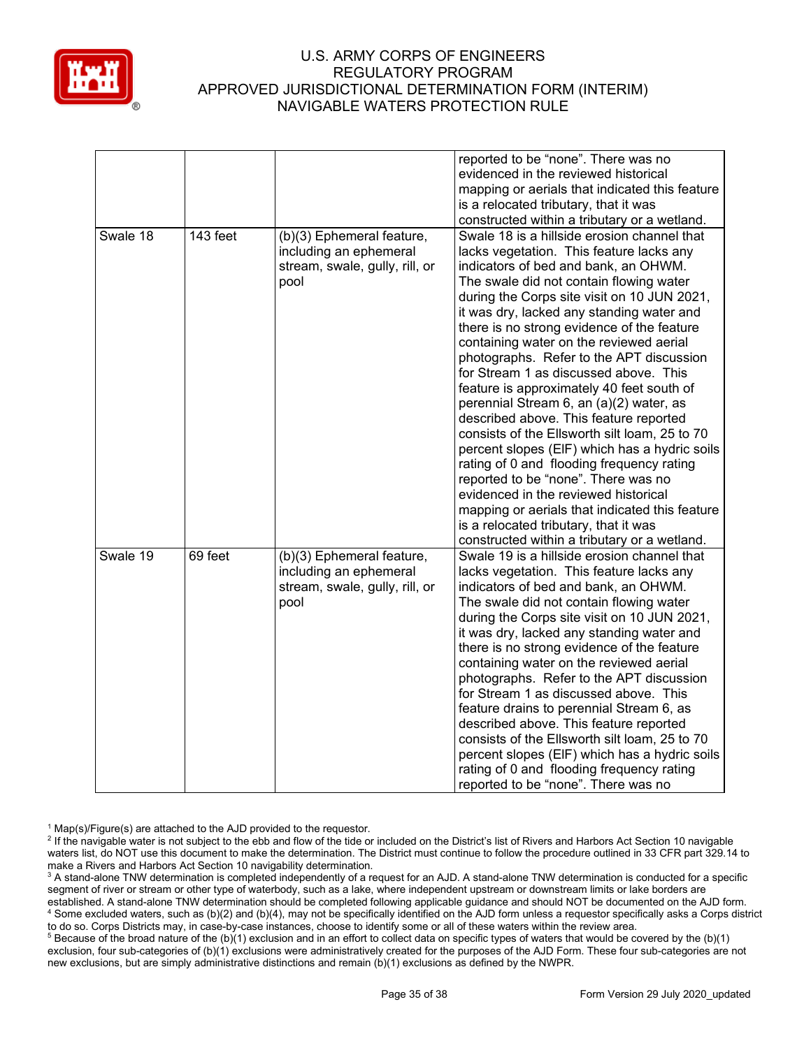

|          |          |                                | reported to be "none". There was no<br>evidenced in the reviewed historical |
|----------|----------|--------------------------------|-----------------------------------------------------------------------------|
|          |          |                                |                                                                             |
|          |          |                                | mapping or aerials that indicated this feature                              |
|          |          |                                | is a relocated tributary, that it was                                       |
|          |          |                                | constructed within a tributary or a wetland.                                |
| Swale 18 | 143 feet | (b)(3) Ephemeral feature,      | Swale 18 is a hillside erosion channel that                                 |
|          |          | including an ephemeral         | lacks vegetation. This feature lacks any                                    |
|          |          | stream, swale, gully, rill, or | indicators of bed and bank, an OHWM.                                        |
|          |          | pool                           | The swale did not contain flowing water                                     |
|          |          |                                | during the Corps site visit on 10 JUN 2021,                                 |
|          |          |                                | it was dry, lacked any standing water and                                   |
|          |          |                                | there is no strong evidence of the feature                                  |
|          |          |                                | containing water on the reviewed aerial                                     |
|          |          |                                | photographs. Refer to the APT discussion                                    |
|          |          |                                | for Stream 1 as discussed above. This                                       |
|          |          |                                | feature is approximately 40 feet south of                                   |
|          |          |                                | perennial Stream 6, an (a)(2) water, as                                     |
|          |          |                                | described above. This feature reported                                      |
|          |          |                                | consists of the Ellsworth silt loam, 25 to 70                               |
|          |          |                                | percent slopes (EIF) which has a hydric soils                               |
|          |          |                                | rating of 0 and flooding frequency rating                                   |
|          |          |                                | reported to be "none". There was no                                         |
|          |          |                                | evidenced in the reviewed historical                                        |
|          |          |                                | mapping or aerials that indicated this feature                              |
|          |          |                                | is a relocated tributary, that it was                                       |
|          |          |                                | constructed within a tributary or a wetland.                                |
| Swale 19 | 69 feet  | (b)(3) Ephemeral feature,      | Swale 19 is a hillside erosion channel that                                 |
|          |          | including an ephemeral         | lacks vegetation. This feature lacks any                                    |
|          |          | stream, swale, gully, rill, or | indicators of bed and bank, an OHWM.                                        |
|          |          | pool                           | The swale did not contain flowing water                                     |
|          |          |                                | during the Corps site visit on 10 JUN 2021,                                 |
|          |          |                                | it was dry, lacked any standing water and                                   |
|          |          |                                | there is no strong evidence of the feature                                  |
|          |          |                                | containing water on the reviewed aerial                                     |
|          |          |                                | photographs. Refer to the APT discussion                                    |
|          |          |                                | for Stream 1 as discussed above. This                                       |
|          |          |                                | feature drains to perennial Stream 6, as                                    |
|          |          |                                | described above. This feature reported                                      |
|          |          |                                | consists of the Ellsworth silt loam, 25 to 70                               |
|          |          |                                | percent slopes (EIF) which has a hydric soils                               |
|          |          |                                | rating of 0 and flooding frequency rating                                   |
|          |          |                                | reported to be "none". There was no                                         |

 $1$  Map(s)/Figure(s) are attached to the AJD provided to the requestor.

<sup>2</sup> If the navigable water is not subject to the ebb and flow of the tide or included on the District's list of Rivers and Harbors Act Section 10 navigable waters list, do NOT use this document to make the determination. The District must continue to follow the procedure outlined in 33 CFR part 329.14 to make a Rivers and Harbors Act Section 10 navigability determination.

<sup>3</sup> A stand-alone TNW determination is completed independently of a request for an AJD. A stand-alone TNW determination is conducted for a specific segment of river or stream or other type of waterbody, such as a lake, where independent upstream or downstream limits or lake borders are established. A stand-alone TNW determination should be completed following applicable guidance and should NOT be documented on the AJD form. <sup>4</sup> Some excluded waters, such as (b)(2) and (b)(4), may not be specifically identified on the AJD form unless a requestor specifically asks a Corps district to do so. Corps Districts may, in case-by-case instances, choose to identify some or all of these waters within the review area.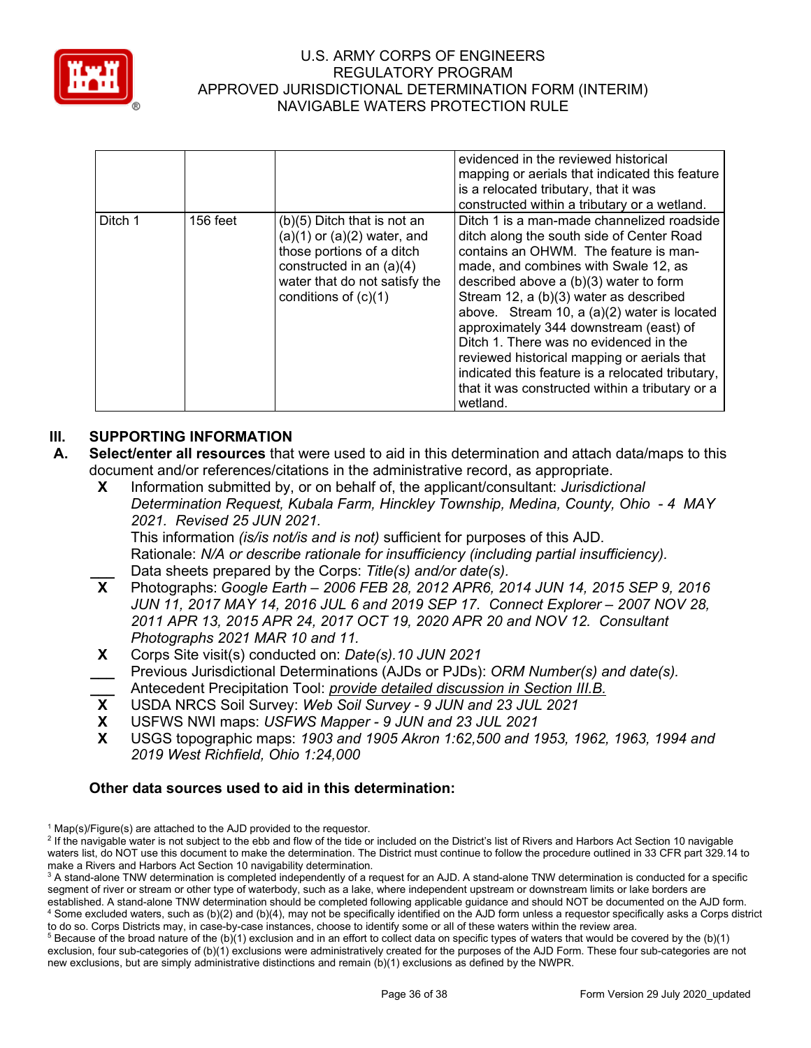

|         |          |                                                                                                                                                                                    | evidenced in the reviewed historical<br>mapping or aerials that indicated this feature<br>is a relocated tributary, that it was<br>constructed within a tributary or a wetland.                                                                                                                                                                                                                                                                                                                                                                                     |
|---------|----------|------------------------------------------------------------------------------------------------------------------------------------------------------------------------------------|---------------------------------------------------------------------------------------------------------------------------------------------------------------------------------------------------------------------------------------------------------------------------------------------------------------------------------------------------------------------------------------------------------------------------------------------------------------------------------------------------------------------------------------------------------------------|
| Ditch 1 | 156 feet | (b)(5) Ditch that is not an<br>$(a)(1)$ or $(a)(2)$ water, and<br>those portions of a ditch<br>constructed in an (a)(4)<br>water that do not satisfy the<br>conditions of $(c)(1)$ | Ditch 1 is a man-made channelized roadside<br>ditch along the south side of Center Road<br>contains an OHWM. The feature is man-<br>made, and combines with Swale 12, as<br>described above a $(b)(3)$ water to form<br>Stream 12, a (b)(3) water as described<br>above. Stream 10, a (a)(2) water is located<br>approximately 344 downstream (east) of<br>Ditch 1. There was no evidenced in the<br>reviewed historical mapping or aerials that<br>indicated this feature is a relocated tributary,<br>that it was constructed within a tributary or a<br>wetland. |

# **III. SUPPORTING INFORMATION**

- **A. Select/enter all resources** that were used to aid in this determination and attach data/maps to this document and/or references/citations in the administrative record, as appropriate.
	- **X** Information submitted by, or on behalf of, the applicant/consultant: *Jurisdictional Determination Request, Kubala Farm, Hinckley Township, Medina, County, Ohio - 4 MAY 2021. Revised 25 JUN 2021.* This information *(is/is not/is and is not)* sufficient for purposes of this AJD. Rationale: *N/A or describe rationale for insufficiency (including partial insufficiency).* Data sheets prepared by the Corps: *Title(s) and/or date(s).*<br>**X** Photographs: *Google Farth – 2006 FFB 28 2012 APR6 20*
	- **X** Photographs: *Google Earth – 2006 FEB 28, 2012 APR6, 2014 JUN 14, 2015 SEP 9, 2016 JUN 11, 2017 MAY 14, 2016 JUL 6 and 2019 SEP 17. Connect Explorer – 2007 NOV 28, 2011 APR 13, 2015 APR 24, 2017 OCT 19, 2020 APR 20 and NOV 12. Consultant Photographs 2021 MAR 10 and 11.*
	- **X** Corps Site visit(s) conducted on: *Date(s).10 JUN 2021* **\_\_\_** Previous Jurisdictional Determinations (AJDs or PJDs): *ORM Number(s) and date(s).*
	- **\_\_\_** Antecedent Precipitation Tool: *provide detailed discussion in Section III.B.*
	- **X** USDA NRCS Soil Survey: *Web Soil Survey - 9 JUN and 23 JUL 2021*
	- **X** USFWS NWI maps: *USFWS Mapper - 9 JUN and 23 JUL 2021*
	- **X** USGS topographic maps: *1903 and 1905 Akron 1:62,500 and 1953, 1962, 1963, 1994 and 2019 West Richfield, Ohio 1:24,000*

## **Other data sources used to aid in this determination:**

 $1$  Map(s)/Figure(s) are attached to the AJD provided to the requestor.

<sup>&</sup>lt;sup>2</sup> If the navigable water is not subject to the ebb and flow of the tide or included on the District's list of Rivers and Harbors Act Section 10 navigable waters list, do NOT use this document to make the determination. The District must continue to follow the procedure outlined in 33 CFR part 329.14 to make a Rivers and Harbors Act Section 10 navigability determination.

<sup>&</sup>lt;sup>3</sup> A stand-alone TNW determination is completed independently of a request for an AJD. A stand-alone TNW determination is conducted for a specific segment of river or stream or other type of waterbody, such as a lake, where independent upstream or downstream limits or lake borders are established. A stand-alone TNW determination should be completed following applicable guidance and should NOT be documented on the AJD form. <sup>4</sup> Some excluded waters, such as (b)(2) and (b)(4), may not be specifically identified on the AJD form unless a requestor specifically asks a Corps district to do so. Corps Districts may, in case-by-case instances, choose to identify some or all of these waters within the review area.

 $5$  Because of the broad nature of the (b)(1) exclusion and in an effort to collect data on specific types of waters that would be covered by the (b)(1) exclusion, four sub-categories of (b)(1) exclusions were administratively created for the purposes of the AJD Form. These four sub-categories are not new exclusions, but are simply administrative distinctions and remain (b)(1) exclusions as defined by the NWPR.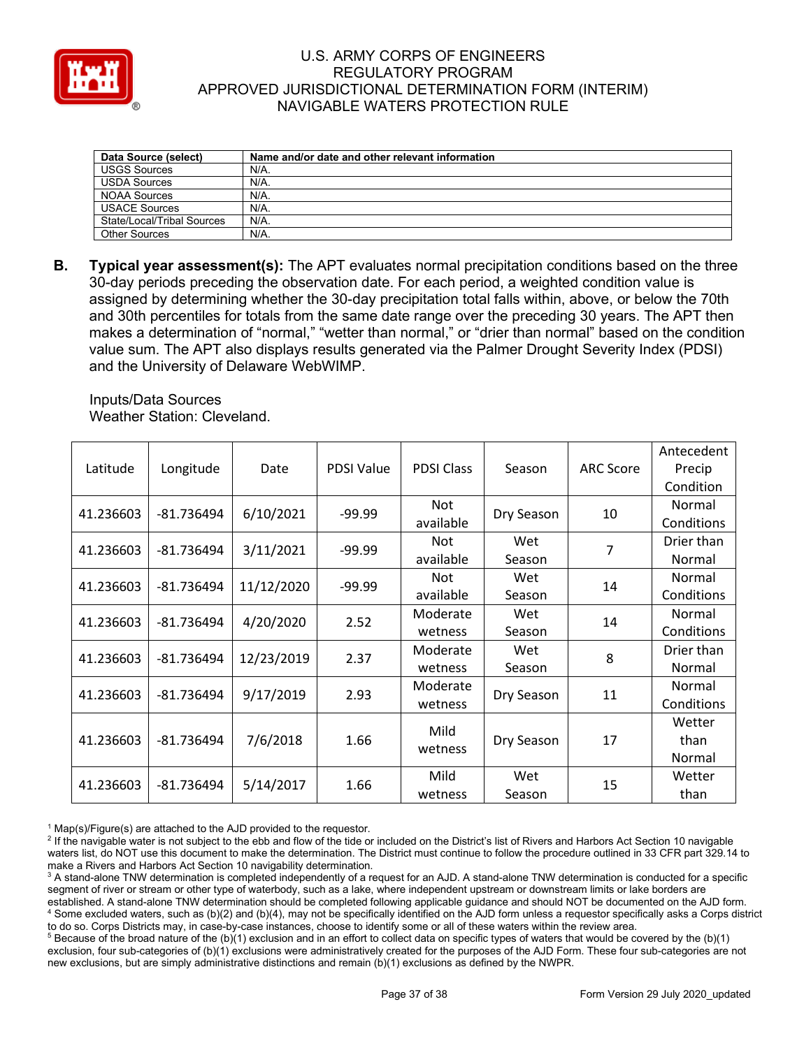

| Data Source (select)       | Name and/or date and other relevant information |
|----------------------------|-------------------------------------------------|
| <b>USGS Sources</b>        | N/A.                                            |
| <b>USDA Sources</b>        | $N/A$ .                                         |
| <b>NOAA Sources</b>        | $N/A$ .                                         |
| <b>USACE Sources</b>       | $N/A$ .                                         |
| State/Local/Tribal Sources | $N/A$ .                                         |
| Other Sources              | $N/A$ .                                         |

**B. Typical year assessment(s):** The APT evaluates normal precipitation conditions based on the three 30-day periods preceding the observation date. For each period, a weighted condition value is assigned by determining whether the 30-day precipitation total falls within, above, or below the 70th and 30th percentiles for totals from the same date range over the preceding 30 years. The APT then makes a determination of "normal," "wetter than normal," or "drier than normal" based on the condition value sum. The APT also displays results generated via the Palmer Drought Severity Index (PDSI) and the University of Delaware WebWIMP.

Inputs/Data Sources Weather Station: Cleveland.

| Latitude  | Longitude    | Date       | PDSI Value | <b>PDSI Class</b>   | Season        | <b>ARC Score</b> | Antecedent<br>Precip<br>Condition |
|-----------|--------------|------------|------------|---------------------|---------------|------------------|-----------------------------------|
| 41.236603 | -81.736494   | 6/10/2021  | $-99.99$   | Not<br>available    | Dry Season    | 10               | Normal<br>Conditions              |
| 41.236603 | -81.736494   | 3/11/2021  | $-99.99$   | Not.<br>available   | Wet<br>Season | 7                | Drier than<br>Normal              |
| 41.236603 | -81.736494   | 11/12/2020 | $-99.99$   | Not<br>available    | Wet<br>Season | 14               | Normal<br>Conditions              |
| 41.236603 | -81.736494   | 4/20/2020  | 2.52       | Moderate<br>wetness | Wet<br>Season | 14               | Normal<br>Conditions              |
| 41.236603 | -81.736494   | 12/23/2019 | 2.37       | Moderate<br>wetness | Wet<br>Season | 8                | Drier than<br>Normal              |
| 41.236603 | -81.736494   | 9/17/2019  | 2.93       | Moderate<br>wetness | Dry Season    | 11               | Normal<br>Conditions              |
| 41.236603 | $-81.736494$ | 7/6/2018   | 1.66       | Mild<br>wetness     | Dry Season    | 17               | Wetter<br>than<br>Normal          |
| 41.236603 | -81.736494   | 5/14/2017  | 1.66       | Mild<br>wetness     | Wet<br>Season | 15               | Wetter<br>than                    |

 $1$  Map(s)/Figure(s) are attached to the AJD provided to the requestor.

<sup>&</sup>lt;sup>2</sup> If the navigable water is not subject to the ebb and flow of the tide or included on the District's list of Rivers and Harbors Act Section 10 navigable waters list, do NOT use this document to make the determination. The District must continue to follow the procedure outlined in 33 CFR part 329.14 to make a Rivers and Harbors Act Section 10 navigability determination.

<sup>&</sup>lt;sup>3</sup> A stand-alone TNW determination is completed independently of a request for an AJD. A stand-alone TNW determination is conducted for a specific segment of river or stream or other type of waterbody, such as a lake, where independent upstream or downstream limits or lake borders are established. A stand-alone TNW determination should be completed following applicable guidance and should NOT be documented on the AJD form. <sup>4</sup> Some excluded waters, such as (b)(2) and (b)(4), may not be specifically identified on the AJD form unless a requestor specifically asks a Corps district to do so. Corps Districts may, in case-by-case instances, choose to identify some or all of these waters within the review area.

 $5$  Because of the broad nature of the (b)(1) exclusion and in an effort to collect data on specific types of waters that would be covered by the (b)(1) exclusion, four sub-categories of (b)(1) exclusions were administratively created for the purposes of the AJD Form. These four sub-categories are not new exclusions, but are simply administrative distinctions and remain (b)(1) exclusions as defined by the NWPR.